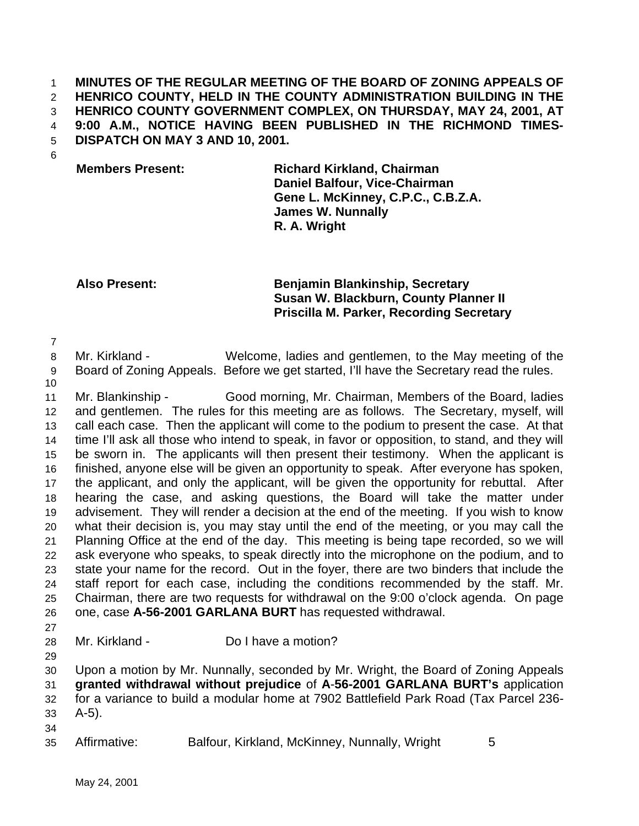**MINUTES OF THE REGULAR MEETING OF THE BOARD OF ZONING APPEALS OF HENRICO COUNTY, HELD IN THE COUNTY ADMINISTRATION BUILDING IN THE HENRICO COUNTY GOVERNMENT COMPLEX, ON THURSDAY, MAY 24, 2001, AT 9:00 A.M., NOTICE HAVING BEEN PUBLISHED IN THE RICHMOND TIMES-DISPATCH ON MAY 3 AND 10, 2001.**

**Members Present: Richard Kirkland, Chairman Daniel Balfour, Vice-Chairman Gene L. McKinney, C.P.C., C.B.Z.A. James W. Nunnally R. A. Wright**

## **Also Present: Benjamin Blankinship, Secretary Susan W. Blackburn, County Planner II Priscilla M. Parker, Recording Secretary**

 Mr. Kirkland - Welcome, ladies and gentlemen, to the May meeting of the Board of Zoning Appeals. Before we get started, I'll have the Secretary read the rules.

 Mr. Blankinship - Good morning, Mr. Chairman, Members of the Board, ladies and gentlemen. The rules for this meeting are as follows. The Secretary, myself, will call each case. Then the applicant will come to the podium to present the case. At that time I'll ask all those who intend to speak, in favor or opposition, to stand, and they will be sworn in. The applicants will then present their testimony. When the applicant is finished, anyone else will be given an opportunity to speak. After everyone has spoken, the applicant, and only the applicant, will be given the opportunity for rebuttal. After hearing the case, and asking questions, the Board will take the matter under advisement. They will render a decision at the end of the meeting. If you wish to know what their decision is, you may stay until the end of the meeting, or you may call the Planning Office at the end of the day. This meeting is being tape recorded, so we will ask everyone who speaks, to speak directly into the microphone on the podium, and to state your name for the record. Out in the foyer, there are two binders that include the staff report for each case, including the conditions recommended by the staff. Mr. Chairman, there are two requests for withdrawal on the 9:00 o'clock agenda. On page one, case **A-56-2001 GARLANA BURT** has requested withdrawal.

Mr. Kirkland - Do I have a motion?

 Upon a motion by Mr. Nunnally, seconded by Mr. Wright, the Board of Zoning Appeals **granted withdrawal without prejudice** of **A**-**56-2001 GARLANA BURT's** application for a variance to build a modular home at 7902 Battlefield Park Road (Tax Parcel 236- A-5).

Affirmative: Balfour, Kirkland, McKinney, Nunnally, Wright 5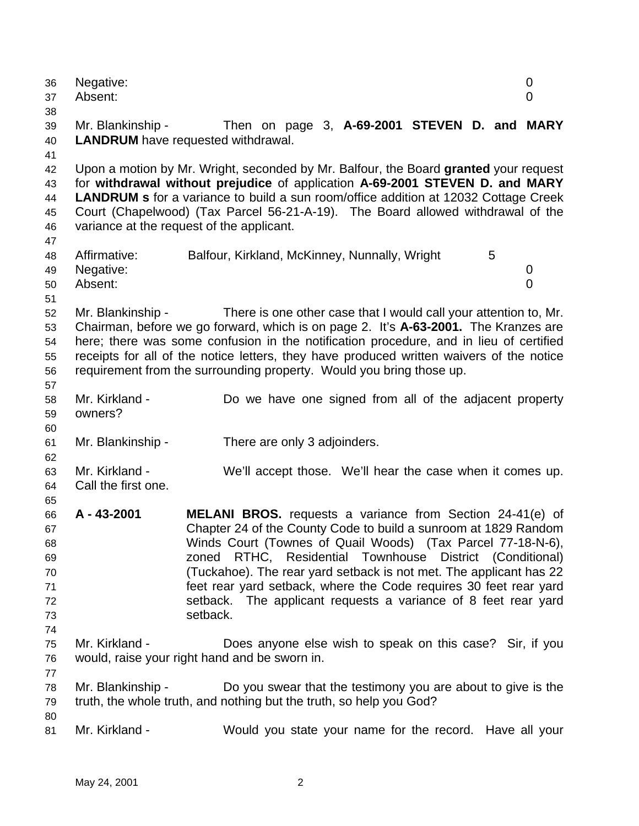| 36<br>37<br>38                                                                                                 | Negative:<br>Absent:                  |                                                                                                                                                                                                                                                                                                                                                                                                                                                                                               | 0<br>$\overline{0}$ |
|----------------------------------------------------------------------------------------------------------------|---------------------------------------|-----------------------------------------------------------------------------------------------------------------------------------------------------------------------------------------------------------------------------------------------------------------------------------------------------------------------------------------------------------------------------------------------------------------------------------------------------------------------------------------------|---------------------|
| 39<br>40<br>41                                                                                                 | Mr. Blankinship -                     | Then on page 3, A-69-2001 STEVEN D. and MARY<br><b>LANDRUM</b> have requested withdrawal.                                                                                                                                                                                                                                                                                                                                                                                                     |                     |
| 42<br>43<br>44<br>45<br>46<br>47                                                                               |                                       | Upon a motion by Mr. Wright, seconded by Mr. Balfour, the Board granted your request<br>for withdrawal without prejudice of application A-69-2001 STEVEN D. and MARY<br><b>LANDRUM</b> s for a variance to build a sun room/office addition at 12032 Cottage Creek<br>Court (Chapelwood) (Tax Parcel 56-21-A-19). The Board allowed withdrawal of the<br>variance at the request of the applicant.                                                                                            |                     |
| 48<br>49<br>50<br>51                                                                                           | Affirmative:<br>Negative:<br>Absent:  | Balfour, Kirkland, McKinney, Nunnally, Wright<br>5                                                                                                                                                                                                                                                                                                                                                                                                                                            | 0<br>$\overline{0}$ |
| 52<br>53<br>54<br>55<br>56<br>57                                                                               | Mr. Blankinship -                     | There is one other case that I would call your attention to, Mr.<br>Chairman, before we go forward, which is on page 2. It's A-63-2001. The Kranzes are<br>here; there was some confusion in the notification procedure, and in lieu of certified<br>receipts for all of the notice letters, they have produced written waivers of the notice<br>requirement from the surrounding property. Would you bring those up.                                                                         |                     |
| 58<br>59<br>60                                                                                                 | Mr. Kirkland -<br>owners?             | Do we have one signed from all of the adjacent property                                                                                                                                                                                                                                                                                                                                                                                                                                       |                     |
| 61<br>62                                                                                                       | Mr. Blankinship -                     | There are only 3 adjoinders.                                                                                                                                                                                                                                                                                                                                                                                                                                                                  |                     |
| 63<br>64<br>65<br>66<br>67<br>68<br>69<br>70<br>71<br>72<br>73<br>74<br>75<br>76<br>77<br>78<br>79<br>80<br>81 | Mr. Kirkland -<br>Call the first one. | We'll accept those. We'll hear the case when it comes up.                                                                                                                                                                                                                                                                                                                                                                                                                                     |                     |
|                                                                                                                | A - 43-2001                           | <b>MELANI BROS.</b> requests a variance from Section 24-41(e) of<br>Chapter 24 of the County Code to build a sunroom at 1829 Random<br>Winds Court (Townes of Quail Woods) (Tax Parcel 77-18-N-6),<br>RTHC, Residential Townhouse<br>District (Conditional)<br>zoned<br>(Tuckahoe). The rear yard setback is not met. The applicant has 22<br>feet rear yard setback, where the Code requires 30 feet rear yard<br>setback. The applicant requests a variance of 8 feet rear yard<br>setback. |                     |
|                                                                                                                | Mr. Kirkland -                        | Does anyone else wish to speak on this case? Sir, if you<br>would, raise your right hand and be sworn in.                                                                                                                                                                                                                                                                                                                                                                                     |                     |
|                                                                                                                | Mr. Blankinship -                     | Do you swear that the testimony you are about to give is the<br>truth, the whole truth, and nothing but the truth, so help you God?                                                                                                                                                                                                                                                                                                                                                           |                     |
|                                                                                                                | Mr. Kirkland -                        | Would you state your name for the record. Have all your                                                                                                                                                                                                                                                                                                                                                                                                                                       |                     |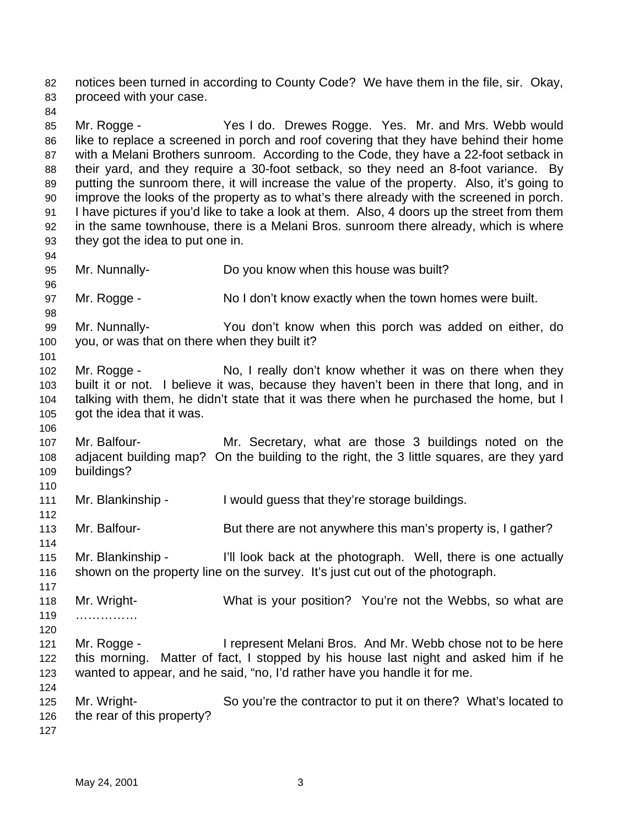notices been turned in according to County Code? We have them in the file, sir. Okay, proceed with your case.

85 Mr. Rogge - Yes I do. Drewes Rogge. Yes. Mr. and Mrs. Webb would like to replace a screened in porch and roof covering that they have behind their home with a Melani Brothers sunroom. According to the Code, they have a 22-foot setback in their yard, and they require a 30-foot setback, so they need an 8-foot variance. By putting the sunroom there, it will increase the value of the property. Also, it's going to improve the looks of the property as to what's there already with the screened in porch. I have pictures if you'd like to take a look at them. Also, 4 doors up the street from them in the same townhouse, there is a Melani Bros. sunroom there already, which is where they got the idea to put one in.

Mr. Nunnally- Do you know when this house was built?

Mr. Rogge - No I don't know exactly when the town homes were built.

 Mr. Nunnally- You don't know when this porch was added on either, do you, or was that on there when they built it?

 Mr. Rogge - No, I really don't know whether it was on there when they built it or not. I believe it was, because they haven't been in there that long, and in talking with them, he didn't state that it was there when he purchased the home, but I got the idea that it was.

 Mr. Balfour- Mr. Secretary, what are those 3 buildings noted on the adjacent building map? On the building to the right, the 3 little squares, are they yard buildings?

111 Mr. Blankinship - I would guess that they're storage buildings.

Mr. Balfour- But there are not anywhere this man's property is, I gather?

 Mr. Blankinship - I'll look back at the photograph. Well, there is one actually shown on the property line on the survey. It's just cut out of the photograph.

 Mr. Wright- What is your position? You're not the Webbs, so what are ……………

- 121 Mr. Rogge I represent Melani Bros. And Mr. Webb chose not to be here this morning. Matter of fact, I stopped by his house last night and asked him if he wanted to appear, and he said, "no, I'd rather have you handle it for me.
- Mr. Wright- So you're the contractor to put it on there? What's located to the rear of this property?
	- May 24, 2001 3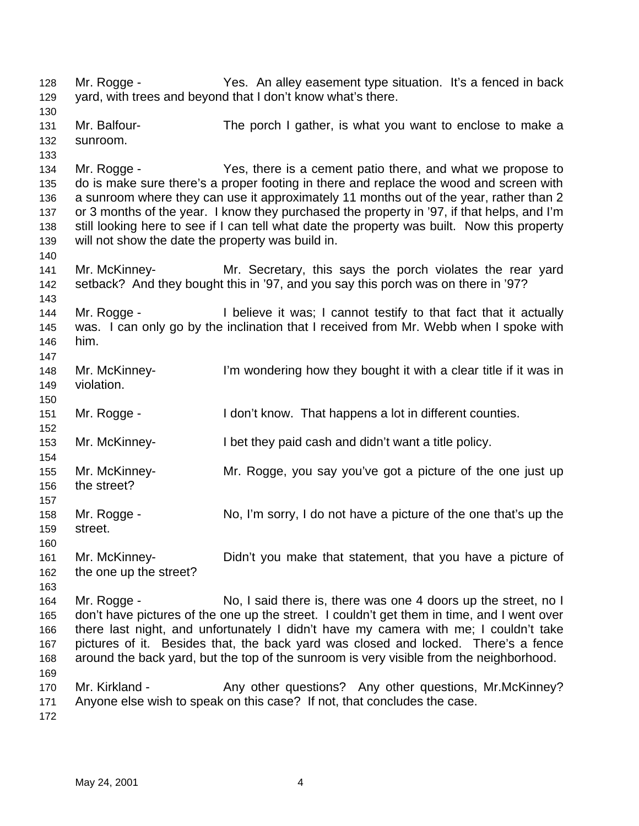Mr. Rogge - Yes. An alley easement type situation. It's a fenced in back yard, with trees and beyond that I don't know what's there. Mr. Balfour- The porch I gather, is what you want to enclose to make a sunroom. Mr. Rogge - Yes, there is a cement patio there, and what we propose to do is make sure there's a proper footing in there and replace the wood and screen with a sunroom where they can use it approximately 11 months out of the year, rather than 2 or 3 months of the year. I know they purchased the property in '97, if that helps, and I'm still looking here to see if I can tell what date the property was built. Now this property will not show the date the property was build in. Mr. McKinney- Mr. Secretary, this says the porch violates the rear yard setback? And they bought this in '97, and you say this porch was on there in '97? Mr. Rogge - I believe it was; I cannot testify to that fact that it actually was. I can only go by the inclination that I received from Mr. Webb when I spoke with him. Mr. McKinney- I'm wondering how they bought it with a clear title if it was in violation. Mr. Rogge - I don't know. That happens a lot in different counties. Mr. McKinney- I bet they paid cash and didn't want a title policy. Mr. McKinney- Mr. Rogge, you say you've got a picture of the one just up the street? Mr. Rogge - No, I'm sorry, I do not have a picture of the one that's up the street. Mr. McKinney- Didn't you make that statement, that you have a picture of the one up the street? Mr. Rogge - No, I said there is, there was one 4 doors up the street, no I don't have pictures of the one up the street. I couldn't get them in time, and I went over there last night, and unfortunately I didn't have my camera with me; I couldn't take pictures of it. Besides that, the back yard was closed and locked. There's a fence around the back yard, but the top of the sunroom is very visible from the neighborhood. 170 Mr. Kirkland - Any other questions? Any other questions, Mr.McKinney? Anyone else wish to speak on this case? If not, that concludes the case.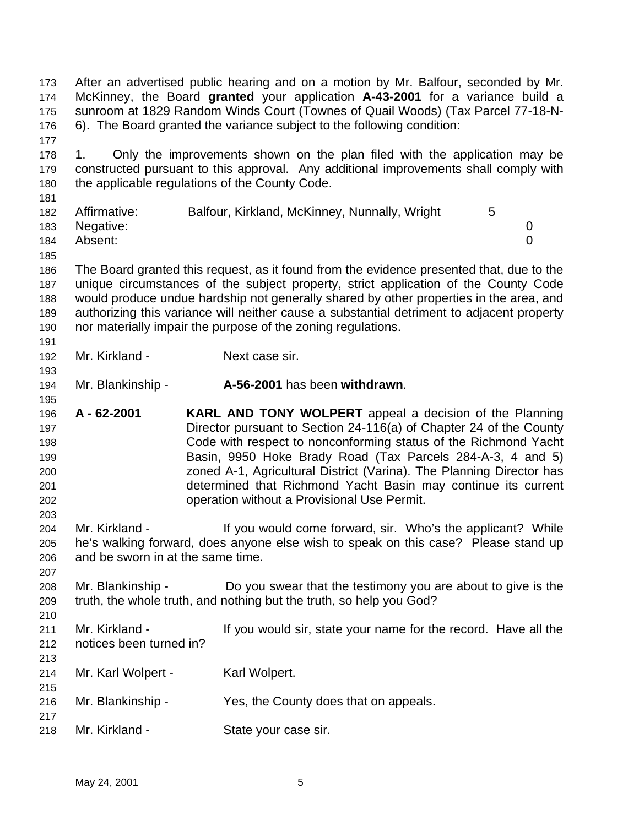After an advertised public hearing and on a motion by Mr. Balfour, seconded by Mr. McKinney, the Board **granted** your application **A-43-2001** for a variance build a sunroom at 1829 Random Winds Court (Townes of Quail Woods) (Tax Parcel 77-18-N- 6). The Board granted the variance subject to the following condition: 1. Only the improvements shown on the plan filed with the application may be constructed pursuant to this approval. Any additional improvements shall comply with the applicable regulations of the County Code. 182 Affirmative: Balfour, Kirkland, McKinney, Nunnally, Wright 5 Negative: 0 Absent: 0 The Board granted this request, as it found from the evidence presented that, due to the unique circumstances of the subject property, strict application of the County Code would produce undue hardship not generally shared by other properties in the area, and authorizing this variance will neither cause a substantial detriment to adjacent property nor materially impair the purpose of the zoning regulations. Mr. Kirkland - Next case sir. Mr. Blankinship - **A-56-2001** has been **withdrawn**. **A - 62-2001 KARL AND TONY WOLPERT** appeal a decision of the Planning Director pursuant to Section 24-116(a) of Chapter 24 of the County Code with respect to nonconforming status of the Richmond Yacht Basin, 9950 Hoke Brady Road (Tax Parcels 284-A-3, 4 and 5) zoned A-1, Agricultural District (Varina). The Planning Director has determined that Richmond Yacht Basin may continue its current operation without a Provisional Use Permit. Mr. Kirkland - If you would come forward, sir. Who's the applicant? While he's walking forward, does anyone else wish to speak on this case? Please stand up and be sworn in at the same time. Mr. Blankinship - Do you swear that the testimony you are about to give is the truth, the whole truth, and nothing but the truth, so help you God? 211 Mr. Kirkland - If you would sir, state your name for the record. Have all the notices been turned in? 214 Mr. Karl Wolpert - Karl Wolpert. Mr. Blankinship - Yes, the County does that on appeals. Mr. Kirkland - State your case sir.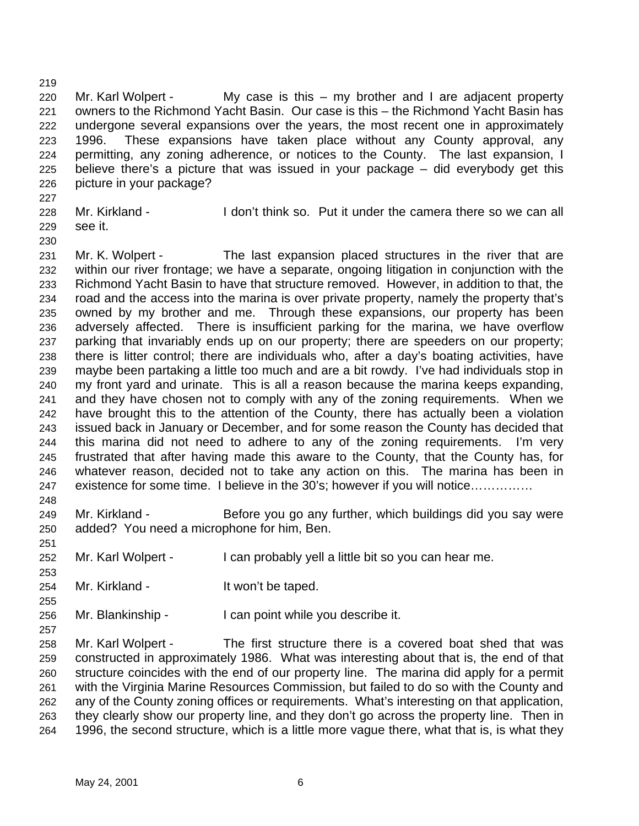Mr. Karl Wolpert - My case is this – my brother and I are adjacent property owners to the Richmond Yacht Basin. Our case is this – the Richmond Yacht Basin has undergone several expansions over the years, the most recent one in approximately 1996. These expansions have taken place without any County approval, any permitting, any zoning adherence, or notices to the County. The last expansion, I believe there's a picture that was issued in your package – did everybody get this picture in your package?

- Mr. Kirkland I don't think so. Put it under the camera there so we can all see it.
- 

 Mr. K. Wolpert - The last expansion placed structures in the river that are within our river frontage; we have a separate, ongoing litigation in conjunction with the Richmond Yacht Basin to have that structure removed. However, in addition to that, the road and the access into the marina is over private property, namely the property that's owned by my brother and me. Through these expansions, our property has been adversely affected. There is insufficient parking for the marina, we have overflow parking that invariably ends up on our property; there are speeders on our property; there is litter control; there are individuals who, after a day's boating activities, have maybe been partaking a little too much and are a bit rowdy. I've had individuals stop in my front yard and urinate. This is all a reason because the marina keeps expanding, and they have chosen not to comply with any of the zoning requirements. When we have brought this to the attention of the County, there has actually been a violation issued back in January or December, and for some reason the County has decided that this marina did not need to adhere to any of the zoning requirements. I'm very frustrated that after having made this aware to the County, that the County has, for whatever reason, decided not to take any action on this. The marina has been in existence for some time. I believe in the 30's; however if you will notice…………… 

- Mr. Kirkland Before you go any further, which buildings did you say were added? You need a microphone for him, Ben.
- 

- Mr. Karl Wolpert I can probably yell a little bit so you can hear me.
- Mr. Kirkland It won't be taped.

Mr. Blankinship - I can point while you describe it.

 Mr. Karl Wolpert - The first structure there is a covered boat shed that was constructed in approximately 1986. What was interesting about that is, the end of that structure coincides with the end of our property line. The marina did apply for a permit with the Virginia Marine Resources Commission, but failed to do so with the County and any of the County zoning offices or requirements. What's interesting on that application, they clearly show our property line, and they don't go across the property line. Then in 1996, the second structure, which is a little more vague there, what that is, is what they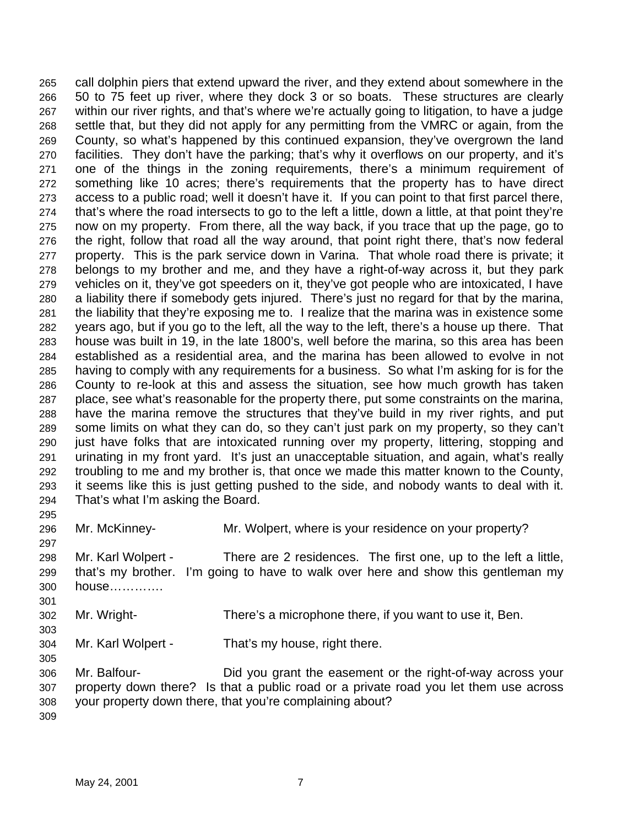call dolphin piers that extend upward the river, and they extend about somewhere in the 50 to 75 feet up river, where they dock 3 or so boats. These structures are clearly within our river rights, and that's where we're actually going to litigation, to have a judge settle that, but they did not apply for any permitting from the VMRC or again, from the County, so what's happened by this continued expansion, they've overgrown the land facilities. They don't have the parking; that's why it overflows on our property, and it's one of the things in the zoning requirements, there's a minimum requirement of something like 10 acres; there's requirements that the property has to have direct access to a public road; well it doesn't have it. If you can point to that first parcel there, that's where the road intersects to go to the left a little, down a little, at that point they're now on my property. From there, all the way back, if you trace that up the page, go to the right, follow that road all the way around, that point right there, that's now federal property. This is the park service down in Varina. That whole road there is private; it belongs to my brother and me, and they have a right-of-way across it, but they park vehicles on it, they've got speeders on it, they've got people who are intoxicated, I have a liability there if somebody gets injured. There's just no regard for that by the marina, the liability that they're exposing me to. I realize that the marina was in existence some years ago, but if you go to the left, all the way to the left, there's a house up there. That house was built in 19, in the late 1800's, well before the marina, so this area has been established as a residential area, and the marina has been allowed to evolve in not having to comply with any requirements for a business. So what I'm asking for is for the County to re-look at this and assess the situation, see how much growth has taken place, see what's reasonable for the property there, put some constraints on the marina, have the marina remove the structures that they've build in my river rights, and put some limits on what they can do, so they can't just park on my property, so they can't just have folks that are intoxicated running over my property, littering, stopping and urinating in my front yard. It's just an unacceptable situation, and again, what's really troubling to me and my brother is, that once we made this matter known to the County, it seems like this is just getting pushed to the side, and nobody wants to deal with it. That's what I'm asking the Board. 

Mr. McKinney- Mr. Wolpert, where is your residence on your property?

 Mr. Karl Wolpert - There are 2 residences. The first one, up to the left a little, that's my brother. I'm going to have to walk over here and show this gentleman my house………….

- Mr. Wright- There's a microphone there, if you want to use it, Ben.
- 

Mr. Karl Wolpert - That's my house, right there.

 Mr. Balfour- Did you grant the easement or the right-of-way across your property down there? Is that a public road or a private road you let them use across your property down there, that you're complaining about?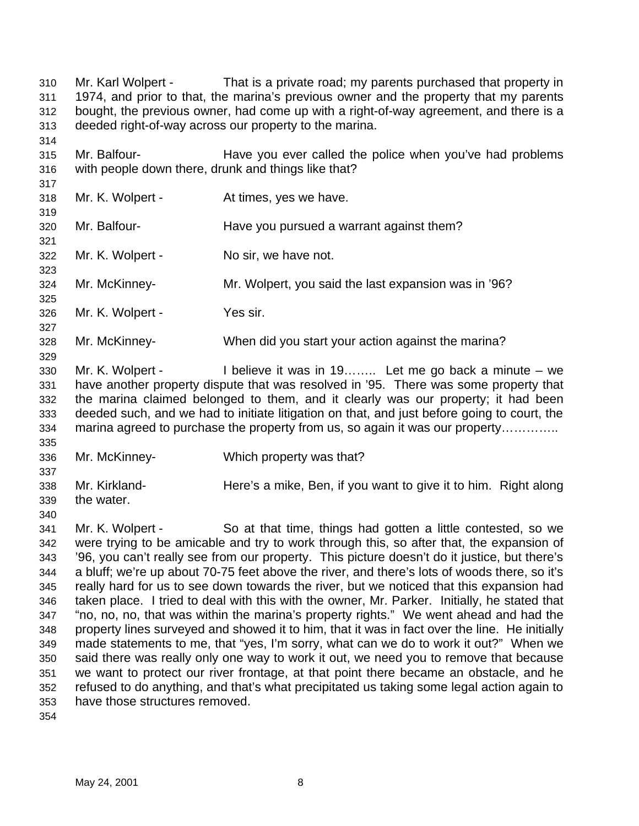Mr. Karl Wolpert - That is a private road; my parents purchased that property in 1974, and prior to that, the marina's previous owner and the property that my parents bought, the previous owner, had come up with a right-of-way agreement, and there is a deeded right-of-way across our property to the marina. Mr. Balfour- Have you ever called the police when you've had problems with people down there, drunk and things like that? Mr. K. Wolpert - At times, yes we have. Mr. Balfour- Have you pursued a warrant against them? Mr. K. Wolpert - No sir, we have not. Mr. McKinney- Mr. Wolpert, you said the last expansion was in '96? Mr. K. Wolpert - Yes sir. Mr. McKinney- When did you start your action against the marina? Mr. K. Wolpert - I believe it was in 19…….. Let me go back a minute – we have another property dispute that was resolved in '95. There was some property that the marina claimed belonged to them, and it clearly was our property; it had been deeded such, and we had to initiate litigation on that, and just before going to court, the marina agreed to purchase the property from us, so again it was our property………….. Mr. McKinney- Which property was that? Mr. Kirkland- Here's a mike, Ben, if you want to give it to him. Right along the water. Mr. K. Wolpert - So at that time, things had gotten a little contested, so we were trying to be amicable and try to work through this, so after that, the expansion of '96, you can't really see from our property. This picture doesn't do it justice, but there's a bluff; we're up about 70-75 feet above the river, and there's lots of woods there, so it's really hard for us to see down towards the river, but we noticed that this expansion had taken place. I tried to deal with this with the owner, Mr. Parker. Initially, he stated that "no, no, no, that was within the marina's property rights." We went ahead and had the property lines surveyed and showed it to him, that it was in fact over the line. He initially made statements to me, that "yes, I'm sorry, what can we do to work it out?" When we said there was really only one way to work it out, we need you to remove that because we want to protect our river frontage, at that point there became an obstacle, and he refused to do anything, and that's what precipitated us taking some legal action again to have those structures removed.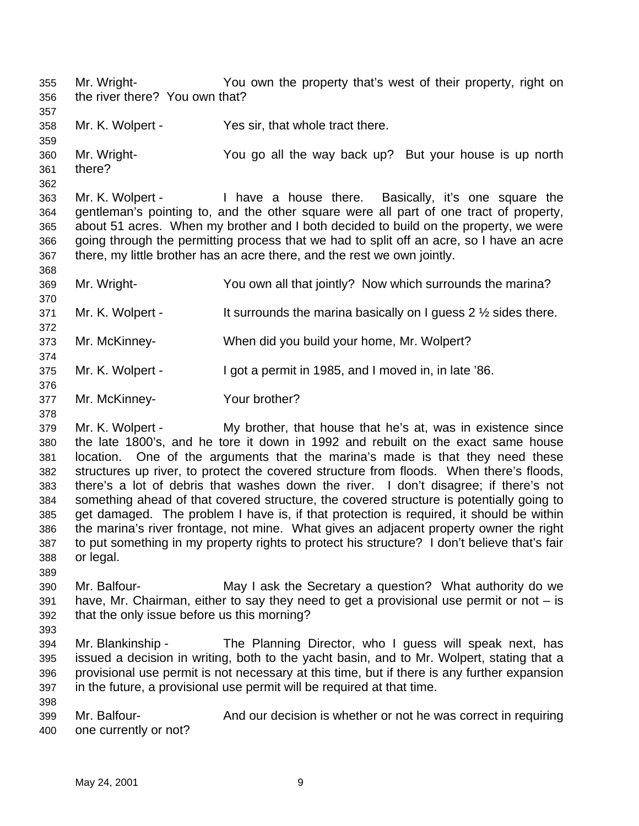Mr. Wright- You own the property that's west of their property, right on the river there? You own that? Mr. K. Wolpert - Yes sir, that whole tract there. Mr. Wright- You go all the way back up? But your house is up north there? Mr. K. Wolpert - I have a house there. Basically, it's one square the gentleman's pointing to, and the other square were all part of one tract of property, about 51 acres. When my brother and I both decided to build on the property, we were going through the permitting process that we had to split off an acre, so I have an acre there, my little brother has an acre there, and the rest we own jointly. Mr. Wright- You own all that jointly? Now which surrounds the marina? 371 Mr. K. Wolpert - It surrounds the marina basically on I guess  $2\frac{1}{2}$  sides there. Mr. McKinney- When did you build your home, Mr. Wolpert? Mr. K. Wolpert - I got a permit in 1985, and I moved in, in late '86. Mr. McKinney- Your brother? Mr. K. Wolpert - My brother, that house that he's at, was in existence since the late 1800's, and he tore it down in 1992 and rebuilt on the exact same house location. One of the arguments that the marina's made is that they need these structures up river, to protect the covered structure from floods. When there's floods, there's a lot of debris that washes down the river. I don't disagree; if there's not something ahead of that covered structure, the covered structure is potentially going to get damaged. The problem I have is, if that protection is required, it should be within the marina's river frontage, not mine. What gives an adjacent property owner the right to put something in my property rights to protect his structure? I don't believe that's fair or legal. Mr. Balfour- May I ask the Secretary a question? What authority do we have, Mr. Chairman, either to say they need to get a provisional use permit or not  $-$  is that the only issue before us this morning? Mr. Blankinship - The Planning Director, who I guess will speak next, has issued a decision in writing, both to the yacht basin, and to Mr. Wolpert, stating that a provisional use permit is not necessary at this time, but if there is any further expansion in the future, a provisional use permit will be required at that time. Mr. Balfour- And our decision is whether or not he was correct in requiring

one currently or not?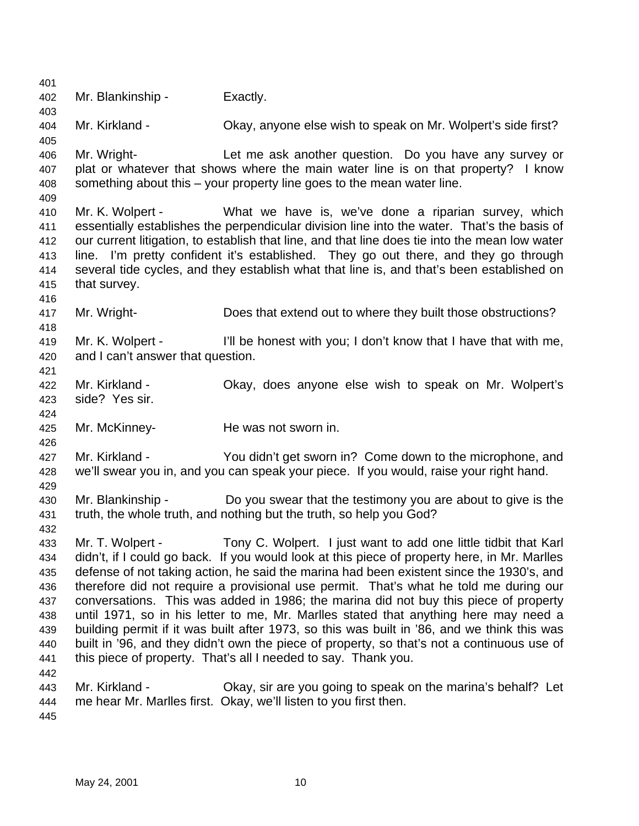Mr. Blankinship - Exactly. Mr. Kirkland - Okay, anyone else wish to speak on Mr. Wolpert's side first? Mr. Wright- Let me ask another question. Do you have any survey or plat or whatever that shows where the main water line is on that property? I know something about this – your property line goes to the mean water line. Mr. K. Wolpert - What we have is, we've done a riparian survey, which essentially establishes the perpendicular division line into the water. That's the basis of our current litigation, to establish that line, and that line does tie into the mean low water line. I'm pretty confident it's established. They go out there, and they go through several tide cycles, and they establish what that line is, and that's been established on that survey. Mr. Wright- Does that extend out to where they built those obstructions? Mr. K. Wolpert - I'll be honest with you; I don't know that I have that with me, and I can't answer that question. Mr. Kirkland - Okay, does anyone else wish to speak on Mr. Wolpert's side? Yes sir. Mr. McKinney- He was not sworn in. Mr. Kirkland - You didn't get sworn in? Come down to the microphone, and we'll swear you in, and you can speak your piece. If you would, raise your right hand. Mr. Blankinship - Do you swear that the testimony you are about to give is the truth, the whole truth, and nothing but the truth, so help you God? Mr. T. Wolpert - Tony C. Wolpert. I just want to add one little tidbit that Karl didn't, if I could go back. If you would look at this piece of property here, in Mr. Marlles defense of not taking action, he said the marina had been existent since the 1930's, and therefore did not require a provisional use permit. That's what he told me during our conversations. This was added in 1986; the marina did not buy this piece of property until 1971, so in his letter to me, Mr. Marlles stated that anything here may need a building permit if it was built after 1973, so this was built in '86, and we think this was built in '96, and they didn't own the piece of property, so that's not a continuous use of this piece of property. That's all I needed to say. Thank you. Mr. Kirkland - Okay, sir are you going to speak on the marina's behalf? Let me hear Mr. Marlles first. Okay, we'll listen to you first then.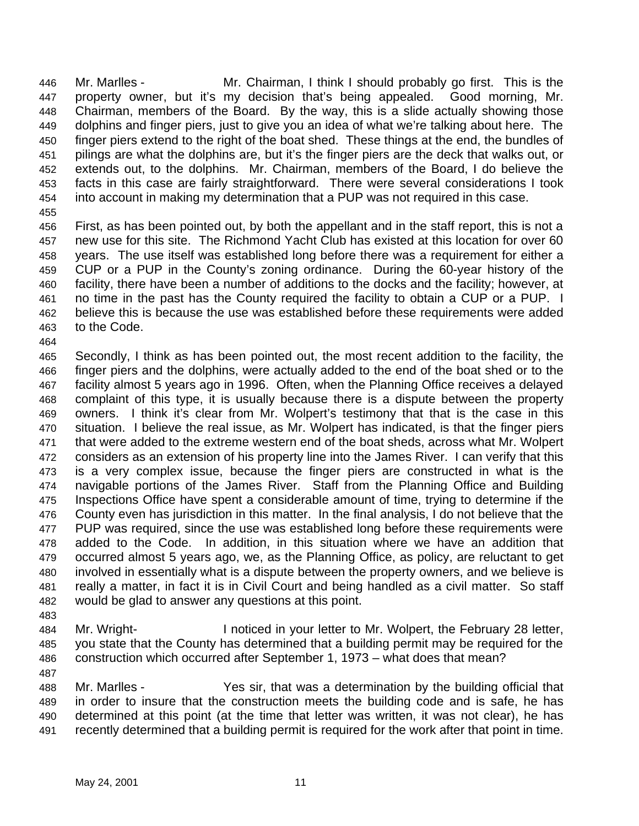Mr. Marlles - Mr. Chairman, I think I should probably go first. This is the property owner, but it's my decision that's being appealed. Good morning, Mr. Chairman, members of the Board. By the way, this is a slide actually showing those dolphins and finger piers, just to give you an idea of what we're talking about here. The finger piers extend to the right of the boat shed. These things at the end, the bundles of pilings are what the dolphins are, but it's the finger piers are the deck that walks out, or extends out, to the dolphins. Mr. Chairman, members of the Board, I do believe the facts in this case are fairly straightforward. There were several considerations I took into account in making my determination that a PUP was not required in this case.

 First, as has been pointed out, by both the appellant and in the staff report, this is not a new use for this site. The Richmond Yacht Club has existed at this location for over 60 years. The use itself was established long before there was a requirement for either a CUP or a PUP in the County's zoning ordinance. During the 60-year history of the facility, there have been a number of additions to the docks and the facility; however, at no time in the past has the County required the facility to obtain a CUP or a PUP. I believe this is because the use was established before these requirements were added to the Code.

 Secondly, I think as has been pointed out, the most recent addition to the facility, the finger piers and the dolphins, were actually added to the end of the boat shed or to the facility almost 5 years ago in 1996. Often, when the Planning Office receives a delayed complaint of this type, it is usually because there is a dispute between the property owners. I think it's clear from Mr. Wolpert's testimony that that is the case in this situation. I believe the real issue, as Mr. Wolpert has indicated, is that the finger piers that were added to the extreme western end of the boat sheds, across what Mr. Wolpert considers as an extension of his property line into the James River. I can verify that this is a very complex issue, because the finger piers are constructed in what is the navigable portions of the James River. Staff from the Planning Office and Building Inspections Office have spent a considerable amount of time, trying to determine if the County even has jurisdiction in this matter. In the final analysis, I do not believe that the PUP was required, since the use was established long before these requirements were added to the Code. In addition, in this situation where we have an addition that occurred almost 5 years ago, we, as the Planning Office, as policy, are reluctant to get involved in essentially what is a dispute between the property owners, and we believe is really a matter, in fact it is in Civil Court and being handled as a civil matter. So staff would be glad to answer any questions at this point. 

 Mr. Wright- I noticed in your letter to Mr. Wolpert, the February 28 letter, you state that the County has determined that a building permit may be required for the construction which occurred after September 1, 1973 – what does that mean?

 Mr. Marlles - Yes sir, that was a determination by the building official that in order to insure that the construction meets the building code and is safe, he has determined at this point (at the time that letter was written, it was not clear), he has recently determined that a building permit is required for the work after that point in time.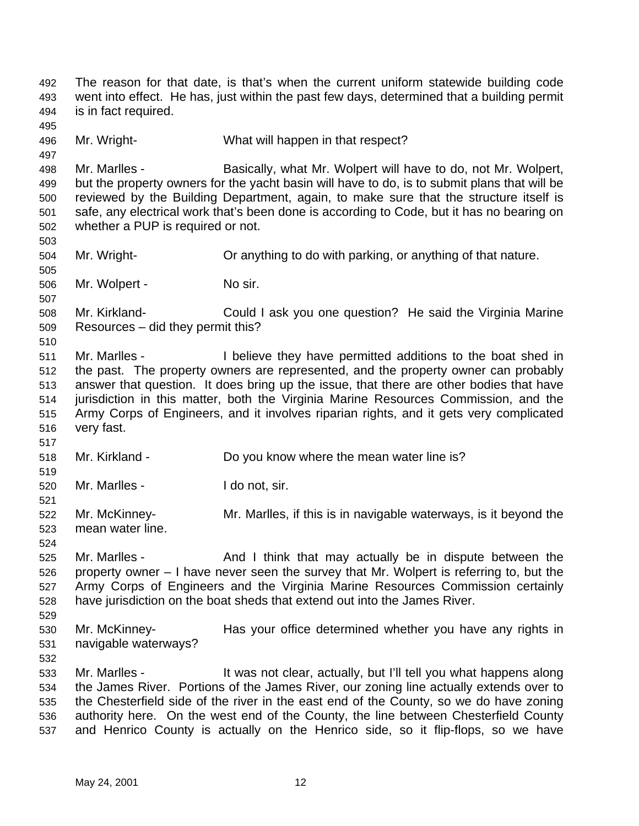The reason for that date, is that's when the current uniform statewide building code went into effect. He has, just within the past few days, determined that a building permit is in fact required. Mr. Wright- What will happen in that respect? Mr. Marlles - Basically, what Mr. Wolpert will have to do, not Mr. Wolpert, but the property owners for the yacht basin will have to do, is to submit plans that will be reviewed by the Building Department, again, to make sure that the structure itself is safe, any electrical work that's been done is according to Code, but it has no bearing on whether a PUP is required or not. Mr. Wright- Or anything to do with parking, or anything of that nature. Mr. Wolpert - No sir. Mr. Kirkland- Could I ask you one question? He said the Virginia Marine Resources – did they permit this? Mr. Marlles - I believe they have permitted additions to the boat shed in the past. The property owners are represented, and the property owner can probably answer that question. It does bring up the issue, that there are other bodies that have jurisdiction in this matter, both the Virginia Marine Resources Commission, and the Army Corps of Engineers, and it involves riparian rights, and it gets very complicated very fast. Mr. Kirkland - Do you know where the mean water line is? Mr. Marlles - I do not, sir. Mr. McKinney- Mr. Marlles, if this is in navigable waterways, is it beyond the mean water line. 525 Mr. Marlles - And I think that may actually be in dispute between the property owner – I have never seen the survey that Mr. Wolpert is referring to, but the Army Corps of Engineers and the Virginia Marine Resources Commission certainly have jurisdiction on the boat sheds that extend out into the James River. Mr. McKinney- Has your office determined whether you have any rights in navigable waterways? Mr. Marlles - It was not clear, actually, but I'll tell you what happens along the James River. Portions of the James River, our zoning line actually extends over to the Chesterfield side of the river in the east end of the County, so we do have zoning authority here. On the west end of the County, the line between Chesterfield County and Henrico County is actually on the Henrico side, so it flip-flops, so we have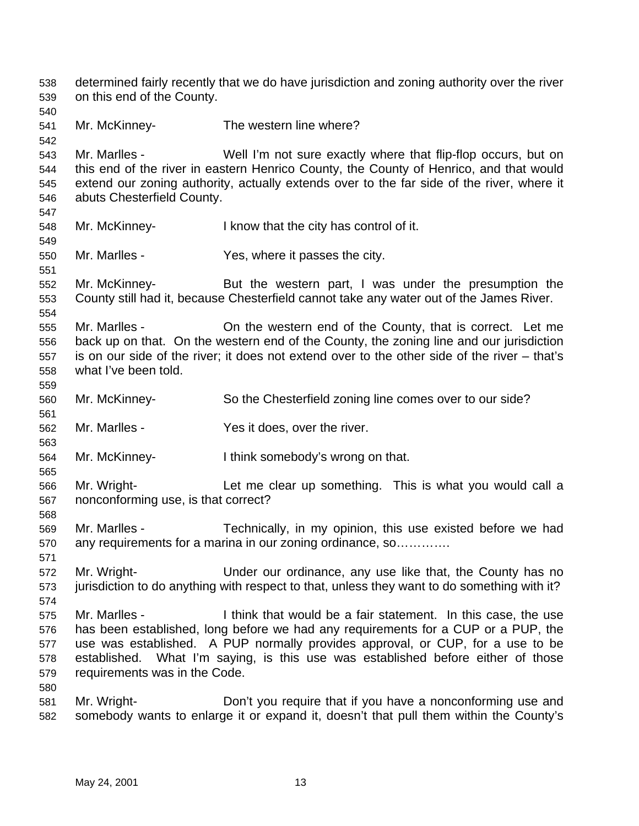determined fairly recently that we do have jurisdiction and zoning authority over the river on this end of the County. Mr. McKinney- The western line where? Mr. Marlles - Well I'm not sure exactly where that flip-flop occurs, but on this end of the river in eastern Henrico County, the County of Henrico, and that would extend our zoning authority, actually extends over to the far side of the river, where it abuts Chesterfield County. Mr. McKinney- I know that the city has control of it. Mr. Marlles - Yes, where it passes the city. Mr. McKinney- But the western part, I was under the presumption the County still had it, because Chesterfield cannot take any water out of the James River. Mr. Marlles - On the western end of the County, that is correct. Let me back up on that. On the western end of the County, the zoning line and our jurisdiction is on our side of the river; it does not extend over to the other side of the river – that's what I've been told. Mr. McKinney- So the Chesterfield zoning line comes over to our side? Mr. Marlles - Yes it does, over the river. Mr. McKinney- I think somebody's wrong on that. Mr. Wright- Let me clear up something. This is what you would call a nonconforming use, is that correct? Mr. Marlles - Technically, in my opinion, this use existed before we had any requirements for a marina in our zoning ordinance, so…………. Mr. Wright- Under our ordinance, any use like that, the County has no jurisdiction to do anything with respect to that, unless they want to do something with it? Mr. Marlles - I think that would be a fair statement. In this case, the use has been established, long before we had any requirements for a CUP or a PUP, the use was established. A PUP normally provides approval, or CUP, for a use to be established. What I'm saying, is this use was established before either of those requirements was in the Code. Mr. Wright- Don't you require that if you have a nonconforming use and somebody wants to enlarge it or expand it, doesn't that pull them within the County's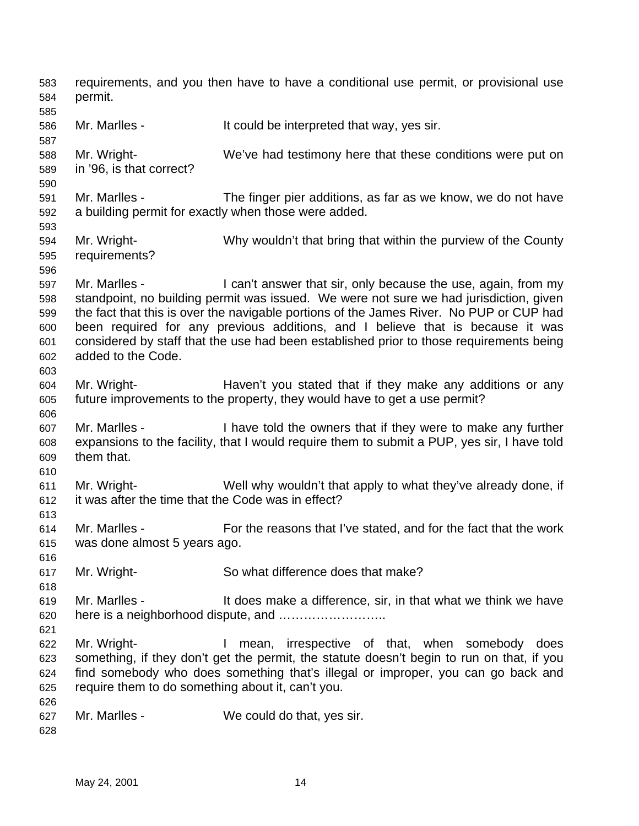requirements, and you then have to have a conditional use permit, or provisional use permit. Mr. Marlles - It could be interpreted that way, yes sir. Mr. Wright- We've had testimony here that these conditions were put on in '96, is that correct? Mr. Marlles - The finger pier additions, as far as we know, we do not have a building permit for exactly when those were added. Mr. Wright- Why wouldn't that bring that within the purview of the County requirements? 597 Mr. Marlles - I can't answer that sir, only because the use, again, from my standpoint, no building permit was issued. We were not sure we had jurisdiction, given the fact that this is over the navigable portions of the James River. No PUP or CUP had been required for any previous additions, and I believe that is because it was considered by staff that the use had been established prior to those requirements being added to the Code. Mr. Wright- Haven't you stated that if they make any additions or any future improvements to the property, they would have to get a use permit? Mr. Marlles - I have told the owners that if they were to make any further expansions to the facility, that I would require them to submit a PUP, yes sir, I have told them that. Mr. Wright- Well why wouldn't that apply to what they've already done, if it was after the time that the Code was in effect? Mr. Marlles - For the reasons that I've stated, and for the fact that the work was done almost 5 years ago. Mr. Wright- So what difference does that make? Mr. Marlles - It does make a difference, sir, in that what we think we have here is a neighborhood dispute, and …………………….. Mr. Wright- I mean, irrespective of that, when somebody does something, if they don't get the permit, the statute doesn't begin to run on that, if you find somebody who does something that's illegal or improper, you can go back and require them to do something about it, can't you. Mr. Marlles - We could do that, yes sir.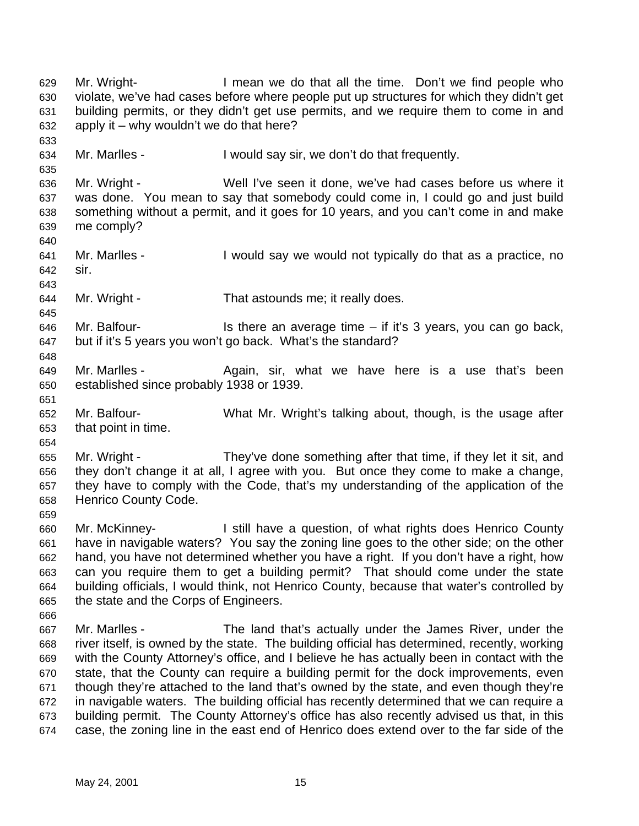Mr. Wright- I mean we do that all the time. Don't we find people who violate, we've had cases before where people put up structures for which they didn't get building permits, or they didn't get use permits, and we require them to come in and apply it – why wouldn't we do that here? Mr. Marlles - I would say sir, we don't do that frequently. Mr. Wright - Well I've seen it done, we've had cases before us where it was done. You mean to say that somebody could come in, I could go and just build something without a permit, and it goes for 10 years, and you can't come in and make me comply? Mr. Marlles - I would say we would not typically do that as a practice, no sir. Mr. Wright - That astounds me; it really does. Mr. Balfour- Is there an average time  $-$  if it's 3 years, you can go back, but if it's 5 years you won't go back. What's the standard? Mr. Marlles - Again, sir, what we have here is a use that's been established since probably 1938 or 1939. Mr. Balfour- What Mr. Wright's talking about, though, is the usage after that point in time. Mr. Wright - They've done something after that time, if they let it sit, and they don't change it at all, I agree with you. But once they come to make a change, they have to comply with the Code, that's my understanding of the application of the Henrico County Code. Mr. McKinney- I still have a question, of what rights does Henrico County have in navigable waters? You say the zoning line goes to the other side; on the other hand, you have not determined whether you have a right. If you don't have a right, how can you require them to get a building permit? That should come under the state building officials, I would think, not Henrico County, because that water's controlled by the state and the Corps of Engineers. Mr. Marlles - The land that's actually under the James River, under the river itself, is owned by the state. The building official has determined, recently, working with the County Attorney's office, and I believe he has actually been in contact with the state, that the County can require a building permit for the dock improvements, even though they're attached to the land that's owned by the state, and even though they're in navigable waters. The building official has recently determined that we can require a building permit. The County Attorney's office has also recently advised us that, in this case, the zoning line in the east end of Henrico does extend over to the far side of the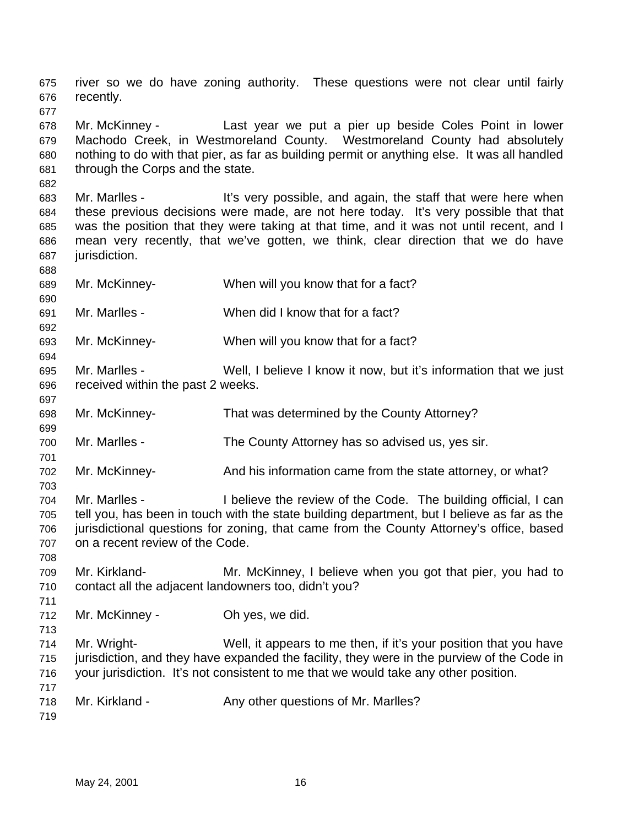river so we do have zoning authority. These questions were not clear until fairly recently. Mr. McKinney - Last year we put a pier up beside Coles Point in lower Machodo Creek, in Westmoreland County. Westmoreland County had absolutely nothing to do with that pier, as far as building permit or anything else. It was all handled through the Corps and the state. Mr. Marlles - It's very possible, and again, the staff that were here when these previous decisions were made, are not here today. It's very possible that that was the position that they were taking at that time, and it was not until recent, and I mean very recently, that we've gotten, we think, clear direction that we do have jurisdiction. Mr. McKinney- When will you know that for a fact? Mr. Marlles - When did I know that for a fact? Mr. McKinney- When will you know that for a fact? Mr. Marlles - Well, I believe I know it now, but it's information that we just received within the past 2 weeks. Mr. McKinney- That was determined by the County Attorney? Mr. Marlles - The County Attorney has so advised us, yes sir. Mr. McKinney- And his information came from the state attorney, or what? Mr. Marlles - I believe the review of the Code. The building official, I can tell you, has been in touch with the state building department, but I believe as far as the jurisdictional questions for zoning, that came from the County Attorney's office, based on a recent review of the Code. Mr. Kirkland- Mr. McKinney, I believe when you got that pier, you had to contact all the adjacent landowners too, didn't you? Mr. McKinney - Oh yes, we did. Mr. Wright- Well, it appears to me then, if it's your position that you have jurisdiction, and they have expanded the facility, they were in the purview of the Code in your jurisdiction. It's not consistent to me that we would take any other position. 718 Mr. Kirkland - Any other questions of Mr. Marlles?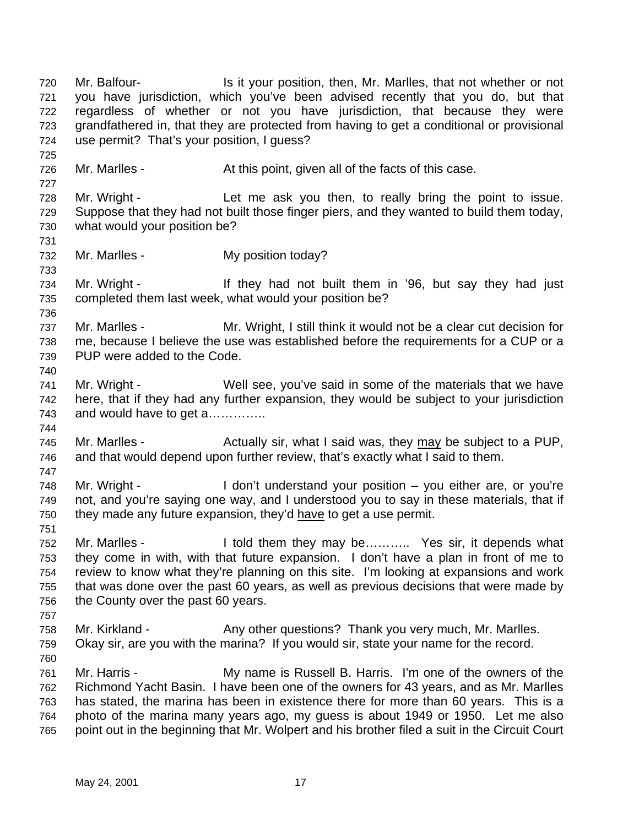Mr. Balfour- Is it your position, then, Mr. Marlles, that not whether or not you have jurisdiction, which you've been advised recently that you do, but that regardless of whether or not you have jurisdiction, that because they were grandfathered in, that they are protected from having to get a conditional or provisional use permit? That's your position, I guess? 726 Mr. Marlles - At this point, given all of the facts of this case. Mr. Wright - Let me ask you then, to really bring the point to issue. Suppose that they had not built those finger piers, and they wanted to build them today, what would your position be? Mr. Marlles - My position today? Mr. Wright - If they had not built them in '96, but say they had just completed them last week, what would your position be? Mr. Marlles - Mr. Wright, I still think it would not be a clear cut decision for me, because I believe the use was established before the requirements for a CUP or a PUP were added to the Code. Mr. Wright - Well see, you've said in some of the materials that we have here, that if they had any further expansion, they would be subject to your jurisdiction and would have to get a………….. 745 Mr. Marlles - Actually sir, what I said was, they may be subject to a PUP, and that would depend upon further review, that's exactly what I said to them. Mr. Wright - I don't understand your position – you either are, or you're not, and you're saying one way, and I understood you to say in these materials, that if they made any future expansion, they'd have to get a use permit. 752 Mr. Marlles - I told them they may be………. Yes sir, it depends what they come in with, with that future expansion. I don't have a plan in front of me to review to know what they're planning on this site. I'm looking at expansions and work that was done over the past 60 years, as well as previous decisions that were made by the County over the past 60 years. Mr. Kirkland - Any other questions? Thank you very much, Mr. Marlles. Okay sir, are you with the marina? If you would sir, state your name for the record. Mr. Harris - My name is Russell B. Harris. I'm one of the owners of the Richmond Yacht Basin. I have been one of the owners for 43 years, and as Mr. Marlles has stated, the marina has been in existence there for more than 60 years. This is a photo of the marina many years ago, my guess is about 1949 or 1950. Let me also point out in the beginning that Mr. Wolpert and his brother filed a suit in the Circuit Court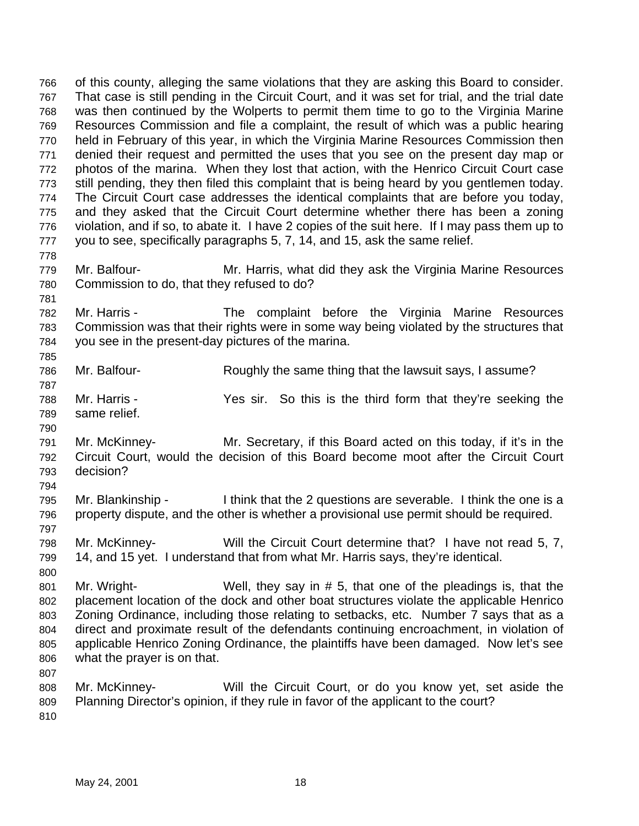of this county, alleging the same violations that they are asking this Board to consider. That case is still pending in the Circuit Court, and it was set for trial, and the trial date was then continued by the Wolperts to permit them time to go to the Virginia Marine Resources Commission and file a complaint, the result of which was a public hearing held in February of this year, in which the Virginia Marine Resources Commission then denied their request and permitted the uses that you see on the present day map or photos of the marina. When they lost that action, with the Henrico Circuit Court case still pending, they then filed this complaint that is being heard by you gentlemen today. The Circuit Court case addresses the identical complaints that are before you today, and they asked that the Circuit Court determine whether there has been a zoning violation, and if so, to abate it. I have 2 copies of the suit here. If I may pass them up to you to see, specifically paragraphs 5, 7, 14, and 15, ask the same relief. Mr. Balfour- Mr. Harris, what did they ask the Virginia Marine Resources Commission to do, that they refused to do? Mr. Harris - The complaint before the Virginia Marine Resources Commission was that their rights were in some way being violated by the structures that you see in the present-day pictures of the marina. Mr. Balfour- Roughly the same thing that the lawsuit says, I assume? Mr. Harris - Yes sir. So this is the third form that they're seeking the same relief. Mr. McKinney- Mr. Secretary, if this Board acted on this today, if it's in the Circuit Court, would the decision of this Board become moot after the Circuit Court decision? Mr. Blankinship - I think that the 2 questions are severable. I think the one is a property dispute, and the other is whether a provisional use permit should be required. Mr. McKinney- Will the Circuit Court determine that? I have not read 5, 7, 14, and 15 yet. I understand that from what Mr. Harris says, they're identical. Mr. Wright- Well, they say in # 5, that one of the pleadings is, that the placement location of the dock and other boat structures violate the applicable Henrico Zoning Ordinance, including those relating to setbacks, etc. Number 7 says that as a direct and proximate result of the defendants continuing encroachment, in violation of applicable Henrico Zoning Ordinance, the plaintiffs have been damaged. Now let's see what the prayer is on that. Mr. McKinney- Will the Circuit Court, or do you know yet, set aside the Planning Director's opinion, if they rule in favor of the applicant to the court?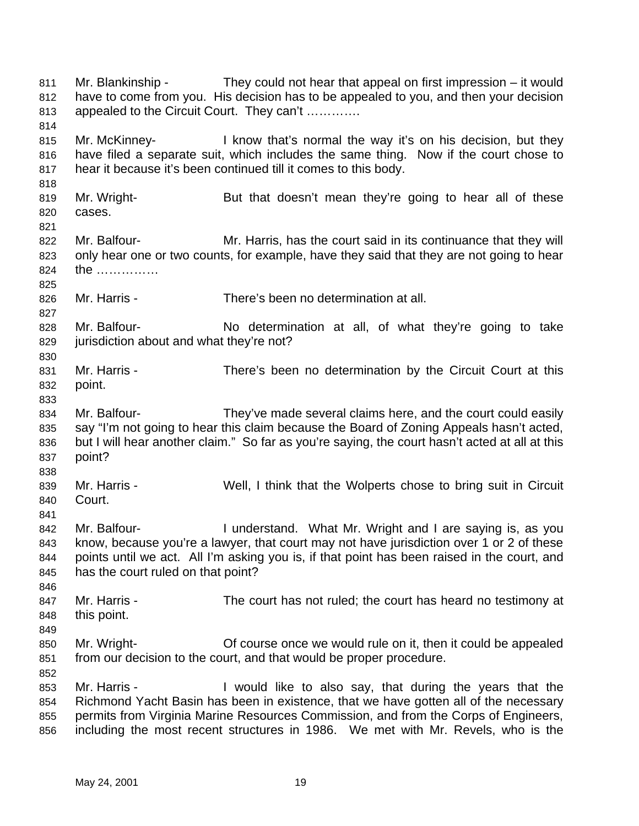Mr. Blankinship - They could not hear that appeal on first impression – it would have to come from you. His decision has to be appealed to you, and then your decision appealed to the Circuit Court. They can't …………. Mr. McKinney- I know that's normal the way it's on his decision, but they have filed a separate suit, which includes the same thing. Now if the court chose to hear it because it's been continued till it comes to this body. Mr. Wright- But that doesn't mean they're going to hear all of these cases. 822 Mr. Balfour- Mr. Harris, has the court said in its continuance that they will only hear one or two counts, for example, have they said that they are not going to hear the …………… Mr. Harris - There's been no determination at all. Mr. Balfour- No determination at all, of what they're going to take jurisdiction about and what they're not? Mr. Harris - There's been no determination by the Circuit Court at this point. Mr. Balfour- They've made several claims here, and the court could easily say "I'm not going to hear this claim because the Board of Zoning Appeals hasn't acted, but I will hear another claim." So far as you're saying, the court hasn't acted at all at this point? Mr. Harris - Well, I think that the Wolperts chose to bring suit in Circuit Court. 842 Mr. Balfour- **I** understand. What Mr. Wright and I are saying is, as you know, because you're a lawyer, that court may not have jurisdiction over 1 or 2 of these points until we act. All I'm asking you is, if that point has been raised in the court, and has the court ruled on that point? 847 Mr. Harris - The court has not ruled; the court has heard no testimony at this point. Mr. Wright- Of course once we would rule on it, then it could be appealed from our decision to the court, and that would be proper procedure. Mr. Harris - I would like to also say, that during the years that the Richmond Yacht Basin has been in existence, that we have gotten all of the necessary permits from Virginia Marine Resources Commission, and from the Corps of Engineers, including the most recent structures in 1986. We met with Mr. Revels, who is the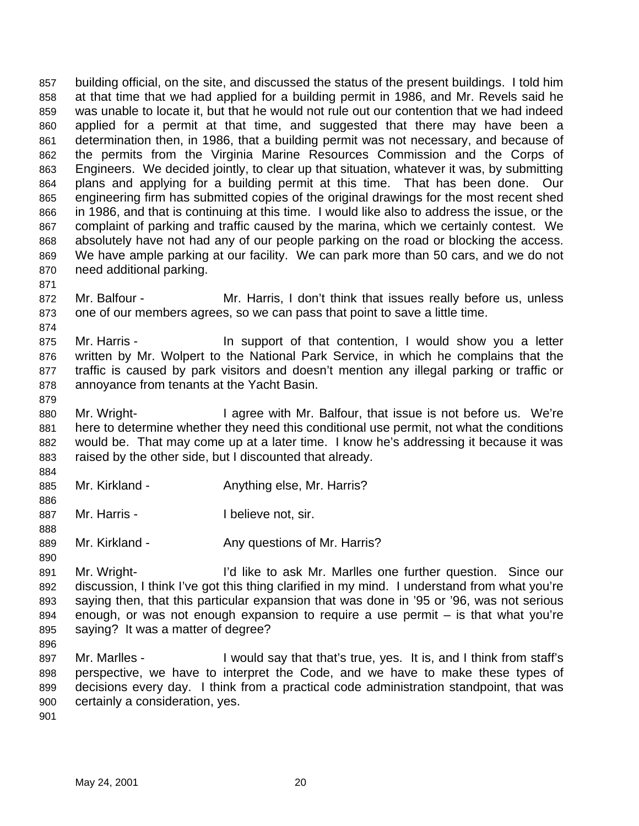building official, on the site, and discussed the status of the present buildings. I told him at that time that we had applied for a building permit in 1986, and Mr. Revels said he was unable to locate it, but that he would not rule out our contention that we had indeed applied for a permit at that time, and suggested that there may have been a determination then, in 1986, that a building permit was not necessary, and because of the permits from the Virginia Marine Resources Commission and the Corps of Engineers. We decided jointly, to clear up that situation, whatever it was, by submitting plans and applying for a building permit at this time. That has been done. Our engineering firm has submitted copies of the original drawings for the most recent shed in 1986, and that is continuing at this time. I would like also to address the issue, or the complaint of parking and traffic caused by the marina, which we certainly contest. We absolutely have not had any of our people parking on the road or blocking the access. We have ample parking at our facility. We can park more than 50 cars, and we do not need additional parking.

- 
- Mr. Balfour Mr. Harris, I don't think that issues really before us, unless one of our members agrees, so we can pass that point to save a little time.
- 875 Mr. Harris - In support of that contention, I would show you a letter written by Mr. Wolpert to the National Park Service, in which he complains that the traffic is caused by park visitors and doesn't mention any illegal parking or traffic or annoyance from tenants at the Yacht Basin.
- 

 Mr. Wright- I agree with Mr. Balfour, that issue is not before us. We're 881 here to determine whether they need this conditional use permit, not what the conditions would be. That may come up at a later time. I know he's addressing it because it was raised by the other side, but I discounted that already.

- 885 Mr. Kirkland Anything else, Mr. Harris?
- 887 Mr. Harris Ibelieve not, sir.
- 889 Mr. Kirkland Any questions of Mr. Harris?
- Mr. Wright- I'd like to ask Mr. Marlles one further question. Since our discussion, I think I've got this thing clarified in my mind. I understand from what you're saying then, that this particular expansion that was done in '95 or '96, was not serious enough, or was not enough expansion to require a use permit – is that what you're saying? It was a matter of degree?
- 
- 897 Mr. Marlles I would say that that's true, yes. It is, and I think from staff's perspective, we have to interpret the Code, and we have to make these types of decisions every day. I think from a practical code administration standpoint, that was certainly a consideration, yes.
-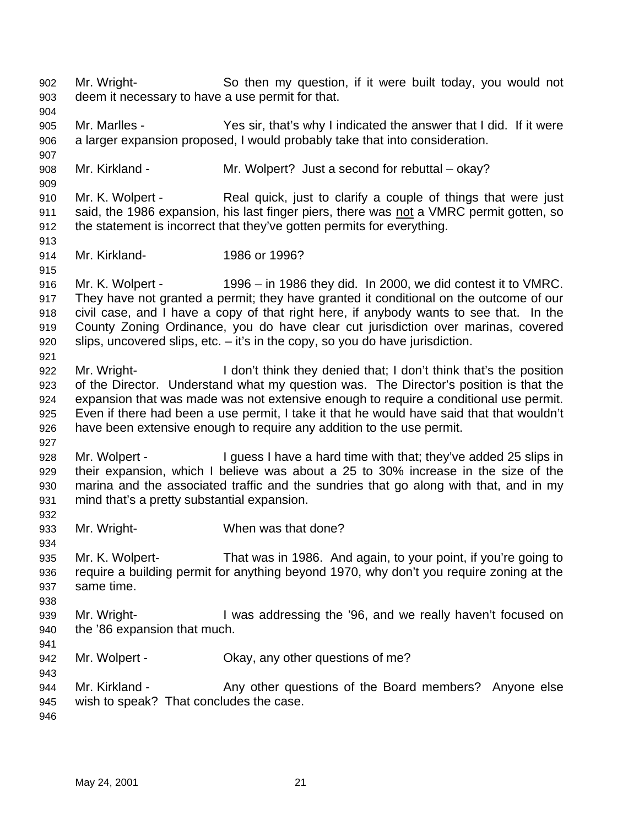Mr. Wright- So then my question, if it were built today, you would not deem it necessary to have a use permit for that. Mr. Marlles - Yes sir, that's why I indicated the answer that I did. If it were a larger expansion proposed, I would probably take that into consideration. Mr. Kirkland - Mr. Wolpert? Just a second for rebuttal – okay? Mr. K. Wolpert - Real quick, just to clarify a couple of things that were just said, the 1986 expansion, his last finger piers, there was not a VMRC permit gotten, so the statement is incorrect that they've gotten permits for everything. Mr. Kirkland- 1986 or 1996? Mr. K. Wolpert - 1996 – in 1986 they did. In 2000, we did contest it to VMRC. They have not granted a permit; they have granted it conditional on the outcome of our civil case, and I have a copy of that right here, if anybody wants to see that. In the County Zoning Ordinance, you do have clear cut jurisdiction over marinas, covered slips, uncovered slips, etc. – it's in the copy, so you do have jurisdiction. Mr. Wright- I don't think they denied that; I don't think that's the position of the Director. Understand what my question was. The Director's position is that the expansion that was made was not extensive enough to require a conditional use permit. Even if there had been a use permit, I take it that he would have said that that wouldn't have been extensive enough to require any addition to the use permit. Mr. Wolpert - I guess I have a hard time with that; they've added 25 slips in their expansion, which I believe was about a 25 to 30% increase in the size of the marina and the associated traffic and the sundries that go along with that, and in my mind that's a pretty substantial expansion. Mr. Wright- When was that done? Mr. K. Wolpert- That was in 1986. And again, to your point, if you're going to require a building permit for anything beyond 1970, why don't you require zoning at the same time. Mr. Wright- I was addressing the '96, and we really haven't focused on the '86 expansion that much. 942 Mr. Wolpert - Chay, any other questions of me? 944 Mr. Kirkland - Any other questions of the Board members? Anyone else wish to speak? That concludes the case.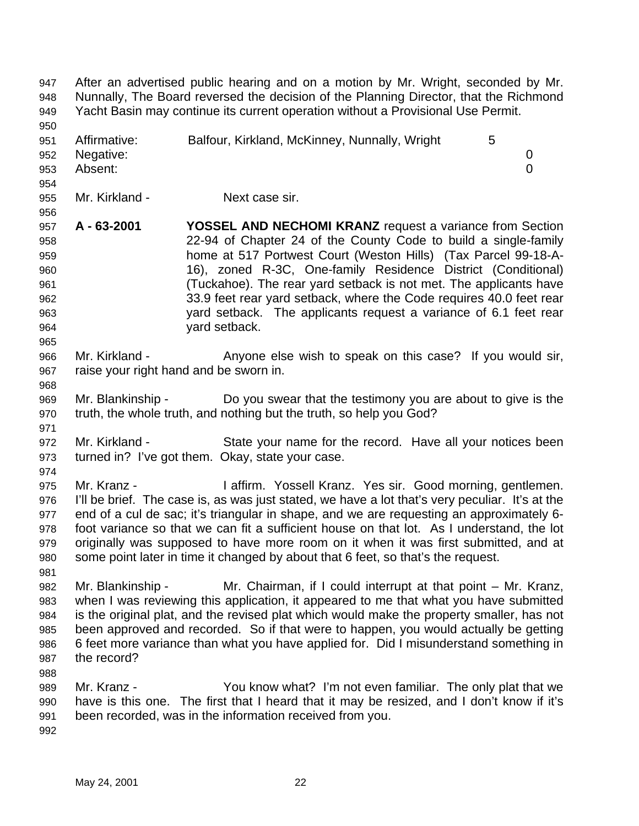After an advertised public hearing and on a motion by Mr. Wright, seconded by Mr. Nunnally, The Board reversed the decision of the Planning Director, that the Richmond Yacht Basin may continue its current operation without a Provisional Use Permit. 951 Affirmative: Balfour, Kirkland, McKinney, Nunnally, Wright 5 Negative: 0 Absent: 0 Mr. Kirkland - Next case sir. **A - 63-2001 YOSSEL AND NECHOMI KRANZ** request a variance from Section 22-94 of Chapter 24 of the County Code to build a single-family home at 517 Portwest Court (Weston Hills) (Tax Parcel 99-18-A- 16), zoned R-3C, One-family Residence District (Conditional) (Tuckahoe). The rear yard setback is not met. The applicants have 33.9 feet rear yard setback, where the Code requires 40.0 feet rear yard setback. The applicants request a variance of 6.1 feet rear yard setback. Mr. Kirkland - Anyone else wish to speak on this case? If you would sir, raise your right hand and be sworn in. Mr. Blankinship - Do you swear that the testimony you are about to give is the truth, the whole truth, and nothing but the truth, so help you God? Mr. Kirkland - State your name for the record. Have all your notices been turned in? I've got them. Okay, state your case. Mr. Kranz - I affirm. Yossell Kranz. Yes sir. Good morning, gentlemen. I'll be brief. The case is, as was just stated, we have a lot that's very peculiar. It's at the end of a cul de sac; it's triangular in shape, and we are requesting an approximately 6- foot variance so that we can fit a sufficient house on that lot. As I understand, the lot originally was supposed to have more room on it when it was first submitted, and at some point later in time it changed by about that 6 feet, so that's the request. Mr. Blankinship - Mr. Chairman, if I could interrupt at that point – Mr. Kranz, when I was reviewing this application, it appeared to me that what you have submitted is the original plat, and the revised plat which would make the property smaller, has not been approved and recorded. So if that were to happen, you would actually be getting 6 feet more variance than what you have applied for. Did I misunderstand something in the record? Mr. Kranz - You know what? I'm not even familiar. The only plat that we have is this one. The first that I heard that it may be resized, and I don't know if it's been recorded, was in the information received from you.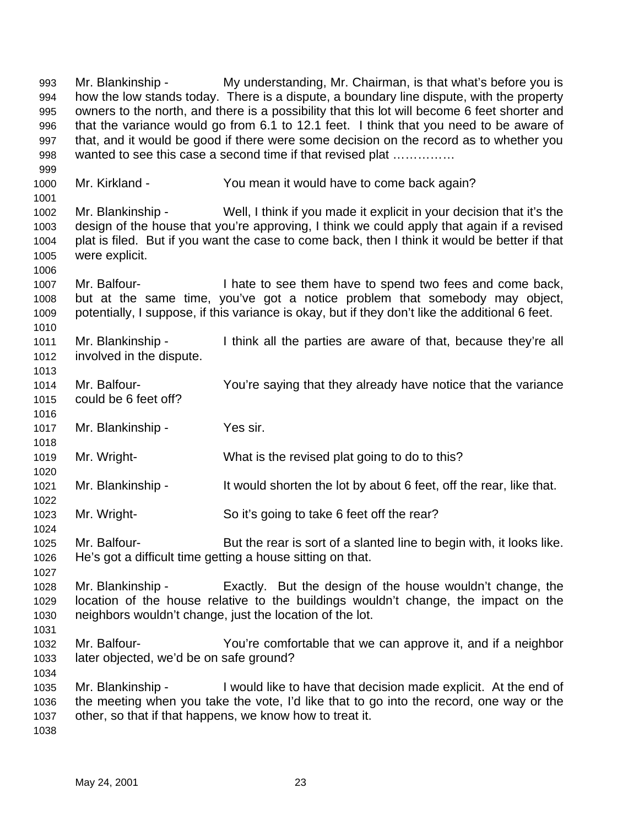Mr. Blankinship - My understanding, Mr. Chairman, is that what's before you is how the low stands today. There is a dispute, a boundary line dispute, with the property owners to the north, and there is a possibility that this lot will become 6 feet shorter and that the variance would go from 6.1 to 12.1 feet. I think that you need to be aware of that, and it would be good if there were some decision on the record as to whether you 998 wanted to see this case a second time if that revised plat ............... Mr. Kirkland - You mean it would have to come back again? Mr. Blankinship - Well, I think if you made it explicit in your decision that it's the design of the house that you're approving, I think we could apply that again if a revised plat is filed. But if you want the case to come back, then I think it would be better if that were explicit. Mr. Balfour- I hate to see them have to spend two fees and come back, but at the same time, you've got a notice problem that somebody may object, potentially, I suppose, if this variance is okay, but if they don't like the additional 6 feet. Mr. Blankinship - I think all the parties are aware of that, because they're all involved in the dispute. Mr. Balfour- You're saying that they already have notice that the variance could be 6 feet off? Mr. Blankinship - Yes sir. Mr. Wright- What is the revised plat going to do to this? Mr. Blankinship - It would shorten the lot by about 6 feet, off the rear, like that. Mr. Wright- So it's going to take 6 feet off the rear? 1025 Mr. Balfour- But the rear is sort of a slanted line to begin with, it looks like. He's got a difficult time getting a house sitting on that. Mr. Blankinship - Exactly. But the design of the house wouldn't change, the location of the house relative to the buildings wouldn't change, the impact on the neighbors wouldn't change, just the location of the lot. Mr. Balfour- You're comfortable that we can approve it, and if a neighbor later objected, we'd be on safe ground? Mr. Blankinship - I would like to have that decision made explicit. At the end of the meeting when you take the vote, I'd like that to go into the record, one way or the other, so that if that happens, we know how to treat it.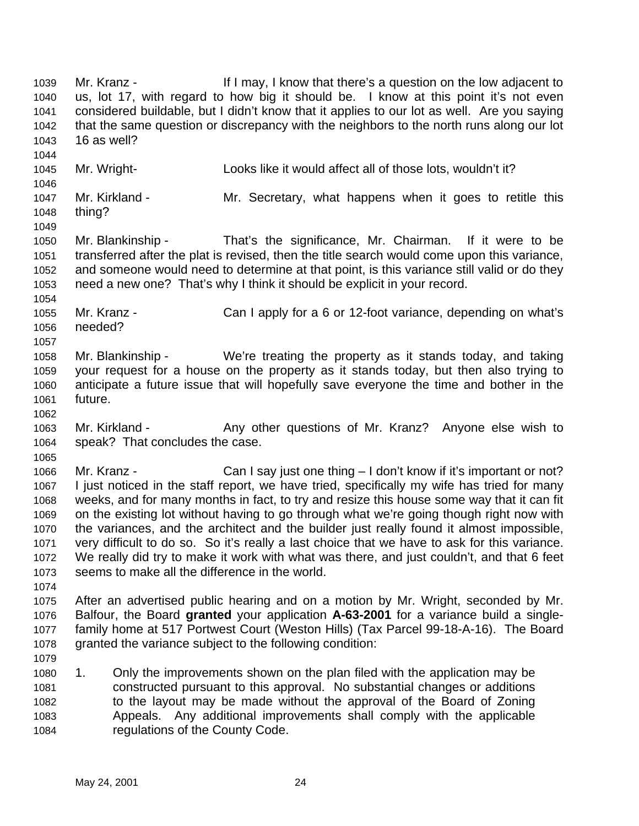Mr. Kranz - If I may, I know that there's a question on the low adjacent to us, lot 17, with regard to how big it should be. I know at this point it's not even considered buildable, but I didn't know that it applies to our lot as well. Are you saying that the same question or discrepancy with the neighbors to the north runs along our lot 16 as well? Mr. Wright- Looks like it would affect all of those lots, wouldn't it? Mr. Kirkland - Mr. Secretary, what happens when it goes to retitle this thing? Mr. Blankinship - That's the significance, Mr. Chairman. If it were to be transferred after the plat is revised, then the title search would come upon this variance, and someone would need to determine at that point, is this variance still valid or do they need a new one? That's why I think it should be explicit in your record. Mr. Kranz - Can I apply for a 6 or 12-foot variance, depending on what's needed? Mr. Blankinship - We're treating the property as it stands today, and taking your request for a house on the property as it stands today, but then also trying to anticipate a future issue that will hopefully save everyone the time and bother in the future. 1063 Mr. Kirkland - Any other questions of Mr. Kranz? Anyone else wish to speak? That concludes the case. Mr. Kranz - Can I say just one thing – I don't know if it's important or not? I just noticed in the staff report, we have tried, specifically my wife has tried for many weeks, and for many months in fact, to try and resize this house some way that it can fit on the existing lot without having to go through what we're going though right now with the variances, and the architect and the builder just really found it almost impossible, very difficult to do so. So it's really a last choice that we have to ask for this variance. We really did try to make it work with what was there, and just couldn't, and that 6 feet seems to make all the difference in the world. After an advertised public hearing and on a motion by Mr. Wright, seconded by Mr. Balfour, the Board **granted** your application **A-63-2001** for a variance build a single- family home at 517 Portwest Court (Weston Hills) (Tax Parcel 99-18-A-16). The Board 1078 granted the variance subject to the following condition: 1. Only the improvements shown on the plan filed with the application may be constructed pursuant to this approval. No substantial changes or additions to the layout may be made without the approval of the Board of Zoning Appeals. Any additional improvements shall comply with the applicable regulations of the County Code.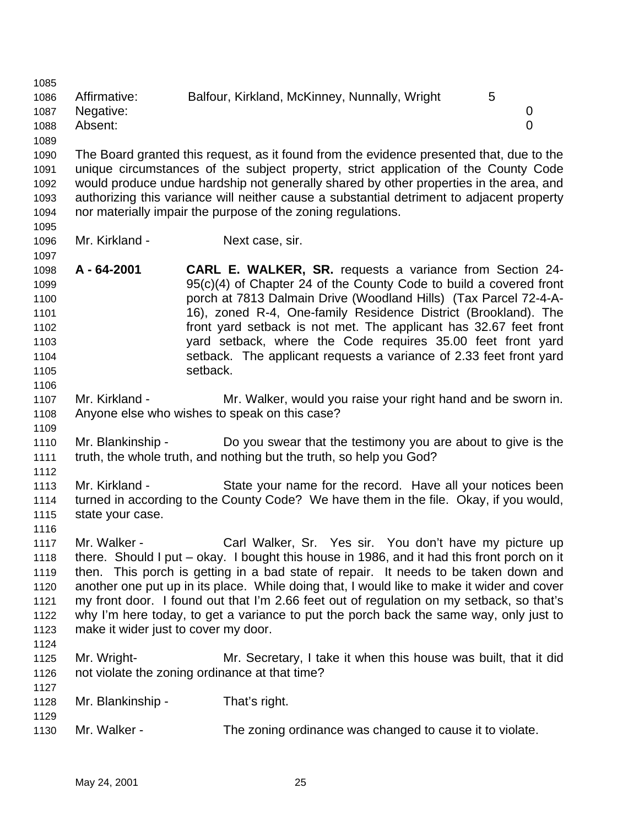Affirmative: Balfour, Kirkland, McKinney, Nunnally, Wright 5 Negative: 0 Absent: 0 The Board granted this request, as it found from the evidence presented that, due to the unique circumstances of the subject property, strict application of the County Code would produce undue hardship not generally shared by other properties in the area, and authorizing this variance will neither cause a substantial detriment to adjacent property nor materially impair the purpose of the zoning regulations. Mr. Kirkland - Next case, sir. **A - 64-2001 CARL E. WALKER, SR.** requests a variance from Section 24- 95(c)(4) of Chapter 24 of the County Code to build a covered front porch at 7813 Dalmain Drive (Woodland Hills) (Tax Parcel 72-4-A- 16), zoned R-4, One-family Residence District (Brookland). The front yard setback is not met. The applicant has 32.67 feet front yard setback, where the Code requires 35.00 feet front yard setback. The applicant requests a variance of 2.33 feet front yard 1105 setback. Mr. Kirkland - Mr. Walker, would you raise your right hand and be sworn in. Anyone else who wishes to speak on this case? Mr. Blankinship - Do you swear that the testimony you are about to give is the truth, the whole truth, and nothing but the truth, so help you God? Mr. Kirkland - State your name for the record. Have all your notices been turned in according to the County Code? We have them in the file. Okay, if you would, state your case. Mr. Walker - Carl Walker, Sr. Yes sir. You don't have my picture up there. Should I put – okay. I bought this house in 1986, and it had this front porch on it then. This porch is getting in a bad state of repair. It needs to be taken down and another one put up in its place. While doing that, I would like to make it wider and cover my front door. I found out that I'm 2.66 feet out of regulation on my setback, so that's why I'm here today, to get a variance to put the porch back the same way, only just to make it wider just to cover my door. Mr. Wright- Mr. Secretary, I take it when this house was built, that it did not violate the zoning ordinance at that time? Mr. Blankinship - That's right. Mr. Walker - The zoning ordinance was changed to cause it to violate.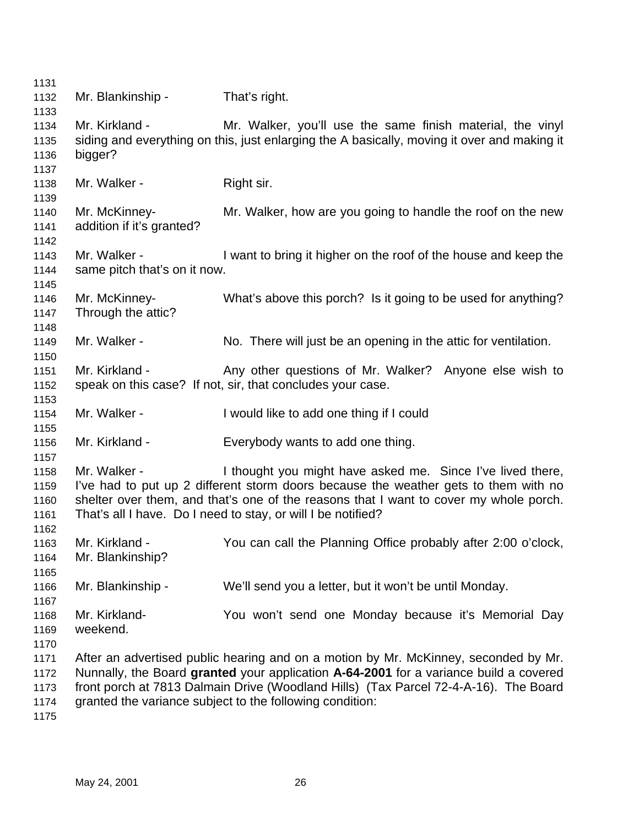| 1131 |                              |                                                                                             |
|------|------------------------------|---------------------------------------------------------------------------------------------|
| 1132 | Mr. Blankinship -            | That's right.                                                                               |
| 1133 |                              |                                                                                             |
| 1134 | Mr. Kirkland -               | Mr. Walker, you'll use the same finish material, the vinyl                                  |
| 1135 |                              | siding and everything on this, just enlarging the A basically, moving it over and making it |
| 1136 | bigger?                      |                                                                                             |
| 1137 |                              |                                                                                             |
| 1138 | Mr. Walker -                 | Right sir.                                                                                  |
| 1139 |                              |                                                                                             |
| 1140 | Mr. McKinney-                | Mr. Walker, how are you going to handle the roof on the new                                 |
| 1141 | addition if it's granted?    |                                                                                             |
| 1142 |                              |                                                                                             |
| 1143 | Mr. Walker -                 | I want to bring it higher on the roof of the house and keep the                             |
| 1144 | same pitch that's on it now. |                                                                                             |
| 1145 |                              |                                                                                             |
| 1146 | Mr. McKinney-                | What's above this porch? Is it going to be used for anything?                               |
| 1147 | Through the attic?           |                                                                                             |
| 1148 |                              |                                                                                             |
| 1149 | Mr. Walker -                 | No. There will just be an opening in the attic for ventilation.                             |
| 1150 |                              |                                                                                             |
| 1151 | Mr. Kirkland -               | Any other questions of Mr. Walker? Anyone else wish to                                      |
| 1152 |                              | speak on this case? If not, sir, that concludes your case.                                  |
| 1153 |                              |                                                                                             |
| 1154 | Mr. Walker -                 | I would like to add one thing if I could                                                    |
| 1155 |                              |                                                                                             |
| 1156 | Mr. Kirkland -               | Everybody wants to add one thing.                                                           |
| 1157 |                              |                                                                                             |
| 1158 | Mr. Walker -                 | I thought you might have asked me. Since I've lived there,                                  |
| 1159 |                              | I've had to put up 2 different storm doors because the weather gets to them with no         |
| 1160 |                              | shelter over them, and that's one of the reasons that I want to cover my whole porch.       |
| 1161 |                              | That's all I have. Do I need to stay, or will I be notified?                                |
| 1162 |                              |                                                                                             |
| 1163 | Mr. Kirkland -               | You can call the Planning Office probably after 2:00 o'clock,                               |
| 1164 | Mr. Blankinship?             |                                                                                             |
| 1165 |                              |                                                                                             |
| 1166 | Mr. Blankinship -            | We'll send you a letter, but it won't be until Monday.                                      |
| 1167 |                              |                                                                                             |
| 1168 | Mr. Kirkland-                | You won't send one Monday because it's Memorial Day                                         |
| 1169 | weekend.                     |                                                                                             |
| 1170 |                              |                                                                                             |
| 1171 |                              | After an advertised public hearing and on a motion by Mr. McKinney, seconded by Mr.         |
| 1172 |                              | Nunnally, the Board granted your application A-64-2001 for a variance build a covered       |
| 1173 |                              | front porch at 7813 Dalmain Drive (Woodland Hills) (Tax Parcel 72-4-A-16). The Board        |
| 1174 |                              | granted the variance subject to the following condition:                                    |
| 1175 |                              |                                                                                             |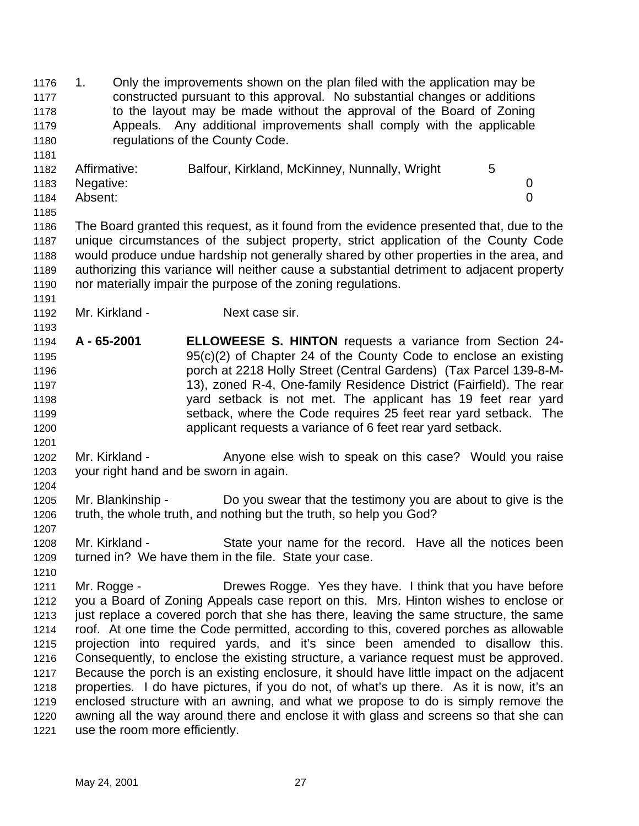1. Only the improvements shown on the plan filed with the application may be constructed pursuant to this approval. No substantial changes or additions to the layout may be made without the approval of the Board of Zoning Appeals. Any additional improvements shall comply with the applicable regulations of the County Code. Affirmative: Balfour, Kirkland, McKinney, Nunnally, Wright 5 Negative: 0 Absent: 0 The Board granted this request, as it found from the evidence presented that, due to the unique circumstances of the subject property, strict application of the County Code would produce undue hardship not generally shared by other properties in the area, and authorizing this variance will neither cause a substantial detriment to adjacent property nor materially impair the purpose of the zoning regulations. 1192 Mr. Kirkland - Next case sir. **A - 65-2001 ELLOWEESE S. HINTON** requests a variance from Section 24- 95(c)(2) of Chapter 24 of the County Code to enclose an existing porch at 2218 Holly Street (Central Gardens) (Tax Parcel 139-8-M- 13), zoned R-4, One-family Residence District (Fairfield). The rear yard setback is not met. The applicant has 19 feet rear yard setback, where the Code requires 25 feet rear yard setback. The applicant requests a variance of 6 feet rear yard setback. 1202 Mr. Kirkland - Anyone else wish to speak on this case? Would you raise your right hand and be sworn in again. Mr. Blankinship - Do you swear that the testimony you are about to give is the truth, the whole truth, and nothing but the truth, so help you God? Mr. Kirkland - State your name for the record. Have all the notices been turned in? We have them in the file. State your case. 1211 Mr. Rogge - Drewes Rogge. Yes they have. I think that you have before you a Board of Zoning Appeals case report on this. Mrs. Hinton wishes to enclose or 1213 just replace a covered porch that she has there, leaving the same structure, the same roof. At one time the Code permitted, according to this, covered porches as allowable projection into required yards, and it's since been amended to disallow this. Consequently, to enclose the existing structure, a variance request must be approved. Because the porch is an existing enclosure, it should have little impact on the adjacent properties. I do have pictures, if you do not, of what's up there. As it is now, it's an enclosed structure with an awning, and what we propose to do is simply remove the awning all the way around there and enclose it with glass and screens so that she can use the room more efficiently.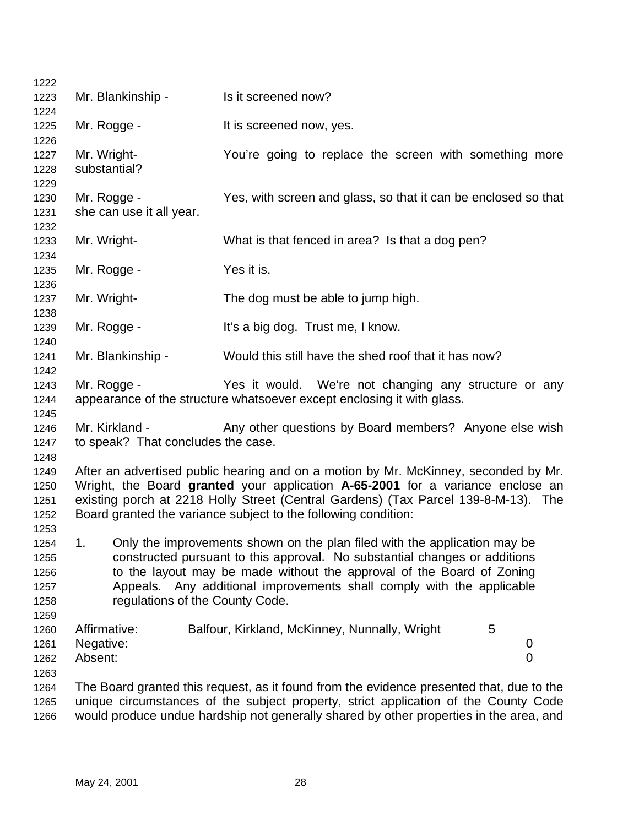| 1222 |                                    |                                                                                            |
|------|------------------------------------|--------------------------------------------------------------------------------------------|
| 1223 | Mr. Blankinship -                  | Is it screened now?                                                                        |
| 1224 |                                    |                                                                                            |
| 1225 | Mr. Rogge -                        | It is screened now, yes.                                                                   |
| 1226 |                                    |                                                                                            |
| 1227 | Mr. Wright-                        | You're going to replace the screen with something more                                     |
| 1228 | substantial?                       |                                                                                            |
| 1229 |                                    |                                                                                            |
| 1230 | Mr. Rogge -                        | Yes, with screen and glass, so that it can be enclosed so that                             |
| 1231 | she can use it all year.           |                                                                                            |
| 1232 |                                    |                                                                                            |
| 1233 | Mr. Wright-                        | What is that fenced in area? Is that a dog pen?                                            |
| 1234 |                                    |                                                                                            |
| 1235 | Mr. Rogge -                        | Yes it is.                                                                                 |
| 1236 |                                    |                                                                                            |
| 1237 | Mr. Wright-                        | The dog must be able to jump high.                                                         |
| 1238 |                                    |                                                                                            |
| 1239 | Mr. Rogge -                        | It's a big dog. Trust me, I know.                                                          |
| 1240 |                                    |                                                                                            |
| 1241 | Mr. Blankinship -                  | Would this still have the shed roof that it has now?                                       |
| 1242 |                                    |                                                                                            |
| 1243 | Mr. Rogge -                        | Yes it would. We're not changing any structure or any                                      |
| 1244 |                                    | appearance of the structure whatsoever except enclosing it with glass.                     |
| 1245 |                                    |                                                                                            |
| 1246 | Mr. Kirkland -                     | Any other questions by Board members? Anyone else wish                                     |
| 1247 | to speak? That concludes the case. |                                                                                            |
| 1248 |                                    |                                                                                            |
| 1249 |                                    | After an advertised public hearing and on a motion by Mr. McKinney, seconded by Mr.        |
| 1250 |                                    | Wright, the Board granted your application A-65-2001 for a variance enclose an             |
| 1251 |                                    | existing porch at 2218 Holly Street (Central Gardens) (Tax Parcel 139-8-M-13). The         |
| 1252 |                                    | Board granted the variance subject to the following condition:                             |
| 1253 |                                    |                                                                                            |
| 1254 | 1.                                 | Only the improvements shown on the plan filed with the application may be                  |
| 1255 |                                    | constructed pursuant to this approval. No substantial changes or additions                 |
| 1256 |                                    | to the layout may be made without the approval of the Board of Zoning                      |
| 1257 |                                    | Appeals. Any additional improvements shall comply with the applicable                      |
| 1258 | regulations of the County Code.    |                                                                                            |
| 1259 |                                    |                                                                                            |
| 1260 | Affirmative:                       | Balfour, Kirkland, McKinney, Nunnally, Wright<br>5                                         |
| 1261 | Negative:                          | 0                                                                                          |
| 1262 | Absent:                            | 0                                                                                          |
| 1263 |                                    |                                                                                            |
| 1264 |                                    | The Board granted this request, as it found from the evidence presented that, due to the   |
| 1265 |                                    | unique circumstances of the subject property, strict application of the County Code        |
|      |                                    | والسماسوس والمطلوب بالمستوط والمسمام والمستحدث والملواط والمستحا المرباح والمستحمل والمسمر |

would produce undue hardship not generally shared by other properties in the area, and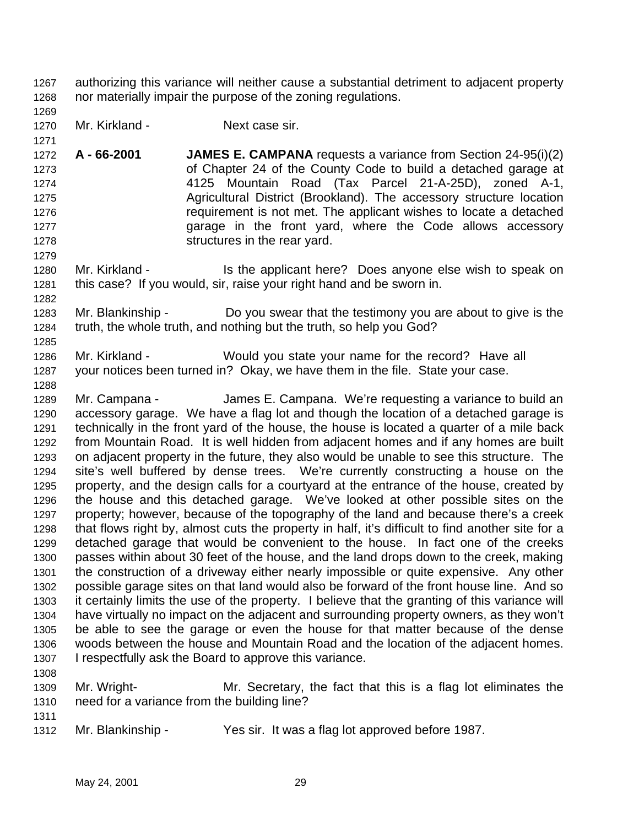authorizing this variance will neither cause a substantial detriment to adjacent property nor materially impair the purpose of the zoning regulations.

- Mr. Kirkland Next case sir.
- **A 66-2001 JAMES E. CAMPANA** requests a variance from Section 24-95(i)(2) of Chapter 24 of the County Code to build a detached garage at 4125 Mountain Road (Tax Parcel 21-A-25D), zoned A-1, Agricultural District (Brookland). The accessory structure location requirement is not met. The applicant wishes to locate a detached garage in the front yard, where the Code allows accessory structures in the rear yard.
- 1280 Mr. Kirkland Is the applicant here? Does anyone else wish to speak on this case? If you would, sir, raise your right hand and be sworn in.
- Mr. Blankinship Do you swear that the testimony you are about to give is the truth, the whole truth, and nothing but the truth, so help you God?
- Mr. Kirkland Would you state your name for the record? Have all your notices been turned in? Okay, we have them in the file. State your case.
- Mr. Campana James E. Campana. We're requesting a variance to build an accessory garage. We have a flag lot and though the location of a detached garage is technically in the front yard of the house, the house is located a quarter of a mile back from Mountain Road. It is well hidden from adjacent homes and if any homes are built on adjacent property in the future, they also would be unable to see this structure. The site's well buffered by dense trees. We're currently constructing a house on the property, and the design calls for a courtyard at the entrance of the house, created by the house and this detached garage. We've looked at other possible sites on the property; however, because of the topography of the land and because there's a creek that flows right by, almost cuts the property in half, it's difficult to find another site for a detached garage that would be convenient to the house. In fact one of the creeks passes within about 30 feet of the house, and the land drops down to the creek, making the construction of a driveway either nearly impossible or quite expensive. Any other possible garage sites on that land would also be forward of the front house line. And so it certainly limits the use of the property. I believe that the granting of this variance will have virtually no impact on the adjacent and surrounding property owners, as they won't be able to see the garage or even the house for that matter because of the dense woods between the house and Mountain Road and the location of the adjacent homes. I respectfully ask the Board to approve this variance.
- 

 Mr. Wright- Mr. Secretary, the fact that this is a flag lot eliminates the need for a variance from the building line?

Mr. Blankinship - Yes sir. It was a flag lot approved before 1987.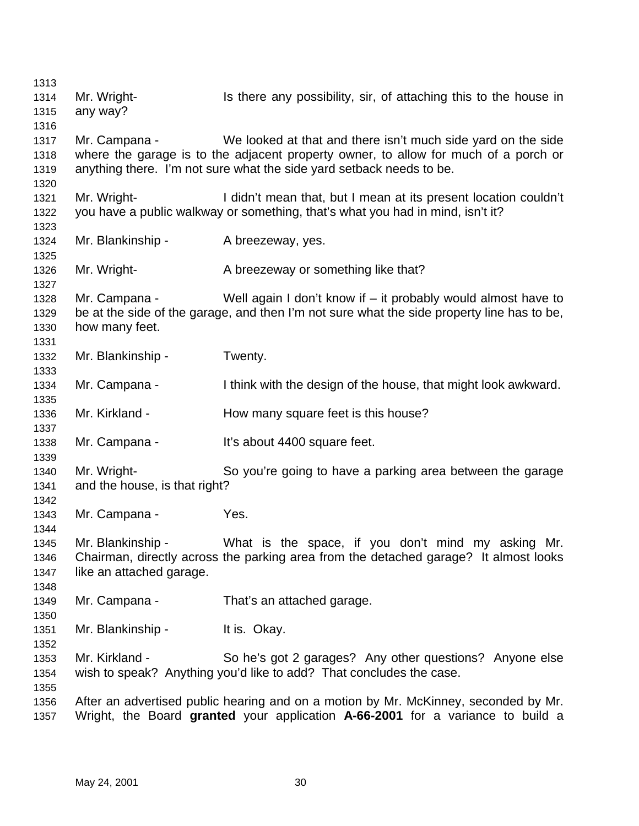| 1313         |                               |                                                                                            |
|--------------|-------------------------------|--------------------------------------------------------------------------------------------|
| 1314         | Mr. Wright-                   | Is there any possibility, sir, of attaching this to the house in                           |
| 1315         | any way?                      |                                                                                            |
| 1316         |                               |                                                                                            |
| 1317         | Mr. Campana -                 | We looked at that and there isn't much side yard on the side                               |
| 1318         |                               | where the garage is to the adjacent property owner, to allow for much of a porch or        |
| 1319         |                               | anything there. I'm not sure what the side yard setback needs to be.                       |
| 1320         |                               |                                                                                            |
| 1321         | Mr. Wright-                   | I didn't mean that, but I mean at its present location couldn't                            |
| 1322         |                               | you have a public walkway or something, that's what you had in mind, isn't it?             |
| 1323         |                               |                                                                                            |
| 1324         | Mr. Blankinship -             | A breezeway, yes.                                                                          |
| 1325         |                               |                                                                                            |
| 1326         | Mr. Wright-                   | A breezeway or something like that?                                                        |
| 1327         |                               |                                                                                            |
| 1328         | Mr. Campana -                 | Well again I don't know if $-$ it probably would almost have to                            |
| 1329         |                               | be at the side of the garage, and then I'm not sure what the side property line has to be, |
| 1330         | how many feet.                |                                                                                            |
| 1331         |                               |                                                                                            |
| 1332         | Mr. Blankinship -             | Twenty.                                                                                    |
| 1333         |                               |                                                                                            |
| 1334         | Mr. Campana -                 | I think with the design of the house, that might look awkward.                             |
| 1335         |                               |                                                                                            |
| 1336         | Mr. Kirkland -                | How many square feet is this house?                                                        |
| 1337         |                               |                                                                                            |
| 1338         | Mr. Campana -                 | It's about 4400 square feet.                                                               |
| 1339         |                               |                                                                                            |
| 1340         | Mr. Wright-                   | So you're going to have a parking area between the garage                                  |
| 1341         | and the house, is that right? |                                                                                            |
| 1342         | Mr. Campana -                 | Yes.                                                                                       |
| 1343<br>1344 |                               |                                                                                            |
| 1345         | Mr. Blankinship -             | What is the space, if you don't mind my asking Mr.                                         |
| 1346         |                               | Chairman, directly across the parking area from the detached garage? It almost looks       |
| 1347         | like an attached garage.      |                                                                                            |
| 1348         |                               |                                                                                            |
| 1349         | Mr. Campana -                 | That's an attached garage.                                                                 |
| 1350         |                               |                                                                                            |
| 1351         | Mr. Blankinship -             | It is. Okay.                                                                               |
| 1352         |                               |                                                                                            |
| 1353         | Mr. Kirkland -                | So he's got 2 garages? Any other questions? Anyone else                                    |
| 1354         |                               | wish to speak? Anything you'd like to add? That concludes the case.                        |
| 1355         |                               |                                                                                            |
| 1356         |                               | After an advertised public hearing and on a motion by Mr. McKinney, seconded by Mr.        |
| 1357         |                               | Wright, the Board granted your application A-66-2001 for a variance to build a             |
|              |                               |                                                                                            |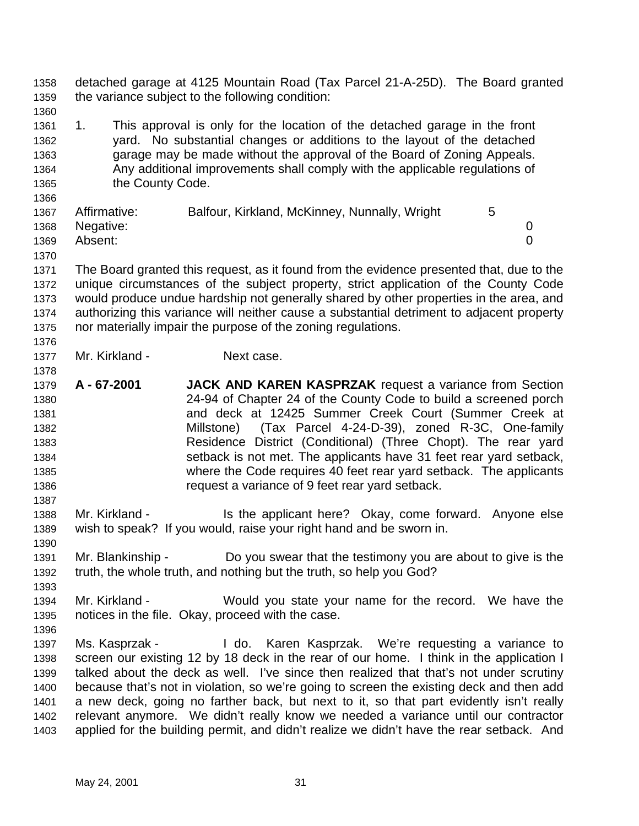detached garage at 4125 Mountain Road (Tax Parcel 21-A-25D). The Board granted the variance subject to the following condition:

 1. This approval is only for the location of the detached garage in the front yard. No substantial changes or additions to the layout of the detached garage may be made without the approval of the Board of Zoning Appeals. Any additional improvements shall comply with the applicable regulations of 1365 the County Code.

| Affirmative:   | Balfour, Kirkland, McKinney, Nunnally, Wright |  |
|----------------|-----------------------------------------------|--|
| 1368 Negative: |                                               |  |
| Absent:        |                                               |  |
|                |                                               |  |

 The Board granted this request, as it found from the evidence presented that, due to the unique circumstances of the subject property, strict application of the County Code would produce undue hardship not generally shared by other properties in the area, and authorizing this variance will neither cause a substantial detriment to adjacent property nor materially impair the purpose of the zoning regulations.

- 1377 Mr. Kirkland Next case.
- **A 67-2001 JACK AND KAREN KASPRZAK** request a variance from Section 24-94 of Chapter 24 of the County Code to build a screened porch and deck at 12425 Summer Creek Court (Summer Creek at Millstone) (Tax Parcel 4-24-D-39), zoned R-3C, One-family Residence District (Conditional) (Three Chopt). The rear yard setback is not met. The applicants have 31 feet rear yard setback, where the Code requires 40 feet rear yard setback. The applicants request a variance of 9 feet rear yard setback.
- 1388 Mr. Kirkland Is the applicant here? Okay, come forward. Anyone else wish to speak? If you would, raise your right hand and be sworn in.
- Mr. Blankinship Do you swear that the testimony you are about to give is the truth, the whole truth, and nothing but the truth, so help you God?
- Mr. Kirkland Would you state your name for the record. We have the notices in the file. Okay, proceed with the case.
- Ms. Kasprzak - I do. Karen Kasprzak. We're requesting a variance to screen our existing 12 by 18 deck in the rear of our home. I think in the application I talked about the deck as well. I've since then realized that that's not under scrutiny because that's not in violation, so we're going to screen the existing deck and then add a new deck, going no farther back, but next to it, so that part evidently isn't really relevant anymore. We didn't really know we needed a variance until our contractor applied for the building permit, and didn't realize we didn't have the rear setback. And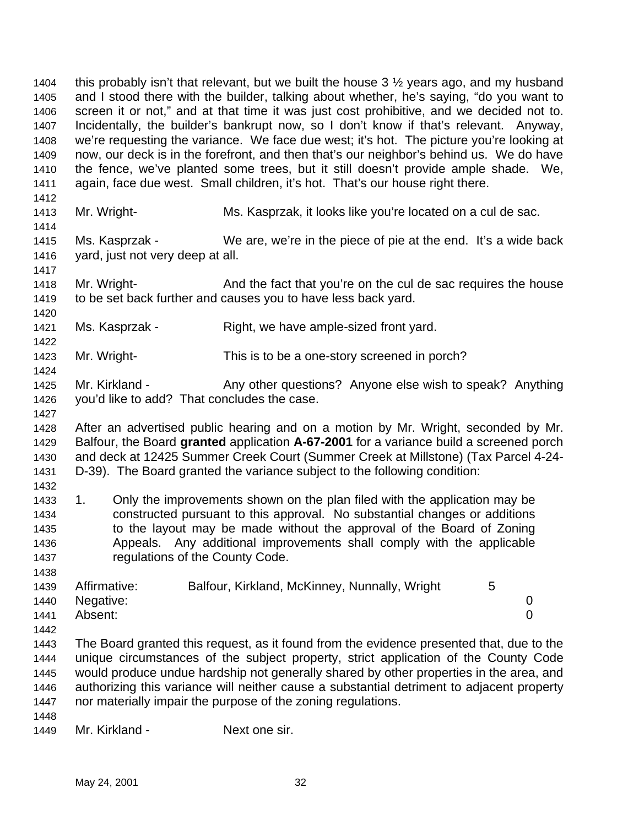1404 this probably isn't that relevant, but we built the house  $3\frac{1}{2}$  years ago, and my husband and I stood there with the builder, talking about whether, he's saying, "do you want to screen it or not," and at that time it was just cost prohibitive, and we decided not to. Incidentally, the builder's bankrupt now, so I don't know if that's relevant. Anyway, we're requesting the variance. We face due west; it's hot. The picture you're looking at now, our deck is in the forefront, and then that's our neighbor's behind us. We do have the fence, we've planted some trees, but it still doesn't provide ample shade. We, again, face due west. Small children, it's hot. That's our house right there. 

Mr. Wright- Ms. Kasprzak, it looks like you're located on a cul de sac.

 Ms. Kasprzak - We are, we're in the piece of pie at the end. It's a wide back yard, just not very deep at all.

1418 Mr. Wright- And the fact that you're on the cul de sac requires the house to be set back further and causes you to have less back yard.

1421 Ms. Kasprzak - Right, we have ample-sized front yard.

Mr. Wright- This is to be a one-story screened in porch?

1425 Mr. Kirkland - Any other questions? Anyone else wish to speak? Anything you'd like to add? That concludes the case.

 After an advertised public hearing and on a motion by Mr. Wright, seconded by Mr. Balfour, the Board **granted** application **A-67-2001** for a variance build a screened porch and deck at 12425 Summer Creek Court (Summer Creek at Millstone) (Tax Parcel 4-24- D-39). The Board granted the variance subject to the following condition:

 1. Only the improvements shown on the plan filed with the application may be constructed pursuant to this approval. No substantial changes or additions to the layout may be made without the approval of the Board of Zoning Appeals. Any additional improvements shall comply with the applicable regulations of the County Code.

|      | 1439 Affirmative: | Balfour, Kirkland, McKinney, Nunnally, Wright |  |
|------|-------------------|-----------------------------------------------|--|
|      | 1440 Negative:    |                                               |  |
| 1441 | Absent:           |                                               |  |

 The Board granted this request, as it found from the evidence presented that, due to the unique circumstances of the subject property, strict application of the County Code would produce undue hardship not generally shared by other properties in the area, and authorizing this variance will neither cause a substantial detriment to adjacent property nor materially impair the purpose of the zoning regulations.

Mr. Kirkland - Next one sir.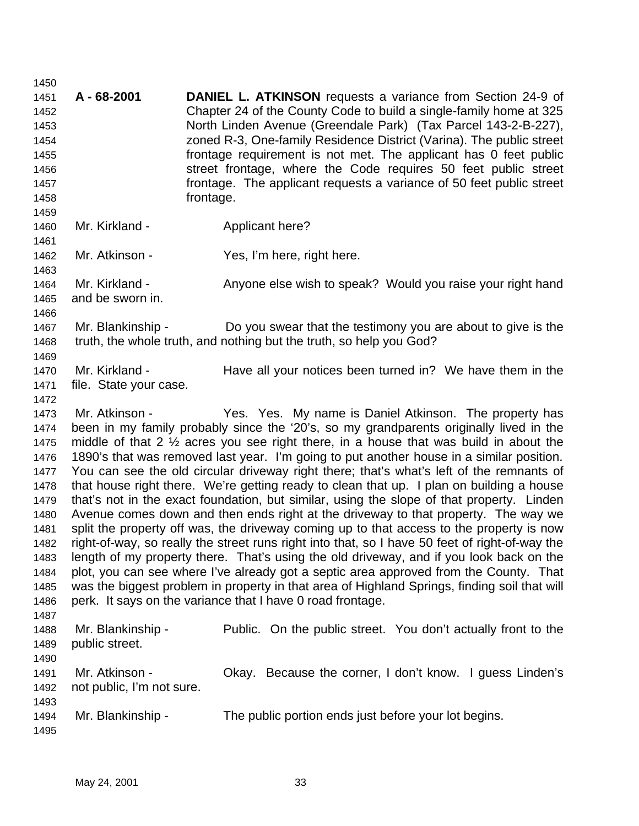**A - 68-2001 DANIEL L. ATKINSON** requests a variance from Section 24-9 of Chapter 24 of the County Code to build a single-family home at 325 North Linden Avenue (Greendale Park) (Tax Parcel 143-2-B-227), zoned R-3, One-family Residence District (Varina). The public street frontage requirement is not met. The applicant has 0 feet public street frontage, where the Code requires 50 feet public street frontage. The applicant requests a variance of 50 feet public street frontage. 1460 Mr. Kirkland - **Applicant here?**  Mr. Atkinson - Yes, I'm here, right here. 1464 Mr. Kirkland - Anyone else wish to speak? Would you raise your right hand and be sworn in. Mr. Blankinship - Do you swear that the testimony you are about to give is the truth, the whole truth, and nothing but the truth, so help you God? 1470 Mr. Kirkland - Have all your notices been turned in? We have them in the file. State your case. Mr. Atkinson - Yes. Yes. My name is Daniel Atkinson. The property has been in my family probably since the '20's, so my grandparents originally lived in the middle of that 2 ½ acres you see right there, in a house that was build in about the 1890's that was removed last year. I'm going to put another house in a similar position. You can see the old circular driveway right there; that's what's left of the remnants of that house right there. We're getting ready to clean that up. I plan on building a house that's not in the exact foundation, but similar, using the slope of that property. Linden Avenue comes down and then ends right at the driveway to that property. The way we split the property off was, the driveway coming up to that access to the property is now right-of-way, so really the street runs right into that, so I have 50 feet of right-of-way the length of my property there. That's using the old driveway, and if you look back on the plot, you can see where I've already got a septic area approved from the County. That was the biggest problem in property in that area of Highland Springs, finding soil that will perk. It says on the variance that I have 0 road frontage. 1488 Mr. Blankinship - Public. On the public street. You don't actually front to the public street. Mr. Atkinson - Okay. Because the corner, I don't know. I guess Linden's not public, I'm not sure. 1494 Mr. Blankinship - The public portion ends just before your lot begins.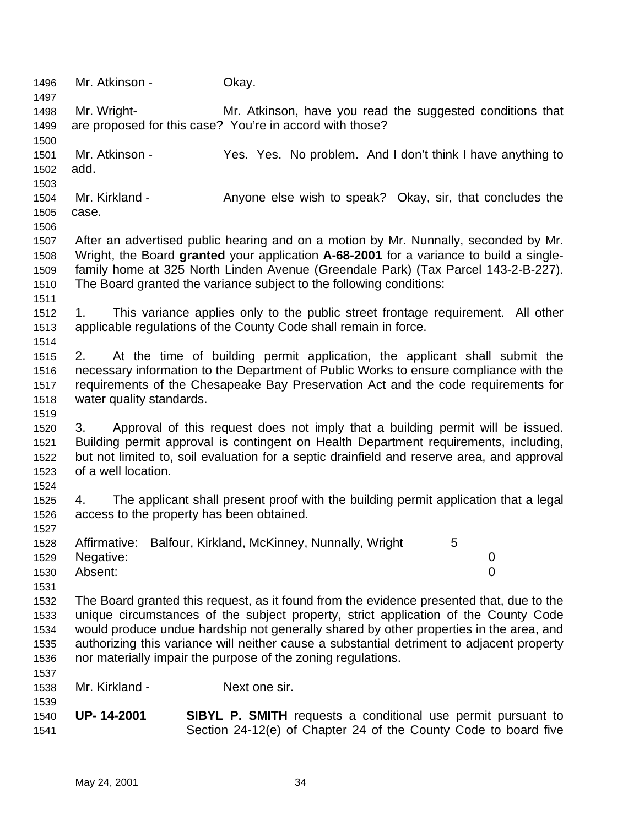| 1496         | Mr. Atkinson -                            | Okay.                                                                                                                                               |
|--------------|-------------------------------------------|-----------------------------------------------------------------------------------------------------------------------------------------------------|
| 1497         |                                           |                                                                                                                                                     |
| 1498         | Mr. Wright-                               | Mr. Atkinson, have you read the suggested conditions that                                                                                           |
| 1499         |                                           | are proposed for this case? You're in accord with those?                                                                                            |
| 1500         |                                           |                                                                                                                                                     |
| 1501         | Mr. Atkinson -                            | Yes. Yes. No problem. And I don't think I have anything to                                                                                          |
| 1502         | add.                                      |                                                                                                                                                     |
| 1503         |                                           |                                                                                                                                                     |
| 1504         | Mr. Kirkland -                            | Anyone else wish to speak? Okay, sir, that concludes the                                                                                            |
| 1505         | case.                                     |                                                                                                                                                     |
| 1506         |                                           |                                                                                                                                                     |
| 1507         |                                           | After an advertised public hearing and on a motion by Mr. Nunnally, seconded by Mr.                                                                 |
| 1508         |                                           | Wright, the Board granted your application A-68-2001 for a variance to build a single-                                                              |
| 1509         |                                           | family home at 325 North Linden Avenue (Greendale Park) (Tax Parcel 143-2-B-227).                                                                   |
| 1510         |                                           | The Board granted the variance subject to the following conditions:                                                                                 |
| 1511         |                                           |                                                                                                                                                     |
| 1512<br>1513 | 1.                                        | This variance applies only to the public street frontage requirement. All other<br>applicable regulations of the County Code shall remain in force. |
| 1514         |                                           |                                                                                                                                                     |
| 1515         | 2.                                        | At the time of building permit application, the applicant shall submit the                                                                          |
| 1516         |                                           | necessary information to the Department of Public Works to ensure compliance with the                                                               |
| 1517         |                                           | requirements of the Chesapeake Bay Preservation Act and the code requirements for                                                                   |
| 1518         | water quality standards.                  |                                                                                                                                                     |
| 1519         |                                           |                                                                                                                                                     |
| 1520         | 3.                                        | Approval of this request does not imply that a building permit will be issued.                                                                      |
| 1521         |                                           | Building permit approval is contingent on Health Department requirements, including,                                                                |
| 1522         |                                           | but not limited to, soil evaluation for a septic drainfield and reserve area, and approval                                                          |
| 1523         | of a well location.                       |                                                                                                                                                     |
| 1524         |                                           |                                                                                                                                                     |
| 1525         | 4.                                        | The applicant shall present proof with the building permit application that a legal                                                                 |
| 1526         | access to the property has been obtained. |                                                                                                                                                     |
| 1527         |                                           |                                                                                                                                                     |
| 1528         |                                           | Affirmative: Balfour, Kirkland, McKinney, Nunnally, Wright<br>5                                                                                     |
| 1529         | Negative:                                 | 0                                                                                                                                                   |
| 1530         | Absent:                                   | $\overline{0}$                                                                                                                                      |
| 1531         |                                           |                                                                                                                                                     |
| 1532         |                                           | The Board granted this request, as it found from the evidence presented that, due to the                                                            |
| 1533         |                                           | unique circumstances of the subject property, strict application of the County Code                                                                 |
| 1534         |                                           | would produce undue hardship not generally shared by other properties in the area, and                                                              |
| 1535         |                                           | authorizing this variance will neither cause a substantial detriment to adjacent property                                                           |
| 1536         |                                           | nor materially impair the purpose of the zoning regulations.                                                                                        |
| 1537         |                                           |                                                                                                                                                     |
| 1538         | Mr. Kirkland -                            | Next one sir.                                                                                                                                       |
| 1539         |                                           |                                                                                                                                                     |
| 1540         | UP-14-2001                                | <b>SIBYL P. SMITH</b> requests a conditional use permit pursuant to                                                                                 |
| 1541         |                                           | Section 24-12(e) of Chapter 24 of the County Code to board five                                                                                     |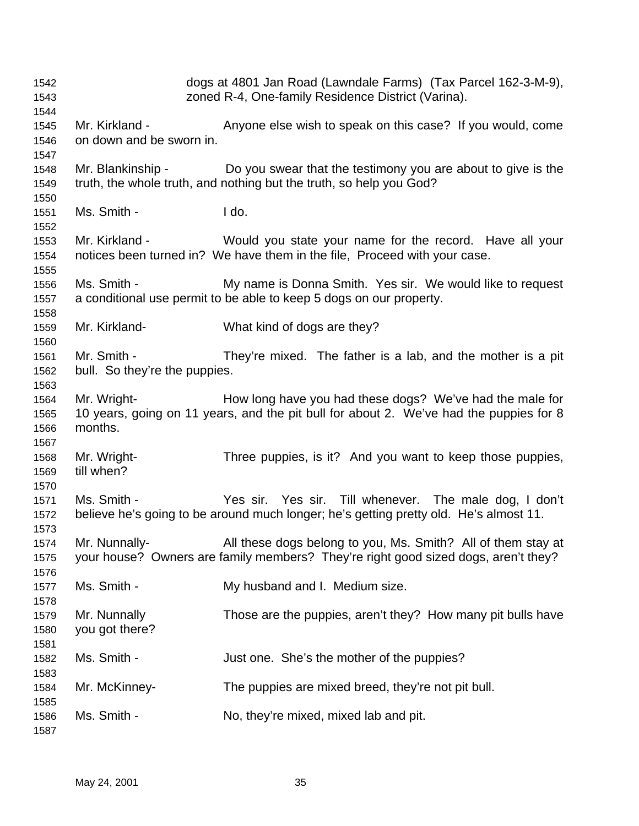| 1542<br>1543                 |                                              | dogs at 4801 Jan Road (Lawndale Farms) (Tax Parcel 162-3-M-9),<br>zoned R-4, One-family Residence District (Varina).                                  |
|------------------------------|----------------------------------------------|-------------------------------------------------------------------------------------------------------------------------------------------------------|
| 1544<br>1545<br>1546         | Mr. Kirkland -<br>on down and be sworn in.   | Anyone else wish to speak on this case? If you would, come                                                                                            |
| 1547<br>1548<br>1549         |                                              | Mr. Blankinship - Do you swear that the testimony you are about to give is the<br>truth, the whole truth, and nothing but the truth, so help you God? |
| 1550<br>1551<br>1552         | Ms. Smith -                                  | I do.                                                                                                                                                 |
| 1553<br>1554<br>1555         | Mr. Kirkland -                               | Would you state your name for the record. Have all your<br>notices been turned in? We have them in the file, Proceed with your case.                  |
| 1556<br>1557                 | Ms. Smith -                                  | My name is Donna Smith. Yes sir. We would like to request<br>a conditional use permit to be able to keep 5 dogs on our property.                      |
| 1558<br>1559<br>1560         | Mr. Kirkland-                                | What kind of dogs are they?                                                                                                                           |
| 1561<br>1562<br>1563         | Mr. Smith -<br>bull. So they're the puppies. | They're mixed. The father is a lab, and the mother is a pit                                                                                           |
| 1564<br>1565<br>1566<br>1567 | Mr. Wright-<br>months.                       | How long have you had these dogs? We've had the male for<br>10 years, going on 11 years, and the pit bull for about 2. We've had the puppies for 8    |
| 1568<br>1569                 | Mr. Wright-<br>till when?                    | Three puppies, is it? And you want to keep those puppies,                                                                                             |
| 1570<br>1571<br>1572<br>1573 | Ms. Smith -                                  | Yes sir. Yes sir. Till whenever. The male dog, I don't<br>believe he's going to be around much longer; he's getting pretty old. He's almost 11.       |
| 1574<br>1575<br>1576         | Mr. Nunnally-                                | All these dogs belong to you, Ms. Smith? All of them stay at<br>your house? Owners are family members? They're right good sized dogs, aren't they?    |
| 1577<br>1578                 | Ms. Smith -                                  | My husband and I. Medium size.                                                                                                                        |
| 1579<br>1580<br>1581         | Mr. Nunnally<br>you got there?               | Those are the puppies, aren't they? How many pit bulls have                                                                                           |
| 1582<br>1583                 | Ms. Smith -                                  | Just one. She's the mother of the puppies?                                                                                                            |
| 1584<br>1585                 | Mr. McKinney-                                | The puppies are mixed breed, they're not pit bull.                                                                                                    |
| 1586<br>1587                 | Ms. Smith -                                  | No, they're mixed, mixed lab and pit.                                                                                                                 |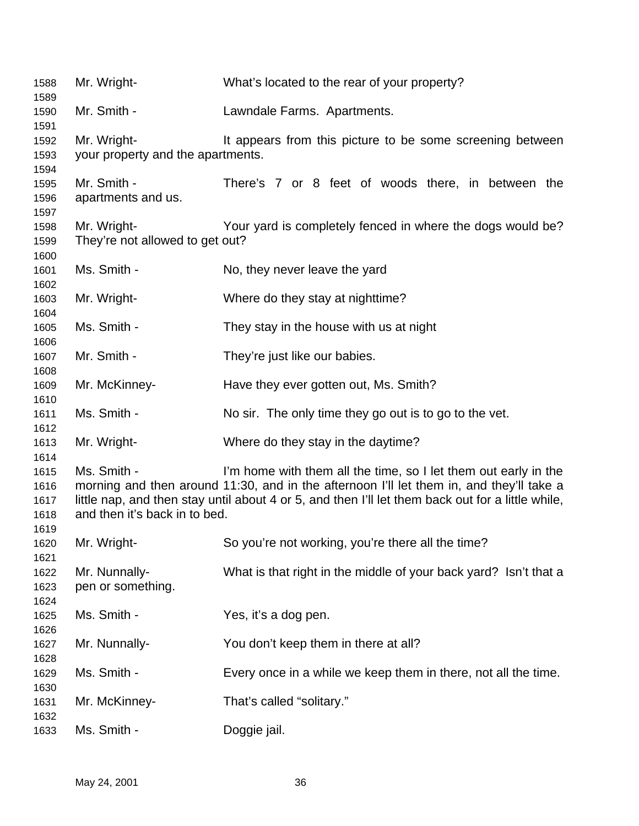| 1588<br>1589 | Mr. Wright-                       | What's located to the rear of your property?                                                      |
|--------------|-----------------------------------|---------------------------------------------------------------------------------------------------|
| 1590<br>1591 | Mr. Smith -                       | Lawndale Farms. Apartments.                                                                       |
| 1592         | Mr. Wright-                       | It appears from this picture to be some screening between                                         |
| 1593         | your property and the apartments. |                                                                                                   |
| 1594         |                                   |                                                                                                   |
| 1595         | Mr. Smith -                       | There's 7 or 8 feet of woods there, in between the                                                |
| 1596         | apartments and us.                |                                                                                                   |
| 1597         |                                   |                                                                                                   |
| 1598         | Mr. Wright-                       | Your yard is completely fenced in where the dogs would be?                                        |
| 1599         | They're not allowed to get out?   |                                                                                                   |
| 1600         |                                   |                                                                                                   |
| 1601         | Ms. Smith -                       | No, they never leave the yard                                                                     |
| 1602         |                                   |                                                                                                   |
| 1603         | Mr. Wright-                       | Where do they stay at nighttime?                                                                  |
| 1604         |                                   |                                                                                                   |
| 1605         | Ms. Smith -                       | They stay in the house with us at night                                                           |
| 1606         |                                   |                                                                                                   |
| 1607         | Mr. Smith -                       | They're just like our babies.                                                                     |
| 1608         |                                   |                                                                                                   |
| 1609         | Mr. McKinney-                     | Have they ever gotten out, Ms. Smith?                                                             |
| 1610         |                                   |                                                                                                   |
| 1611<br>1612 | Ms. Smith -                       | No sir. The only time they go out is to go to the vet.                                            |
| 1613         | Mr. Wright-                       | Where do they stay in the daytime?                                                                |
| 1614         |                                   |                                                                                                   |
| 1615         | Ms. Smith -                       | I'm home with them all the time, so I let them out early in the                                   |
| 1616         |                                   | morning and then around 11:30, and in the afternoon I'll let them in, and they'll take a          |
| 1617         |                                   | little nap, and then stay until about 4 or 5, and then I'll let them back out for a little while, |
| 1618         | and then it's back in to bed.     |                                                                                                   |
| 1619         |                                   |                                                                                                   |
| 1620         | Mr. Wright-                       | So you're not working, you're there all the time?                                                 |
| 1621         |                                   |                                                                                                   |
| 1622         | Mr. Nunnally-                     | What is that right in the middle of your back yard? Isn't that a                                  |
| 1623         | pen or something.                 |                                                                                                   |
| 1624         |                                   |                                                                                                   |
| 1625         | Ms. Smith -                       | Yes, it's a dog pen.                                                                              |
| 1626         |                                   |                                                                                                   |
| 1627         | Mr. Nunnally-                     | You don't keep them in there at all?                                                              |
| 1628         |                                   |                                                                                                   |
| 1629         | Ms. Smith -                       | Every once in a while we keep them in there, not all the time.                                    |
| 1630         |                                   |                                                                                                   |
| 1631         | Mr. McKinney-                     | That's called "solitary."                                                                         |
| 1632         |                                   |                                                                                                   |
| 1633         | Ms. Smith -                       | Doggie jail.                                                                                      |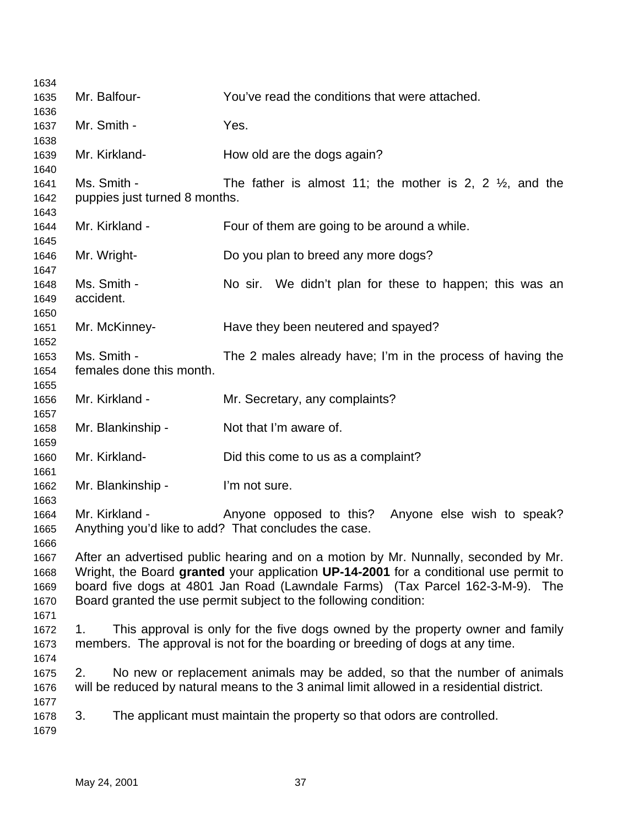| 1634         |                               |                                                                                           |
|--------------|-------------------------------|-------------------------------------------------------------------------------------------|
| 1635         | Mr. Balfour-                  | You've read the conditions that were attached.                                            |
| 1636         |                               |                                                                                           |
| 1637         | Mr. Smith -                   | Yes.                                                                                      |
| 1638         |                               |                                                                                           |
| 1639         | Mr. Kirkland-                 | How old are the dogs again?                                                               |
| 1640         |                               |                                                                                           |
| 1641         | Ms. Smith -                   | The father is almost 11; the mother is 2, 2 $\frac{1}{2}$ , and the                       |
| 1642         | puppies just turned 8 months. |                                                                                           |
| 1643         |                               |                                                                                           |
| 1644         | Mr. Kirkland -                | Four of them are going to be around a while.                                              |
| 1645         |                               |                                                                                           |
| 1646         | Mr. Wright-                   | Do you plan to breed any more dogs?                                                       |
| 1647         |                               |                                                                                           |
| 1648         | Ms. Smith -                   | No sir. We didn't plan for these to happen; this was an                                   |
| 1649         | accident.                     |                                                                                           |
| 1650         |                               |                                                                                           |
| 1651         | Mr. McKinney-                 | Have they been neutered and spayed?                                                       |
| 1652         | Ms. Smith -                   |                                                                                           |
| 1653         | females done this month.      | The 2 males already have; I'm in the process of having the                                |
| 1654         |                               |                                                                                           |
| 1655<br>1656 | Mr. Kirkland -                | Mr. Secretary, any complaints?                                                            |
| 1657         |                               |                                                                                           |
| 1658         | Mr. Blankinship -             | Not that I'm aware of.                                                                    |
| 1659         |                               |                                                                                           |
| 1660         | Mr. Kirkland-                 | Did this come to us as a complaint?                                                       |
| 1661         |                               |                                                                                           |
| 1662         | Mr. Blankinship -             | I'm not sure.                                                                             |
| 1663         |                               |                                                                                           |
| 1664         | Mr. Kirkland -                | Anyone opposed to this?<br>Anyone else wish to speak?                                     |
| 1665         |                               | Anything you'd like to add? That concludes the case.                                      |
| 1666         |                               |                                                                                           |
| 1667         |                               | After an advertised public hearing and on a motion by Mr. Nunnally, seconded by Mr.       |
| 1668         |                               | Wright, the Board granted your application UP-14-2001 for a conditional use permit to     |
| 1669         |                               | board five dogs at 4801 Jan Road (Lawndale Farms) (Tax Parcel 162-3-M-9).<br>The          |
| 1670         |                               | Board granted the use permit subject to the following condition:                          |
| 1671         |                               |                                                                                           |
| 1672         | 1.                            | This approval is only for the five dogs owned by the property owner and family            |
| 1673         |                               | members. The approval is not for the boarding or breeding of dogs at any time.            |
| 1674         |                               |                                                                                           |
| 1675         | 2.                            | No new or replacement animals may be added, so that the number of animals                 |
| 1676         |                               | will be reduced by natural means to the 3 animal limit allowed in a residential district. |
| 1677         |                               |                                                                                           |
| 1678         | 3.                            | The applicant must maintain the property so that odors are controlled.                    |
| 1679         |                               |                                                                                           |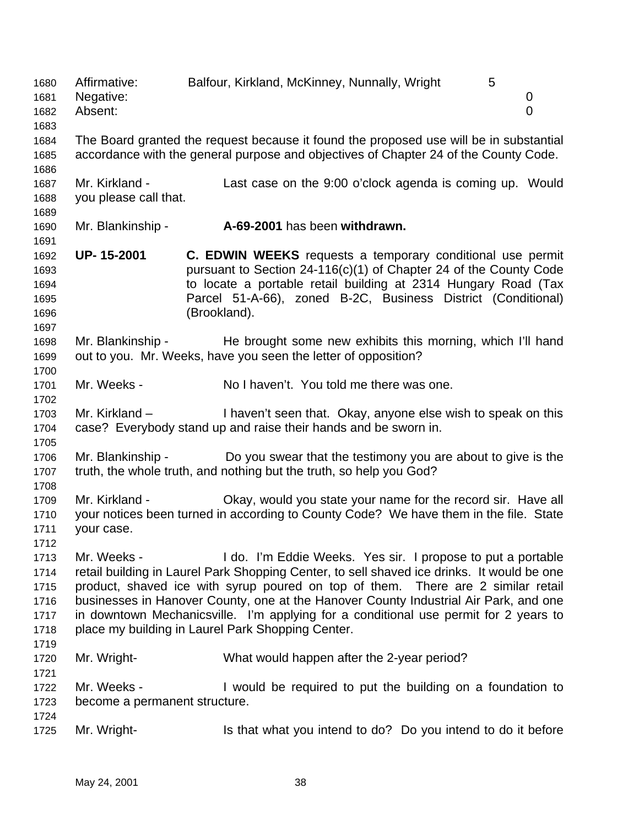1680 Affirmative: Balfour, Kirkland, McKinney, Nunnally, Wright 5 Negative: 0 Absent: 0 The Board granted the request because it found the proposed use will be in substantial accordance with the general purpose and objectives of Chapter 24 of the County Code. Mr. Kirkland - Last case on the 9:00 o'clock agenda is coming up. Would you please call that. Mr. Blankinship - **A-69-2001** has been **withdrawn. UP- 15-2001 C. EDWIN WEEKS** requests a temporary conditional use permit pursuant to Section 24-116(c)(1) of Chapter 24 of the County Code to locate a portable retail building at 2314 Hungary Road (Tax Parcel 51-A-66), zoned B-2C, Business District (Conditional) (Brookland). Mr. Blankinship - He brought some new exhibits this morning, which I'll hand out to you. Mr. Weeks, have you seen the letter of opposition? Mr. Weeks - No I haven't. You told me there was one. Mr. Kirkland – I haven't seen that. Okay, anyone else wish to speak on this case? Everybody stand up and raise their hands and be sworn in. Mr. Blankinship - Do you swear that the testimony you are about to give is the truth, the whole truth, and nothing but the truth, so help you God? Mr. Kirkland - Okay, would you state your name for the record sir. Have all your notices been turned in according to County Code? We have them in the file. State your case. Mr. Weeks - I do. I'm Eddie Weeks. Yes sir. I propose to put a portable retail building in Laurel Park Shopping Center, to sell shaved ice drinks. It would be one product, shaved ice with syrup poured on top of them. There are 2 similar retail businesses in Hanover County, one at the Hanover County Industrial Air Park, and one in downtown Mechanicsville. I'm applying for a conditional use permit for 2 years to 1718 place my building in Laurel Park Shopping Center. Mr. Wright- What would happen after the 2-year period? Mr. Weeks - I would be required to put the building on a foundation to become a permanent structure. 1725 Mr. Wright- Is that what you intend to do? Do you intend to do it before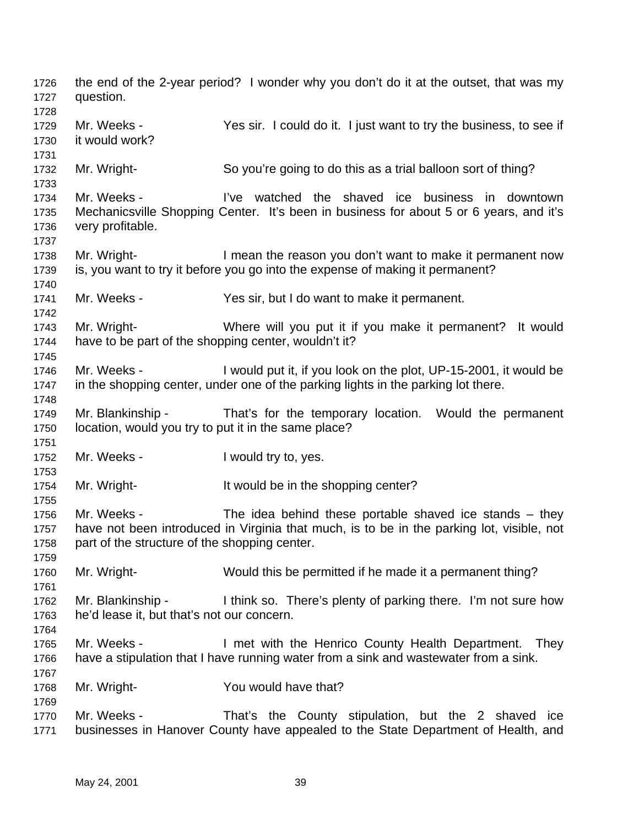the end of the 2-year period? I wonder why you don't do it at the outset, that was my question. Mr. Weeks - Yes sir. I could do it. I just want to try the business, to see if it would work? Mr. Wright- So you're going to do this as a trial balloon sort of thing? Mr. Weeks - I've watched the shaved ice business in downtown Mechanicsville Shopping Center. It's been in business for about 5 or 6 years, and it's very profitable. 1738 Mr. Wright- I mean the reason you don't want to make it permanent now is, you want to try it before you go into the expense of making it permanent? Mr. Weeks - Yes sir, but I do want to make it permanent. Mr. Wright- Where will you put it if you make it permanent? It would have to be part of the shopping center, wouldn't it? Mr. Weeks - I would put it, if you look on the plot, UP-15-2001, it would be in the shopping center, under one of the parking lights in the parking lot there. Mr. Blankinship - That's for the temporary location. Would the permanent location, would you try to put it in the same place? 1752 Mr. Weeks - I would try to, yes. 1754 Mr. Wright- It would be in the shopping center? Mr. Weeks - The idea behind these portable shaved ice stands – they have not been introduced in Virginia that much, is to be in the parking lot, visible, not 1758 part of the structure of the shopping center. Mr. Wright- Would this be permitted if he made it a permanent thing? Mr. Blankinship - I think so. There's plenty of parking there. I'm not sure how he'd lease it, but that's not our concern. 1765 Mr. Weeks - I met with the Henrico County Health Department. They have a stipulation that I have running water from a sink and wastewater from a sink. Mr. Wright- You would have that? 1770 Mr. Weeks - That's the County stipulation, but the 2 shaved ice businesses in Hanover County have appealed to the State Department of Health, and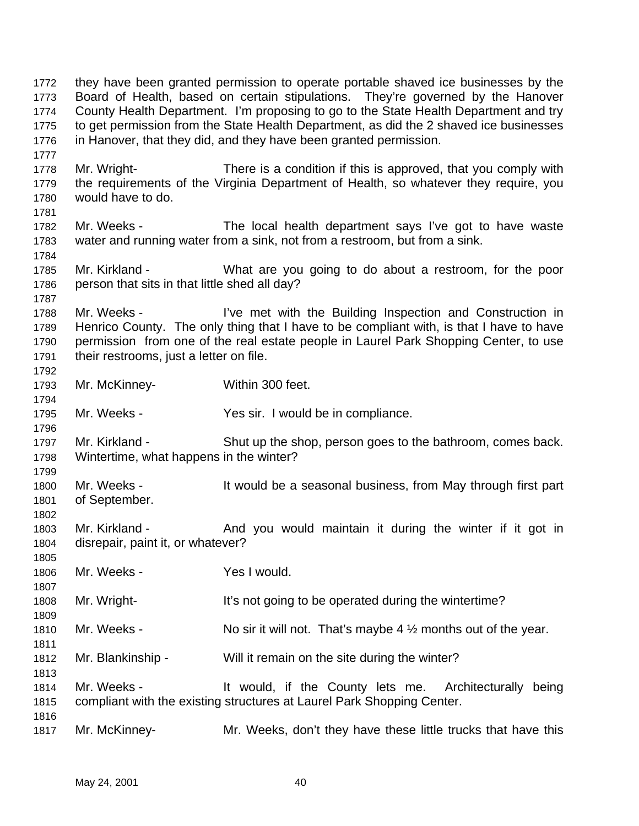they have been granted permission to operate portable shaved ice businesses by the Board of Health, based on certain stipulations. They're governed by the Hanover County Health Department. I'm proposing to go to the State Health Department and try to get permission from the State Health Department, as did the 2 shaved ice businesses in Hanover, that they did, and they have been granted permission. Mr. Wright- There is a condition if this is approved, that you comply with the requirements of the Virginia Department of Health, so whatever they require, you would have to do. Mr. Weeks - The local health department says I've got to have waste water and running water from a sink, not from a restroom, but from a sink. Mr. Kirkland - What are you going to do about a restroom, for the poor person that sits in that little shed all day? 1788 Mr. Weeks - I've met with the Building Inspection and Construction in Henrico County. The only thing that I have to be compliant with, is that I have to have permission from one of the real estate people in Laurel Park Shopping Center, to use their restrooms, just a letter on file. Mr. McKinney- Within 300 feet. Mr. Weeks - Yes sir. I would be in compliance. Mr. Kirkland - Shut up the shop, person goes to the bathroom, comes back. Wintertime, what happens in the winter? 1800 Mr. Weeks - It would be a seasonal business, from May through first part of September. 1803 Mr. Kirkland - And you would maintain it during the winter if it got in disrepair, paint it, or whatever? Mr. Weeks - Yes I would. 1808 Mr. Wright- It's not going to be operated during the wintertime? 1810 Mr. Weeks - No sir it will not. That's maybe  $4\frac{1}{2}$  months out of the year. Mr. Blankinship - Will it remain on the site during the winter? Mr. Weeks - It would, if the County lets me. Architecturally being compliant with the existing structures at Laurel Park Shopping Center. Mr. McKinney- Mr. Weeks, don't they have these little trucks that have this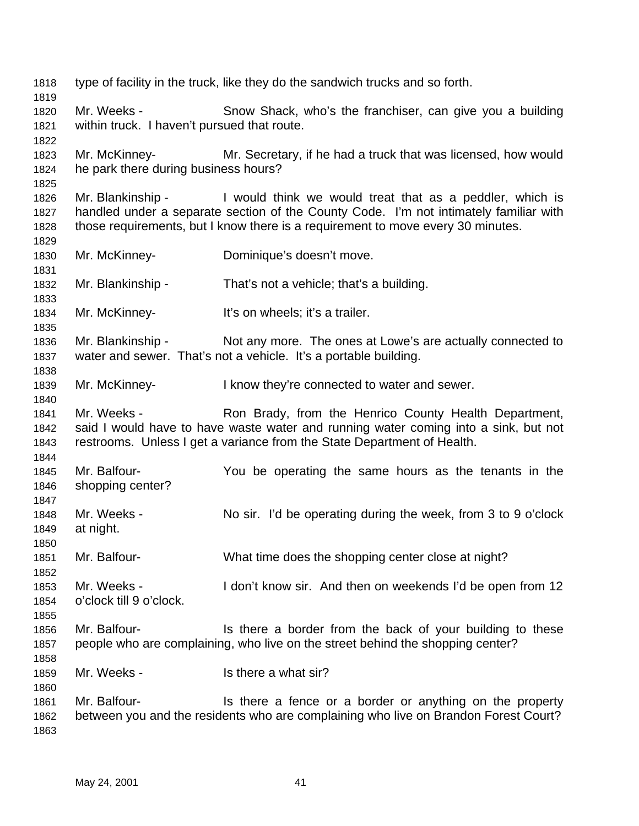type of facility in the truck, like they do the sandwich trucks and so forth. Mr. Weeks - Snow Shack, who's the franchiser, can give you a building within truck. I haven't pursued that route. Mr. McKinney- Mr. Secretary, if he had a truck that was licensed, how would he park there during business hours? Mr. Blankinship - I would think we would treat that as a peddler, which is handled under a separate section of the County Code. I'm not intimately familiar with those requirements, but I know there is a requirement to move every 30 minutes. Mr. McKinney- Dominique's doesn't move. Mr. Blankinship - That's not a vehicle; that's a building. Mr. McKinney- It's on wheels; it's a trailer. Mr. Blankinship - Not any more. The ones at Lowe's are actually connected to water and sewer. That's not a vehicle. It's a portable building. Mr. McKinney- I know they're connected to water and sewer. 1841 Mr. Weeks - Ron Brady, from the Henrico County Health Department, said I would have to have waste water and running water coming into a sink, but not restrooms. Unless I get a variance from the State Department of Health. Mr. Balfour- You be operating the same hours as the tenants in the shopping center? Mr. Weeks - No sir. I'd be operating during the week, from 3 to 9 o'clock at night. Mr. Balfour- What time does the shopping center close at night? Mr. Weeks - I don't know sir. And then on weekends I'd be open from 12 o'clock till 9 o'clock. Mr. Balfour- Is there a border from the back of your building to these people who are complaining, who live on the street behind the shopping center? Mr. Weeks - Is there a what sir? 1861 Mr. Balfour- Is there a fence or a border or anything on the property between you and the residents who are complaining who live on Brandon Forest Court?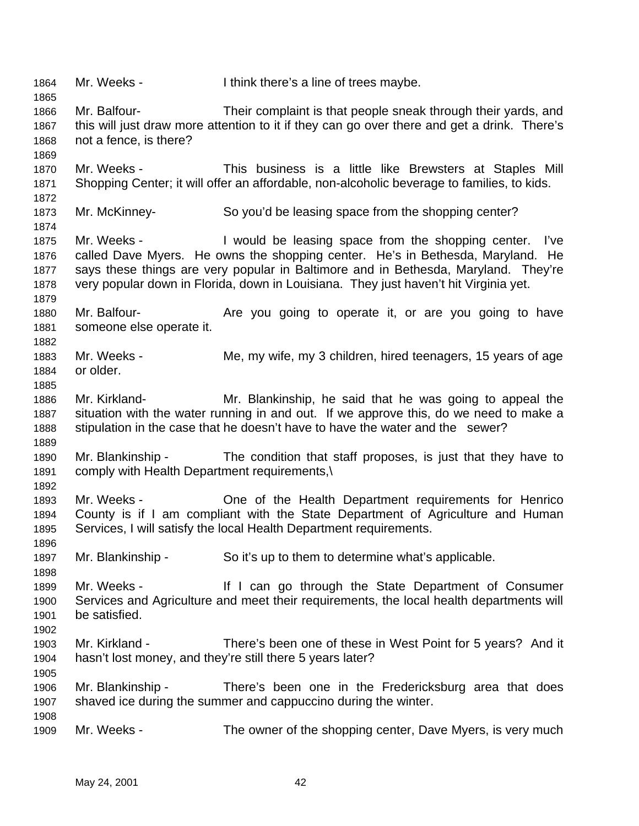Mr. Weeks - I think there's a line of trees maybe. Mr. Balfour- Their complaint is that people sneak through their yards, and this will just draw more attention to it if they can go over there and get a drink. There's not a fence, is there? Mr. Weeks - This business is a little like Brewsters at Staples Mill Shopping Center; it will offer an affordable, non-alcoholic beverage to families, to kids. Mr. McKinney- So you'd be leasing space from the shopping center? Mr. Weeks - I would be leasing space from the shopping center. I've called Dave Myers. He owns the shopping center. He's in Bethesda, Maryland. He says these things are very popular in Baltimore and in Bethesda, Maryland. They're very popular down in Florida, down in Louisiana. They just haven't hit Virginia yet. 1880 Mr. Balfour- **Are you going to operate it, or are you going to have**  someone else operate it. 1883 Mr. Weeks - Me, my wife, my 3 children, hired teenagers, 15 years of age or older. Mr. Kirkland- Mr. Blankinship, he said that he was going to appeal the situation with the water running in and out. If we approve this, do we need to make a stipulation in the case that he doesn't have to have the water and the sewer? Mr. Blankinship - The condition that staff proposes, is just that they have to comply with Health Department requirements,\ Mr. Weeks - One of the Health Department requirements for Henrico County is if I am compliant with the State Department of Agriculture and Human Services, I will satisfy the local Health Department requirements. 1897 Mr. Blankinship - So it's up to them to determine what's applicable. Mr. Weeks - If I can go through the State Department of Consumer Services and Agriculture and meet their requirements, the local health departments will be satisfied. Mr. Kirkland - There's been one of these in West Point for 5 years? And it hasn't lost money, and they're still there 5 years later? Mr. Blankinship - There's been one in the Fredericksburg area that does shaved ice during the summer and cappuccino during the winter. Mr. Weeks - The owner of the shopping center, Dave Myers, is very much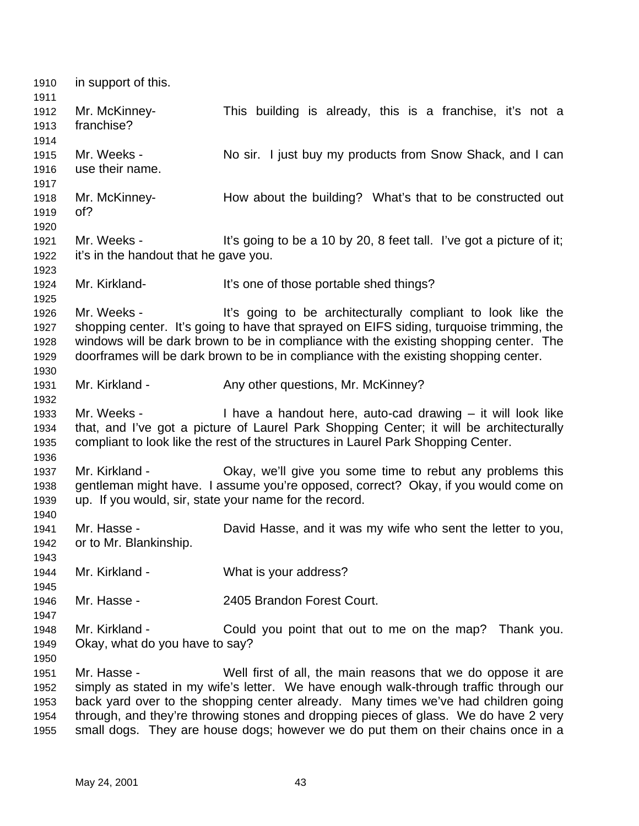in support of this. Mr. McKinney- This building is already, this is a franchise, it's not a franchise? 1915 Mr. Weeks - No sir. I just buy my products from Snow Shack, and I can use their name. Mr. McKinney- How about the building? What's that to be constructed out of? 1921 Mr. Weeks - It's going to be a 10 by 20, 8 feet tall. I've got a picture of it; it's in the handout that he gave you. Mr. Kirkland- It's one of those portable shed things? Mr. Weeks - It's going to be architecturally compliant to look like the shopping center. It's going to have that sprayed on EIFS siding, turquoise trimming, the windows will be dark brown to be in compliance with the existing shopping center. The doorframes will be dark brown to be in compliance with the existing shopping center. 1931 Mr. Kirkland - Any other questions, Mr. McKinney? Mr. Weeks - I have a handout here, auto-cad drawing – it will look like that, and I've got a picture of Laurel Park Shopping Center; it will be architecturally compliant to look like the rest of the structures in Laurel Park Shopping Center. Mr. Kirkland - Okay, we'll give you some time to rebut any problems this gentleman might have. I assume you're opposed, correct? Okay, if you would come on up. If you would, sir, state your name for the record. Mr. Hasse - David Hasse, and it was my wife who sent the letter to you, or to Mr. Blankinship. Mr. Kirkland - What is your address? Mr. Hasse - 2405 Brandon Forest Court. Mr. Kirkland - Could you point that out to me on the map? Thank you. Okay, what do you have to say? Mr. Hasse - Well first of all, the main reasons that we do oppose it are simply as stated in my wife's letter. We have enough walk-through traffic through our back yard over to the shopping center already. Many times we've had children going through, and they're throwing stones and dropping pieces of glass. We do have 2 very small dogs. They are house dogs; however we do put them on their chains once in a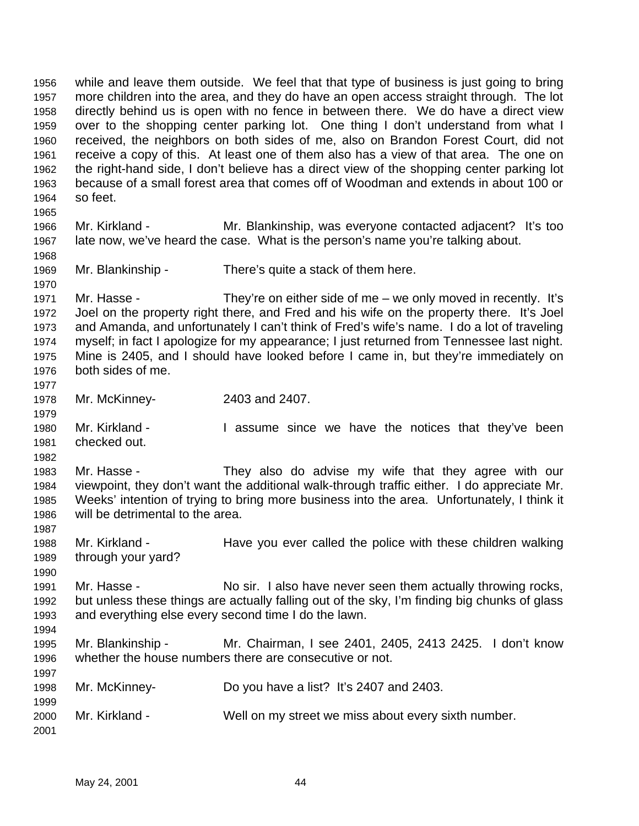while and leave them outside. We feel that that type of business is just going to bring more children into the area, and they do have an open access straight through. The lot directly behind us is open with no fence in between there. We do have a direct view over to the shopping center parking lot. One thing I don't understand from what I received, the neighbors on both sides of me, also on Brandon Forest Court, did not receive a copy of this. At least one of them also has a view of that area. The one on the right-hand side, I don't believe has a direct view of the shopping center parking lot because of a small forest area that comes off of Woodman and extends in about 100 or so feet. Mr. Kirkland - Mr. Blankinship, was everyone contacted adjacent? It's too late now, we've heard the case. What is the person's name you're talking about. Mr. Blankinship - There's quite a stack of them here. Mr. Hasse - They're on either side of me – we only moved in recently. It's Joel on the property right there, and Fred and his wife on the property there. It's Joel and Amanda, and unfortunately I can't think of Fred's wife's name. I do a lot of traveling myself; in fact I apologize for my appearance; I just returned from Tennessee last night. Mine is 2405, and I should have looked before I came in, but they're immediately on both sides of me. Mr. McKinney- 2403 and 2407. Mr. Kirkland - I assume since we have the notices that they've been checked out. Mr. Hasse - They also do advise my wife that they agree with our viewpoint, they don't want the additional walk-through traffic either. I do appreciate Mr. Weeks' intention of trying to bring more business into the area. Unfortunately, I think it will be detrimental to the area. Mr. Kirkland - Have you ever called the police with these children walking through your yard? Mr. Hasse - No sir. I also have never seen them actually throwing rocks, but unless these things are actually falling out of the sky, I'm finding big chunks of glass and everything else every second time I do the lawn. Mr. Blankinship - Mr. Chairman, I see 2401, 2405, 2413 2425. I don't know whether the house numbers there are consecutive or not. Mr. McKinney- Do you have a list? It's 2407 and 2403. Mr. Kirkland - Well on my street we miss about every sixth number.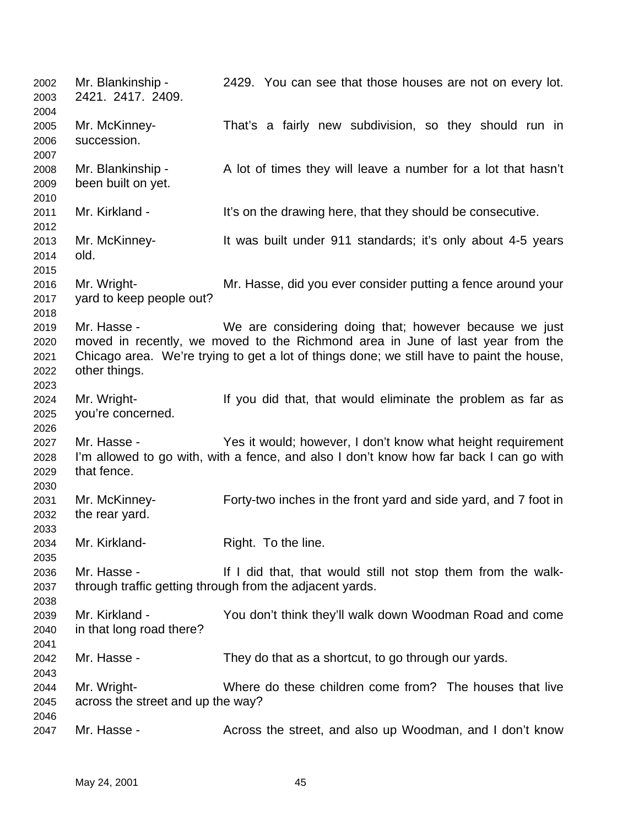Mr. Blankinship - 2429. You can see that those houses are not on every lot. 2421. 2417. 2409. Mr. McKinney- That's a fairly new subdivision, so they should run in succession. Mr. Blankinship - A lot of times they will leave a number for a lot that hasn't been built on yet. 2011 Mr. Kirkland - It's on the drawing here, that they should be consecutive. Mr. McKinney- It was built under 911 standards; it's only about 4-5 years old. Mr. Wright- Mr. Hasse, did you ever consider putting a fence around your yard to keep people out? Mr. Hasse - We are considering doing that; however because we just moved in recently, we moved to the Richmond area in June of last year from the Chicago area. We're trying to get a lot of things done; we still have to paint the house, other things. Mr. Wright- If you did that, that would eliminate the problem as far as you're concerned. Mr. Hasse - Yes it would; however, I don't know what height requirement I'm allowed to go with, with a fence, and also I don't know how far back I can go with that fence. Mr. McKinney- Forty-two inches in the front yard and side yard, and 7 foot in the rear yard. Mr. Kirkland- Right. To the line. Mr. Hasse - If I did that, that would still not stop them from the walk- through traffic getting through from the adjacent yards. Mr. Kirkland - You don't think they'll walk down Woodman Road and come in that long road there? Mr. Hasse - They do that as a shortcut, to go through our yards. Mr. Wright- Where do these children come from? The houses that live across the street and up the way? Mr. Hasse - Across the street, and also up Woodman, and I don't know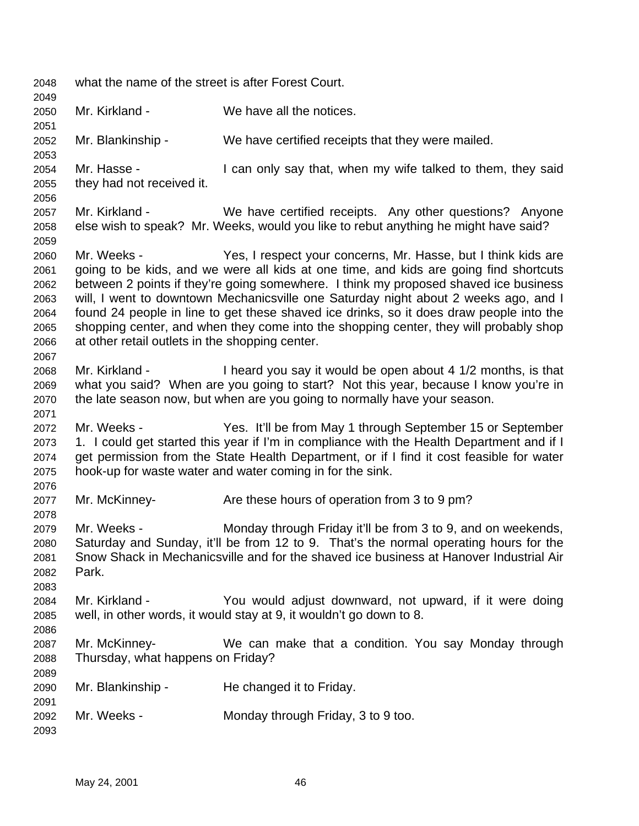what the name of the street is after Forest Court. Mr. Kirkland - We have all the notices. Mr. Blankinship - We have certified receipts that they were mailed. Mr. Hasse - I can only say that, when my wife talked to them, they said they had not received it. Mr. Kirkland - We have certified receipts. Any other questions? Anyone else wish to speak? Mr. Weeks, would you like to rebut anything he might have said? Mr. Weeks - Yes, I respect your concerns, Mr. Hasse, but I think kids are going to be kids, and we were all kids at one time, and kids are going find shortcuts between 2 points if they're going somewhere. I think my proposed shaved ice business will, I went to downtown Mechanicsville one Saturday night about 2 weeks ago, and I found 24 people in line to get these shaved ice drinks, so it does draw people into the shopping center, and when they come into the shopping center, they will probably shop at other retail outlets in the shopping center. Mr. Kirkland - I heard you say it would be open about 4 1/2 months, is that what you said? When are you going to start? Not this year, because I know you're in the late season now, but when are you going to normally have your season. Mr. Weeks - Yes. It'll be from May 1 through September 15 or September 1. I could get started this year if I'm in compliance with the Health Department and if I get permission from the State Health Department, or if I find it cost feasible for water hook-up for waste water and water coming in for the sink. Mr. McKinney- Are these hours of operation from 3 to 9 pm? Mr. Weeks - Monday through Friday it'll be from 3 to 9, and on weekends, Saturday and Sunday, it'll be from 12 to 9. That's the normal operating hours for the Snow Shack in Mechanicsville and for the shaved ice business at Hanover Industrial Air Park. Mr. Kirkland - You would adjust downward, not upward, if it were doing well, in other words, it would stay at 9, it wouldn't go down to 8. Mr. McKinney- We can make that a condition. You say Monday through Thursday, what happens on Friday? Mr. Blankinship - He changed it to Friday. Mr. Weeks - Monday through Friday, 3 to 9 too.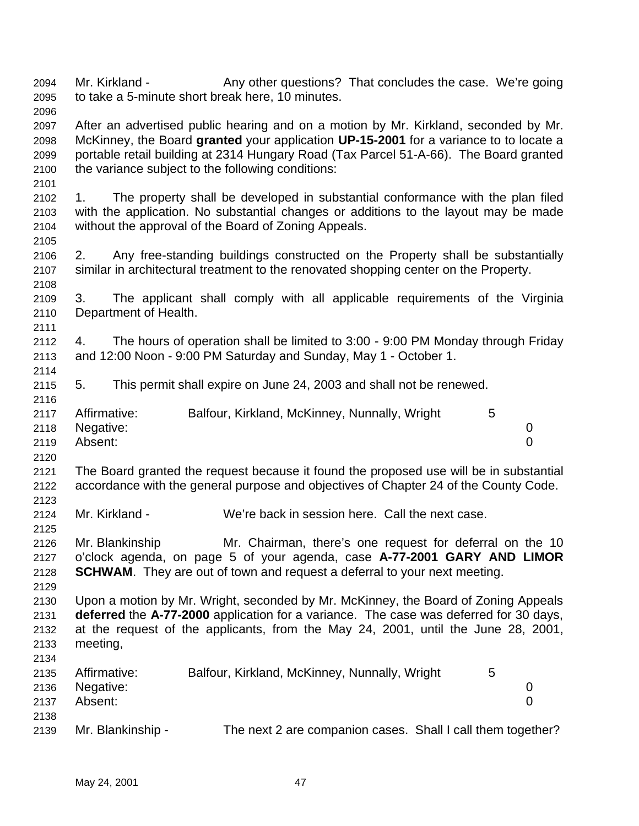2094 Mr. Kirkland - Any other questions? That concludes the case. We're going to take a 5-minute short break here, 10 minutes. After an advertised public hearing and on a motion by Mr. Kirkland, seconded by Mr. McKinney, the Board **granted** your application **UP-15-2001** for a variance to to locate a portable retail building at 2314 Hungary Road (Tax Parcel 51-A-66). The Board granted the variance subject to the following conditions: 1. The property shall be developed in substantial conformance with the plan filed with the application. No substantial changes or additions to the layout may be made without the approval of the Board of Zoning Appeals. 2. Any free-standing buildings constructed on the Property shall be substantially similar in architectural treatment to the renovated shopping center on the Property. 3. The applicant shall comply with all applicable requirements of the Virginia Department of Health. 4. The hours of operation shall be limited to 3:00 - 9:00 PM Monday through Friday and 12:00 Noon - 9:00 PM Saturday and Sunday, May 1 - October 1. 5. This permit shall expire on June 24, 2003 and shall not be renewed. 2117 Affirmative: Balfour, Kirkland, McKinney, Nunnally, Wright 5 Negative: 0 Absent: 0 The Board granted the request because it found the proposed use will be in substantial accordance with the general purpose and objectives of Chapter 24 of the County Code. Mr. Kirkland - We're back in session here. Call the next case. Mr. Blankinship Mr. Chairman, there's one request for deferral on the 10 o'clock agenda, on page 5 of your agenda, case **A-77-2001 GARY AND LIMOR SCHWAM**. They are out of town and request a deferral to your next meeting. Upon a motion by Mr. Wright, seconded by Mr. McKinney, the Board of Zoning Appeals **deferred** the **A-77-2000** application for a variance. The case was deferred for 30 days, at the request of the applicants, from the May 24, 2001, until the June 28, 2001, meeting, Affirmative: Balfour, Kirkland, McKinney, Nunnally, Wright 5 Negative: 0 Absent: 0 Mr. Blankinship - The next 2 are companion cases. Shall I call them together?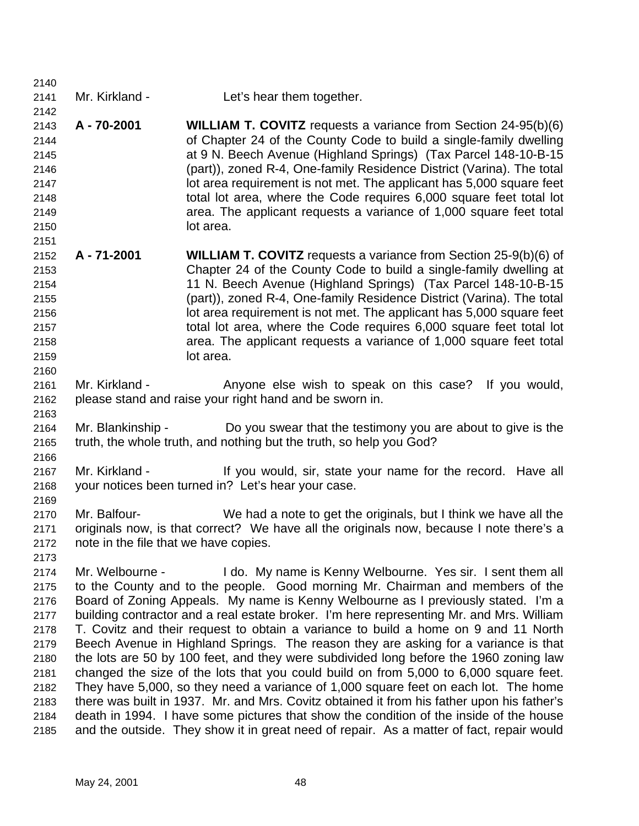| 2141 | Mr. Kirkland - | Let's hear them together. |
|------|----------------|---------------------------|

 **A - 70-2001 WILLIAM T. COVITZ** requests a variance from Section 24-95(b)(6) of Chapter 24 of the County Code to build a single-family dwelling at 9 N. Beech Avenue (Highland Springs) (Tax Parcel 148-10-B-15 (part)), zoned R-4, One-family Residence District (Varina). The total lot area requirement is not met. The applicant has 5,000 square feet total lot area, where the Code requires 6,000 square feet total lot area. The applicant requests a variance of 1,000 square feet total lot area.

- **A 71-2001 WILLIAM T. COVITZ** requests a variance from Section 25-9(b)(6) of Chapter 24 of the County Code to build a single-family dwelling at 11 N. Beech Avenue (Highland Springs) (Tax Parcel 148-10-B-15 (part)), zoned R-4, One-family Residence District (Varina). The total lot area requirement is not met. The applicant has 5,000 square feet total lot area, where the Code requires 6,000 square feet total lot area. The applicant requests a variance of 1,000 square feet total lot area.
- 2161 Mr. Kirkland Anyone else wish to speak on this case? If you would, please stand and raise your right hand and be sworn in.
- Mr. Blankinship Do you swear that the testimony you are about to give is the truth, the whole truth, and nothing but the truth, so help you God?
- Mr. Kirkland If you would, sir, state your name for the record. Have all your notices been turned in? Let's hear your case.
- Mr. Balfour- We had a note to get the originals, but I think we have all the originals now, is that correct? We have all the originals now, because I note there's a note in the file that we have copies.
- Mr. Welbourne I do. My name is Kenny Welbourne. Yes sir. I sent them all to the County and to the people. Good morning Mr. Chairman and members of the Board of Zoning Appeals. My name is Kenny Welbourne as I previously stated. I'm a building contractor and a real estate broker. I'm here representing Mr. and Mrs. William T. Covitz and their request to obtain a variance to build a home on 9 and 11 North Beech Avenue in Highland Springs. The reason they are asking for a variance is that the lots are 50 by 100 feet, and they were subdivided long before the 1960 zoning law changed the size of the lots that you could build on from 5,000 to 6,000 square feet. They have 5,000, so they need a variance of 1,000 square feet on each lot. The home there was built in 1937. Mr. and Mrs. Covitz obtained it from his father upon his father's death in 1994. I have some pictures that show the condition of the inside of the house and the outside. They show it in great need of repair. As a matter of fact, repair would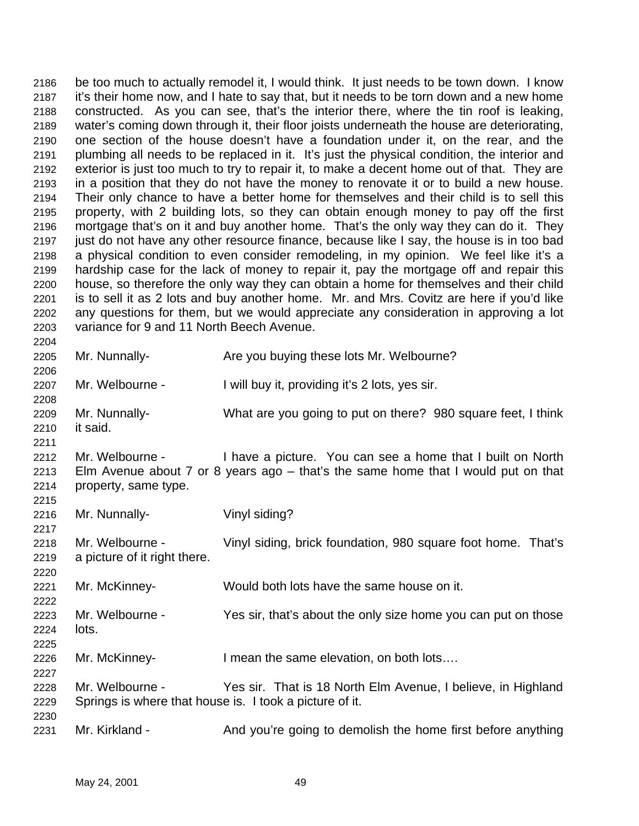be too much to actually remodel it, I would think. It just needs to be town down. I know it's their home now, and I hate to say that, but it needs to be torn down and a new home constructed. As you can see, that's the interior there, where the tin roof is leaking, water's coming down through it, their floor joists underneath the house are deteriorating, one section of the house doesn't have a foundation under it, on the rear, and the plumbing all needs to be replaced in it. It's just the physical condition, the interior and exterior is just too much to try to repair it, to make a decent home out of that. They are in a position that they do not have the money to renovate it or to build a new house. Their only chance to have a better home for themselves and their child is to sell this property, with 2 building lots, so they can obtain enough money to pay off the first mortgage that's on it and buy another home. That's the only way they can do it. They just do not have any other resource finance, because like I say, the house is in too bad a physical condition to even consider remodeling, in my opinion. We feel like it's a hardship case for the lack of money to repair it, pay the mortgage off and repair this house, so therefore the only way they can obtain a home for themselves and their child is to sell it as 2 lots and buy another home. Mr. and Mrs. Covitz are here if you'd like any questions for them, but we would appreciate any consideration in approving a lot variance for 9 and 11 North Beech Avenue. 

 Mr. Nunnally- Are you buying these lots Mr. Welbourne? Mr. Welbourne - I will buy it, providing it's 2 lots, yes sir. Mr. Nunnally- What are you going to put on there? 980 square feet, I think it said. Mr. Welbourne - I have a picture. You can see a home that I built on North Elm Avenue about 7 or 8 years ago – that's the same home that I would put on that property, same type. Mr. Nunnally- Vinyl siding? Mr. Welbourne - Vinyl siding, brick foundation, 980 square foot home. That's a picture of it right there. Mr. McKinney- Would both lots have the same house on it. Mr. Welbourne - Yes sir, that's about the only size home you can put on those lots. Mr. McKinney- I mean the same elevation, on both lots…. Mr. Welbourne - Yes sir. That is 18 North Elm Avenue, I believe, in Highland Springs is where that house is. I took a picture of it. 2231 Mr. Kirkland - And you're going to demolish the home first before anything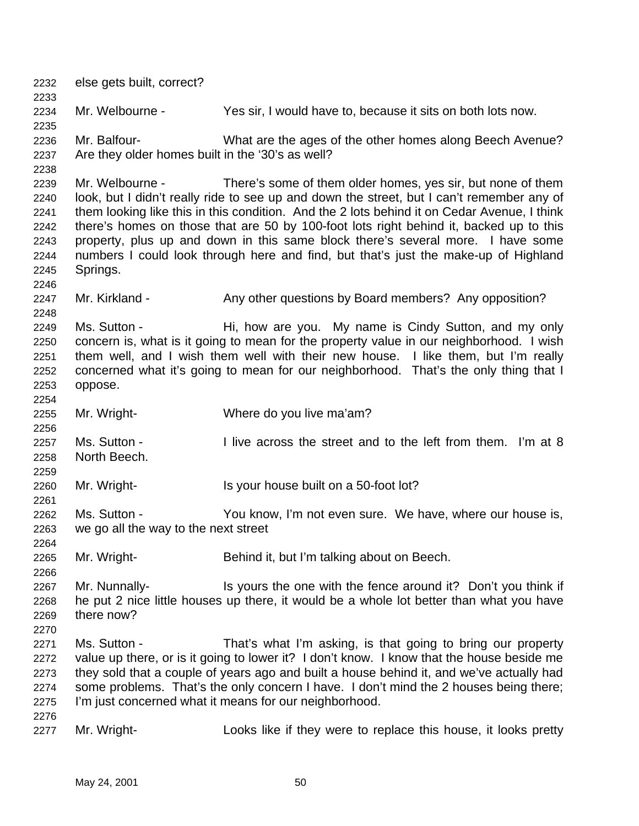else gets built, correct? Mr. Welbourne - Yes sir, I would have to, because it sits on both lots now. Mr. Balfour- What are the ages of the other homes along Beech Avenue? Are they older homes built in the '30's as well? Mr. Welbourne - There's some of them older homes, yes sir, but none of them look, but I didn't really ride to see up and down the street, but I can't remember any of them looking like this in this condition. And the 2 lots behind it on Cedar Avenue, I think there's homes on those that are 50 by 100-foot lots right behind it, backed up to this property, plus up and down in this same block there's several more. I have some numbers I could look through here and find, but that's just the make-up of Highland Springs. 2247 Mr. Kirkland - Any other questions by Board members? Any opposition? 2249 Ms. Sutton - Hi, how are you. My name is Cindy Sutton, and my only concern is, what is it going to mean for the property value in our neighborhood. I wish them well, and I wish them well with their new house. I like them, but I'm really concerned what it's going to mean for our neighborhood. That's the only thing that I oppose. Mr. Wright- Where do you live ma'am? Ms. Sutton - I live across the street and to the left from them. I'm at 8 North Beech. Mr. Wright- Is your house built on a 50-foot lot? Ms. Sutton - You know, I'm not even sure. We have, where our house is, we go all the way to the next street Mr. Wright- Behind it, but I'm talking about on Beech. Mr. Nunnally- Is yours the one with the fence around it? Don't you think if he put 2 nice little houses up there, it would be a whole lot better than what you have there now? Ms. Sutton - That's what I'm asking, is that going to bring our property value up there, or is it going to lower it? I don't know. I know that the house beside me they sold that a couple of years ago and built a house behind it, and we've actually had some problems. That's the only concern I have. I don't mind the 2 houses being there; I'm just concerned what it means for our neighborhood. Mr. Wright- Looks like if they were to replace this house, it looks pretty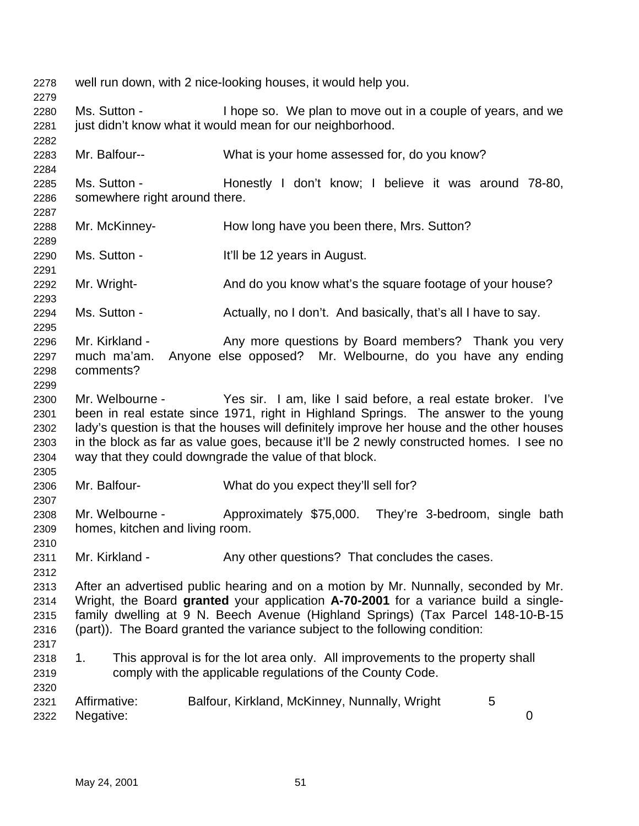well run down, with 2 nice-looking houses, it would help you. Ms. Sutton - I hope so. We plan to move out in a couple of years, and we 2281 just didn't know what it would mean for our neighborhood. Mr. Balfour-- What is your home assessed for, do you know? 2285 Ms. Sutton - Honestly I don't know; I believe it was around 78-80, somewhere right around there. Mr. McKinney- How long have you been there, Mrs. Sutton? Ms. Sutton - It'll be 12 years in August. 2292 Mr. Wright- And do you know what's the square footage of your house? 2294 Ms. Sutton - Actually, no I don't. And basically, that's all I have to say. 2296 Mr. Kirkland - Any more questions by Board members? Thank you very much ma'am. Anyone else opposed? Mr. Welbourne, do you have any ending comments? Mr. Welbourne - Yes sir. I am, like I said before, a real estate broker. I've been in real estate since 1971, right in Highland Springs. The answer to the young lady's question is that the houses will definitely improve her house and the other houses in the block as far as value goes, because it'll be 2 newly constructed homes. I see no way that they could downgrade the value of that block. Mr. Balfour- What do you expect they'll sell for? Mr. Welbourne - Approximately \$75,000. They're 3-bedroom, single bath homes, kitchen and living room. 2311 Mr. Kirkland - Any other questions? That concludes the cases. After an advertised public hearing and on a motion by Mr. Nunnally, seconded by Mr. Wright, the Board **granted** your application **A-70-2001** for a variance build a single- family dwelling at 9 N. Beech Avenue (Highland Springs) (Tax Parcel 148-10-B-15 (part)). The Board granted the variance subject to the following condition: 1. This approval is for the lot area only. All improvements to the property shall comply with the applicable regulations of the County Code. Affirmative: Balfour, Kirkland, McKinney, Nunnally, Wright 5 Negative: 0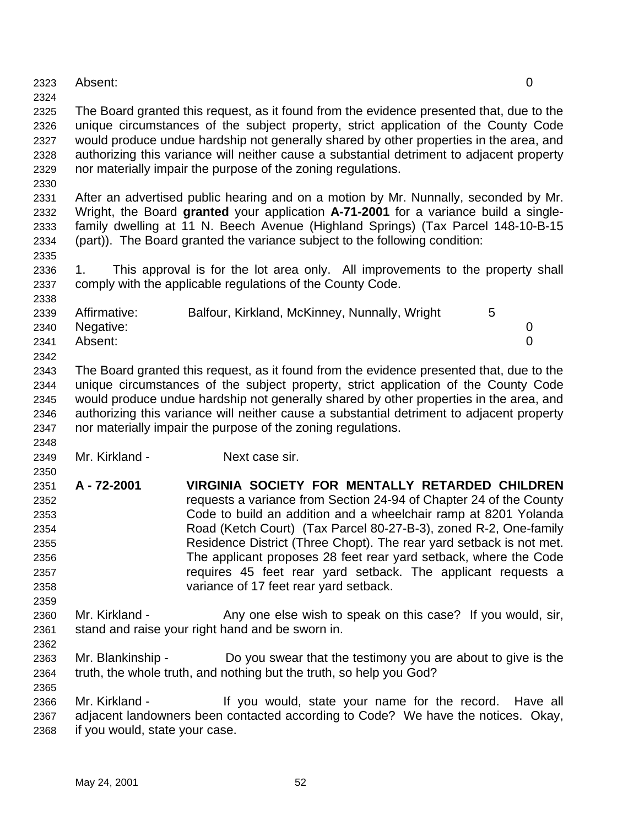Absent: 0

 The Board granted this request, as it found from the evidence presented that, due to the unique circumstances of the subject property, strict application of the County Code would produce undue hardship not generally shared by other properties in the area, and authorizing this variance will neither cause a substantial detriment to adjacent property nor materially impair the purpose of the zoning regulations.

 After an advertised public hearing and on a motion by Mr. Nunnally, seconded by Mr. Wright, the Board **granted** your application **A-71-2001** for a variance build a single- family dwelling at 11 N. Beech Avenue (Highland Springs) (Tax Parcel 148-10-B-15 (part)). The Board granted the variance subject to the following condition:

 1. This approval is for the lot area only. All improvements to the property shall comply with the applicable regulations of the County Code.

| 2339 | Affirmative:   | Balfour, Kirkland, McKinney, Nunnally, Wright |  |
|------|----------------|-----------------------------------------------|--|
|      | 2340 Negative: |                                               |  |
| 2341 | Absent:        |                                               |  |
| 2342 |                |                                               |  |

 The Board granted this request, as it found from the evidence presented that, due to the unique circumstances of the subject property, strict application of the County Code would produce undue hardship not generally shared by other properties in the area, and authorizing this variance will neither cause a substantial detriment to adjacent property nor materially impair the purpose of the zoning regulations.

Mr. Kirkland - Next case sir.

- **A 72-2001 VIRGINIA SOCIETY FOR MENTALLY RETARDED CHILDREN** requests a variance from Section 24-94 of Chapter 24 of the County Code to build an addition and a wheelchair ramp at 8201 Yolanda Road (Ketch Court) (Tax Parcel 80-27-B-3), zoned R-2, One-family Residence District (Three Chopt). The rear yard setback is not met. The applicant proposes 28 feet rear yard setback, where the Code requires 45 feet rear yard setback. The applicant requests a variance of 17 feet rear yard setback.
- 2360 Mr. Kirkland Any one else wish to speak on this case? If you would, sir, stand and raise your right hand and be sworn in.
- Mr. Blankinship Do you swear that the testimony you are about to give is the truth, the whole truth, and nothing but the truth, so help you God?

 Mr. Kirkland - If you would, state your name for the record. Have all adjacent landowners been contacted according to Code? We have the notices. Okay, if you would, state your case.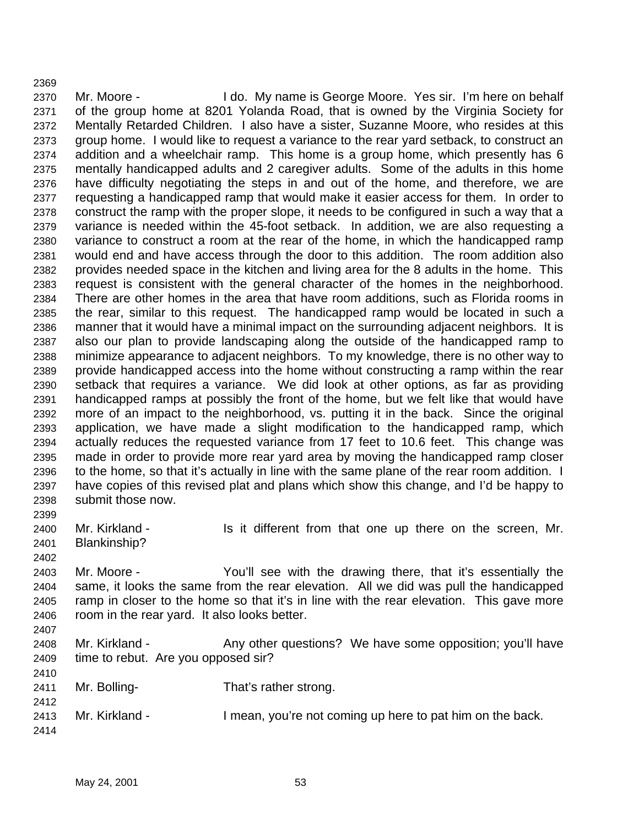Mr. Moore - I do. My name is George Moore. Yes sir. I'm here on behalf of the group home at 8201 Yolanda Road, that is owned by the Virginia Society for Mentally Retarded Children. I also have a sister, Suzanne Moore, who resides at this group home. I would like to request a variance to the rear yard setback, to construct an addition and a wheelchair ramp. This home is a group home, which presently has 6 mentally handicapped adults and 2 caregiver adults. Some of the adults in this home have difficulty negotiating the steps in and out of the home, and therefore, we are requesting a handicapped ramp that would make it easier access for them. In order to construct the ramp with the proper slope, it needs to be configured in such a way that a variance is needed within the 45-foot setback. In addition, we are also requesting a variance to construct a room at the rear of the home, in which the handicapped ramp would end and have access through the door to this addition. The room addition also provides needed space in the kitchen and living area for the 8 adults in the home. This request is consistent with the general character of the homes in the neighborhood. There are other homes in the area that have room additions, such as Florida rooms in the rear, similar to this request. The handicapped ramp would be located in such a manner that it would have a minimal impact on the surrounding adjacent neighbors. It is also our plan to provide landscaping along the outside of the handicapped ramp to minimize appearance to adjacent neighbors. To my knowledge, there is no other way to provide handicapped access into the home without constructing a ramp within the rear setback that requires a variance. We did look at other options, as far as providing handicapped ramps at possibly the front of the home, but we felt like that would have more of an impact to the neighborhood, vs. putting it in the back. Since the original application, we have made a slight modification to the handicapped ramp, which actually reduces the requested variance from 17 feet to 10.6 feet. This change was made in order to provide more rear yard area by moving the handicapped ramp closer to the home, so that it's actually in line with the same plane of the rear room addition. I have copies of this revised plat and plans which show this change, and I'd be happy to submit those now. 

2400 Mr. Kirkland - Is it different from that one up there on the screen, Mr. Blankinship?

 Mr. Moore - You'll see with the drawing there, that it's essentially the same, it looks the same from the rear elevation. All we did was pull the handicapped ramp in closer to the home so that it's in line with the rear elevation. This gave more room in the rear yard. It also looks better. 

- 2408 Mr. Kirkland Any other questions? We have some opposition; you'll have time to rebut. Are you opposed sir?
- Mr. Bolling- That's rather strong.
- 2413 Mr. Kirkland I mean, you're not coming up here to pat him on the back.
	- May 24, 2001 53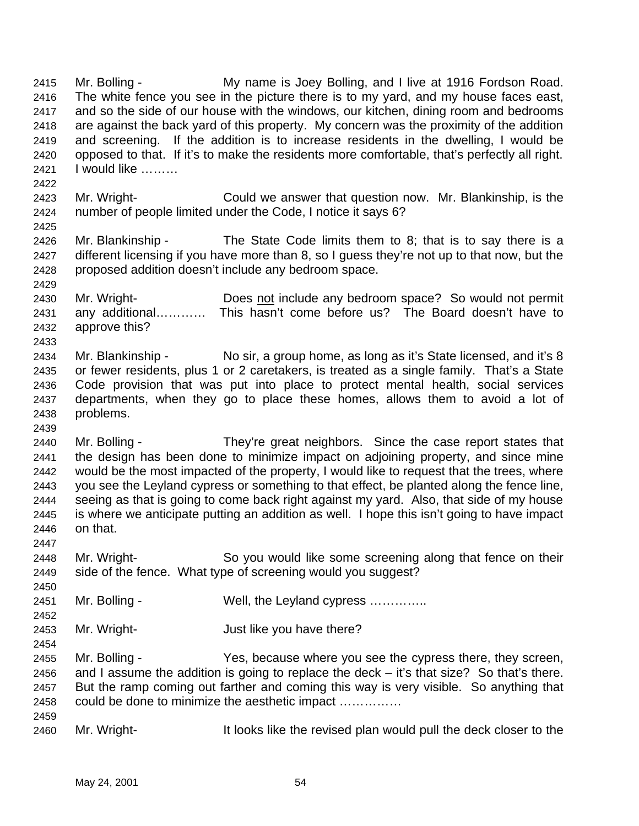Mr. Bolling - My name is Joey Bolling, and I live at 1916 Fordson Road. The white fence you see in the picture there is to my yard, and my house faces east, and so the side of our house with the windows, our kitchen, dining room and bedrooms are against the back yard of this property. My concern was the proximity of the addition and screening. If the addition is to increase residents in the dwelling, I would be opposed to that. If it's to make the residents more comfortable, that's perfectly all right. I would like ……… Mr. Wright- Could we answer that question now. Mr. Blankinship, is the number of people limited under the Code, I notice it says 6? Mr. Blankinship - The State Code limits them to 8; that is to say there is a different licensing if you have more than 8, so I guess they're not up to that now, but the proposed addition doesn't include any bedroom space. Mr. Wright- Does not include any bedroom space? So would not permit any additional………… This hasn't come before us? The Board doesn't have to approve this? 2434 Mr. Blankinship - No sir, a group home, as long as it's State licensed, and it's 8 or fewer residents, plus 1 or 2 caretakers, is treated as a single family. That's a State Code provision that was put into place to protect mental health, social services departments, when they go to place these homes, allows them to avoid a lot of problems. Mr. Bolling - They're great neighbors. Since the case report states that the design has been done to minimize impact on adjoining property, and since mine would be the most impacted of the property, I would like to request that the trees, where you see the Leyland cypress or something to that effect, be planted along the fence line, seeing as that is going to come back right against my yard. Also, that side of my house is where we anticipate putting an addition as well. I hope this isn't going to have impact on that. Mr. Wright- So you would like some screening along that fence on their side of the fence. What type of screening would you suggest? 2451 Mr. Bolling - Well, the Leyland cypress .............. Mr. Wright- Just like you have there? Mr. Bolling - Yes, because where you see the cypress there, they screen, and I assume the addition is going to replace the deck – it's that size? So that's there. But the ramp coming out farther and coming this way is very visible. So anything that could be done to minimize the aesthetic impact …………… Mr. Wright- It looks like the revised plan would pull the deck closer to the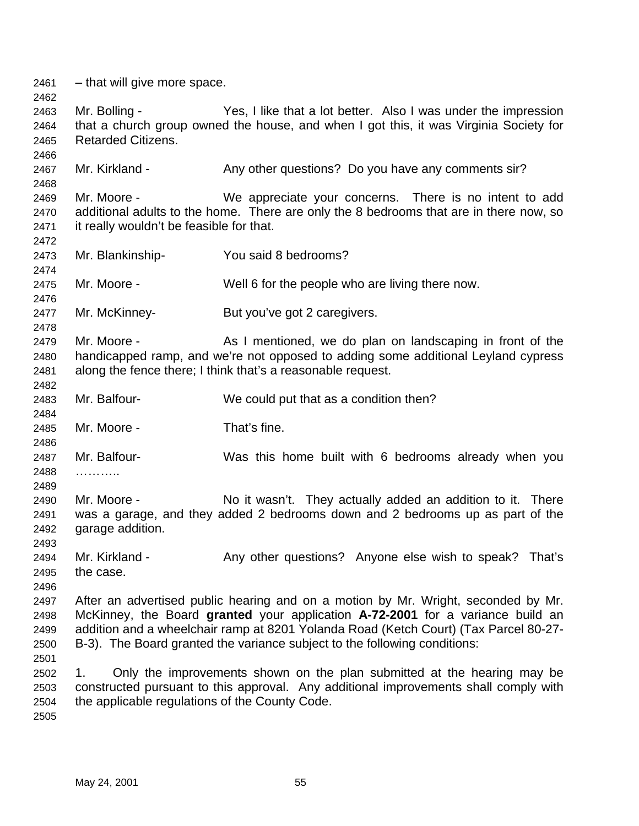– that will give more space. Mr. Bolling - Yes, I like that a lot better. Also I was under the impression that a church group owned the house, and when I got this, it was Virginia Society for Retarded Citizens. 2467 Mr. Kirkland - Any other questions? Do you have any comments sir? Mr. Moore - We appreciate your concerns. There is no intent to add additional adults to the home. There are only the 8 bedrooms that are in there now, so it really wouldn't be feasible for that. Mr. Blankinship- You said 8 bedrooms? Mr. Moore - Well 6 for the people who are living there now. Mr. McKinney- But you've got 2 caregivers. 2479 Mr. Moore - As I mentioned, we do plan on landscaping in front of the handicapped ramp, and we're not opposed to adding some additional Leyland cypress along the fence there; I think that's a reasonable request. Mr. Balfour- We could put that as a condition then? Mr. Moore - That's fine. Mr. Balfour- Was this home built with 6 bedrooms already when you ……….. Mr. Moore - No it wasn't. They actually added an addition to it. There was a garage, and they added 2 bedrooms down and 2 bedrooms up as part of the garage addition. 2494 Mr. Kirkland - Any other questions? Anyone else wish to speak? That's the case. After an advertised public hearing and on a motion by Mr. Wright, seconded by Mr. McKinney, the Board **granted** your application **A-72-2001** for a variance build an addition and a wheelchair ramp at 8201 Yolanda Road (Ketch Court) (Tax Parcel 80-27- B-3). The Board granted the variance subject to the following conditions: 1. Only the improvements shown on the plan submitted at the hearing may be constructed pursuant to this approval. Any additional improvements shall comply with the applicable regulations of the County Code.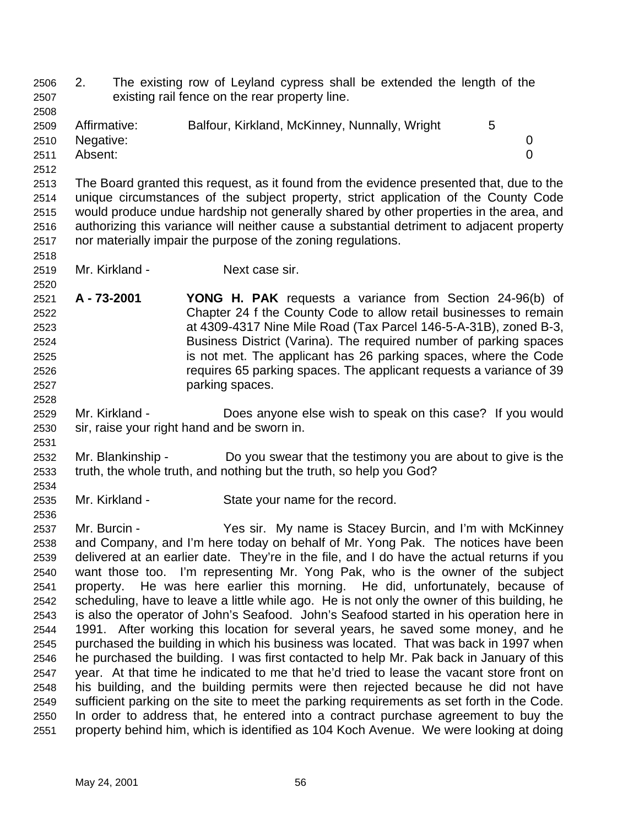2. The existing row of Leyland cypress shall be extended the length of the existing rail fence on the rear property line.

| 2509 | Affirmative:   | Balfour, Kirkland, McKinney, Nunnally, Wright | 5 |   |
|------|----------------|-----------------------------------------------|---|---|
|      | 2510 Negative: |                                               |   |   |
| 2511 | Absent:        |                                               |   | 0 |
| 2512 |                |                                               |   |   |

 The Board granted this request, as it found from the evidence presented that, due to the unique circumstances of the subject property, strict application of the County Code would produce undue hardship not generally shared by other properties in the area, and authorizing this variance will neither cause a substantial detriment to adjacent property nor materially impair the purpose of the zoning regulations.

 

- Mr. Kirkland Next case sir.
- **A 73-2001 YONG H. PAK** requests a variance from Section 24-96(b) of Chapter 24 f the County Code to allow retail businesses to remain at 4309-4317 Nine Mile Road (Tax Parcel 146-5-A-31B), zoned B-3, Business District (Varina). The required number of parking spaces is not met. The applicant has 26 parking spaces, where the Code requires 65 parking spaces. The applicant requests a variance of 39 parking spaces.
- Mr. Kirkland Does anyone else wish to speak on this case? If you would sir, raise your right hand and be sworn in.
- Mr. Blankinship Do you swear that the testimony you are about to give is the truth, the whole truth, and nothing but the truth, so help you God?
- Mr. Kirkland State your name for the record.
- Mr. Burcin Yes sir. My name is Stacey Burcin, and I'm with McKinney and Company, and I'm here today on behalf of Mr. Yong Pak. The notices have been delivered at an earlier date. They're in the file, and I do have the actual returns if you want those too. I'm representing Mr. Yong Pak, who is the owner of the subject property. He was here earlier this morning. He did, unfortunately, because of scheduling, have to leave a little while ago. He is not only the owner of this building, he is also the operator of John's Seafood. John's Seafood started in his operation here in 1991. After working this location for several years, he saved some money, and he purchased the building in which his business was located. That was back in 1997 when he purchased the building. I was first contacted to help Mr. Pak back in January of this year. At that time he indicated to me that he'd tried to lease the vacant store front on his building, and the building permits were then rejected because he did not have sufficient parking on the site to meet the parking requirements as set forth in the Code. In order to address that, he entered into a contract purchase agreement to buy the property behind him, which is identified as 104 Koch Avenue. We were looking at doing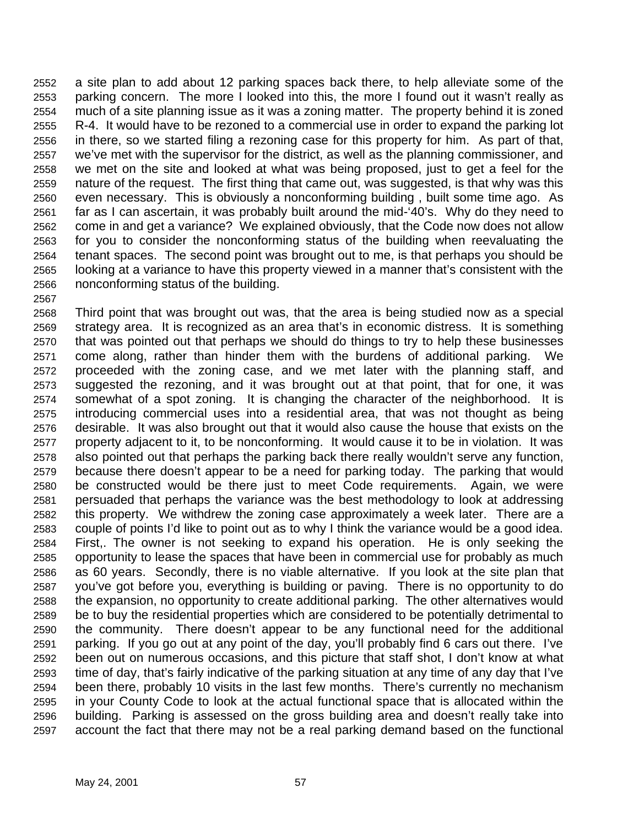a site plan to add about 12 parking spaces back there, to help alleviate some of the parking concern. The more I looked into this, the more I found out it wasn't really as much of a site planning issue as it was a zoning matter. The property behind it is zoned R-4. It would have to be rezoned to a commercial use in order to expand the parking lot in there, so we started filing a rezoning case for this property for him. As part of that, we've met with the supervisor for the district, as well as the planning commissioner, and we met on the site and looked at what was being proposed, just to get a feel for the nature of the request. The first thing that came out, was suggested, is that why was this even necessary. This is obviously a nonconforming building , built some time ago. As far as I can ascertain, it was probably built around the mid-'40's. Why do they need to come in and get a variance? We explained obviously, that the Code now does not allow for you to consider the nonconforming status of the building when reevaluating the tenant spaces. The second point was brought out to me, is that perhaps you should be looking at a variance to have this property viewed in a manner that's consistent with the nonconforming status of the building.

 Third point that was brought out was, that the area is being studied now as a special strategy area. It is recognized as an area that's in economic distress. It is something that was pointed out that perhaps we should do things to try to help these businesses come along, rather than hinder them with the burdens of additional parking. We proceeded with the zoning case, and we met later with the planning staff, and suggested the rezoning, and it was brought out at that point, that for one, it was somewhat of a spot zoning. It is changing the character of the neighborhood. It is introducing commercial uses into a residential area, that was not thought as being desirable. It was also brought out that it would also cause the house that exists on the property adjacent to it, to be nonconforming. It would cause it to be in violation. It was also pointed out that perhaps the parking back there really wouldn't serve any function, because there doesn't appear to be a need for parking today. The parking that would be constructed would be there just to meet Code requirements. Again, we were persuaded that perhaps the variance was the best methodology to look at addressing this property. We withdrew the zoning case approximately a week later. There are a couple of points I'd like to point out as to why I think the variance would be a good idea. First,. The owner is not seeking to expand his operation. He is only seeking the opportunity to lease the spaces that have been in commercial use for probably as much as 60 years. Secondly, there is no viable alternative. If you look at the site plan that you've got before you, everything is building or paving. There is no opportunity to do the expansion, no opportunity to create additional parking. The other alternatives would be to buy the residential properties which are considered to be potentially detrimental to the community. There doesn't appear to be any functional need for the additional parking. If you go out at any point of the day, you'll probably find 6 cars out there. I've been out on numerous occasions, and this picture that staff shot, I don't know at what time of day, that's fairly indicative of the parking situation at any time of any day that I've been there, probably 10 visits in the last few months. There's currently no mechanism in your County Code to look at the actual functional space that is allocated within the building. Parking is assessed on the gross building area and doesn't really take into account the fact that there may not be a real parking demand based on the functional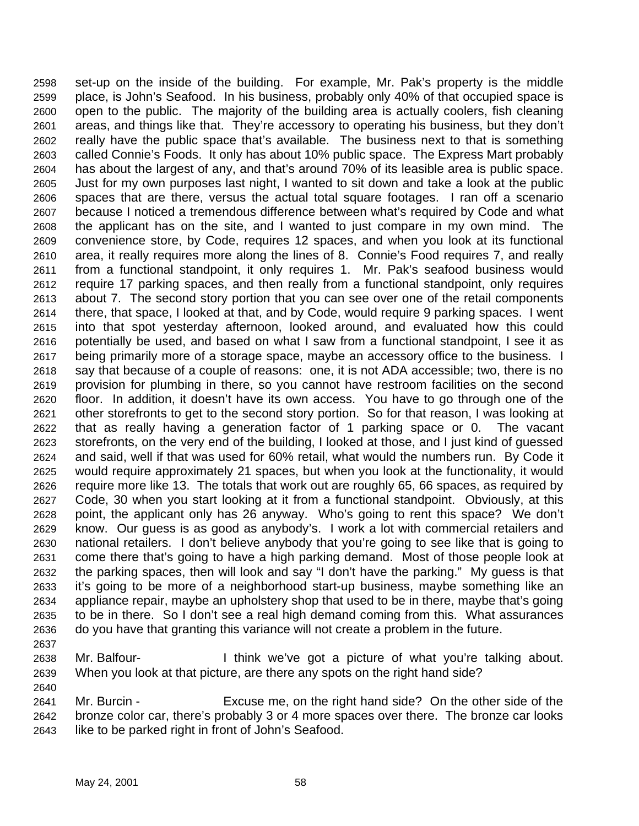set-up on the inside of the building. For example, Mr. Pak's property is the middle place, is John's Seafood. In his business, probably only 40% of that occupied space is open to the public. The majority of the building area is actually coolers, fish cleaning areas, and things like that. They're accessory to operating his business, but they don't really have the public space that's available. The business next to that is something called Connie's Foods. It only has about 10% public space. The Express Mart probably has about the largest of any, and that's around 70% of its leasible area is public space. Just for my own purposes last night, I wanted to sit down and take a look at the public spaces that are there, versus the actual total square footages. I ran off a scenario because I noticed a tremendous difference between what's required by Code and what the applicant has on the site, and I wanted to just compare in my own mind. The convenience store, by Code, requires 12 spaces, and when you look at its functional area, it really requires more along the lines of 8. Connie's Food requires 7, and really from a functional standpoint, it only requires 1. Mr. Pak's seafood business would require 17 parking spaces, and then really from a functional standpoint, only requires about 7. The second story portion that you can see over one of the retail components there, that space, I looked at that, and by Code, would require 9 parking spaces. I went into that spot yesterday afternoon, looked around, and evaluated how this could potentially be used, and based on what I saw from a functional standpoint, I see it as being primarily more of a storage space, maybe an accessory office to the business. I say that because of a couple of reasons: one, it is not ADA accessible; two, there is no provision for plumbing in there, so you cannot have restroom facilities on the second floor. In addition, it doesn't have its own access. You have to go through one of the other storefronts to get to the second story portion. So for that reason, I was looking at that as really having a generation factor of 1 parking space or 0. The vacant storefronts, on the very end of the building, I looked at those, and I just kind of guessed and said, well if that was used for 60% retail, what would the numbers run. By Code it would require approximately 21 spaces, but when you look at the functionality, it would require more like 13. The totals that work out are roughly 65, 66 spaces, as required by Code, 30 when you start looking at it from a functional standpoint. Obviously, at this point, the applicant only has 26 anyway. Who's going to rent this space? We don't know. Our guess is as good as anybody's. I work a lot with commercial retailers and national retailers. I don't believe anybody that you're going to see like that is going to come there that's going to have a high parking demand. Most of those people look at the parking spaces, then will look and say "I don't have the parking." My guess is that it's going to be more of a neighborhood start-up business, maybe something like an appliance repair, maybe an upholstery shop that used to be in there, maybe that's going to be in there. So I don't see a real high demand coming from this. What assurances do you have that granting this variance will not create a problem in the future.

 Mr. Balfour- I think we've got a picture of what you're talking about. When you look at that picture, are there any spots on the right hand side?

 Mr. Burcin - Excuse me, on the right hand side? On the other side of the bronze color car, there's probably 3 or 4 more spaces over there. The bronze car looks like to be parked right in front of John's Seafood.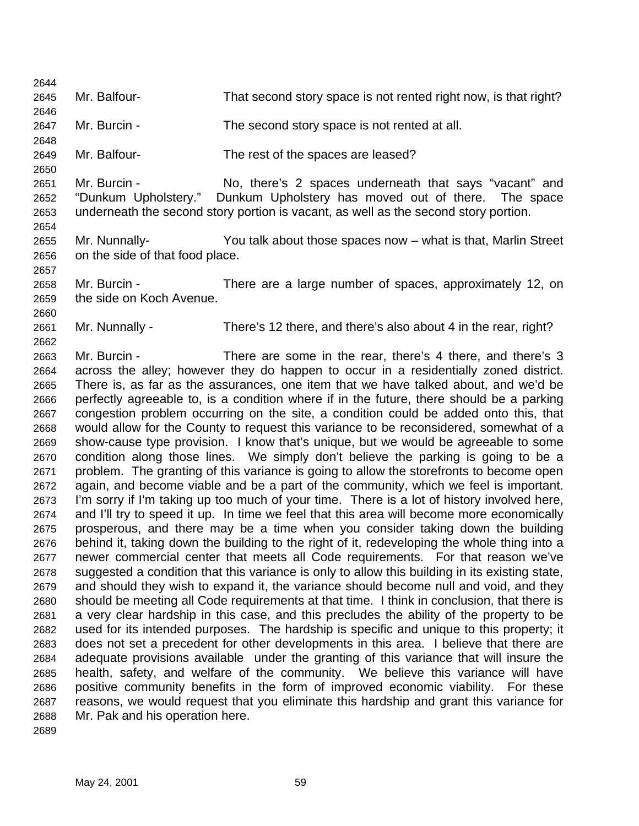Mr. Balfour- That second story space is not rented right now, is that right? Mr. Burcin - The second story space is not rented at all. Mr. Balfour- The rest of the spaces are leased? Mr. Burcin - No, there's 2 spaces underneath that says "vacant" and "Dunkum Upholstery." Dunkum Upholstery has moved out of there. The space underneath the second story portion is vacant, as well as the second story portion. Mr. Nunnally- You talk about those spaces now – what is that, Marlin Street on the side of that food place. Mr. Burcin - There are a large number of spaces, approximately 12, on the side on Koch Avenue. Mr. Nunnally - There's 12 there, and there's also about 4 in the rear, right? Mr. Burcin - There are some in the rear, there's 4 there, and there's 3 across the alley; however they do happen to occur in a residentially zoned district. There is, as far as the assurances, one item that we have talked about, and we'd be perfectly agreeable to, is a condition where if in the future, there should be a parking congestion problem occurring on the site, a condition could be added onto this, that would allow for the County to request this variance to be reconsidered, somewhat of a show-cause type provision. I know that's unique, but we would be agreeable to some condition along those lines. We simply don't believe the parking is going to be a problem. The granting of this variance is going to allow the storefronts to become open again, and become viable and be a part of the community, which we feel is important. I'm sorry if I'm taking up too much of your time. There is a lot of history involved here, and I'll try to speed it up. In time we feel that this area will become more economically prosperous, and there may be a time when you consider taking down the building behind it, taking down the building to the right of it, redeveloping the whole thing into a newer commercial center that meets all Code requirements. For that reason we've suggested a condition that this variance is only to allow this building in its existing state, and should they wish to expand it, the variance should become null and void, and they should be meeting all Code requirements at that time. I think in conclusion, that there is a very clear hardship in this case, and this precludes the ability of the property to be used for its intended purposes. The hardship is specific and unique to this property; it does not set a precedent for other developments in this area. I believe that there are adequate provisions available under the granting of this variance that will insure the health, safety, and welfare of the community. We believe this variance will have positive community benefits in the form of improved economic viability. For these reasons, we would request that you eliminate this hardship and grant this variance for Mr. Pak and his operation here.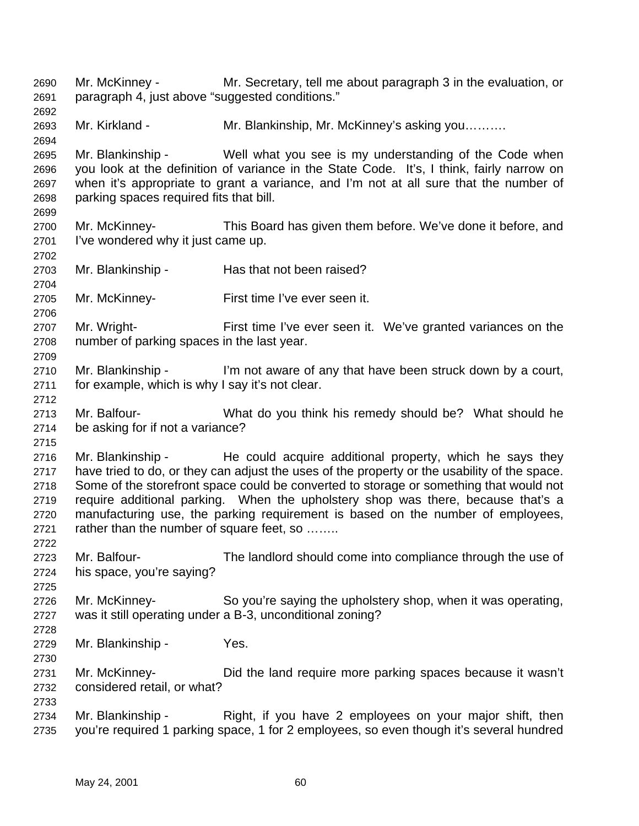Mr. McKinney - Mr. Secretary, tell me about paragraph 3 in the evaluation, or paragraph 4, just above "suggested conditions." Mr. Kirkland - Mr. Blankinship, Mr. McKinney's asking you………. Mr. Blankinship - Well what you see is my understanding of the Code when you look at the definition of variance in the State Code. It's, I think, fairly narrow on when it's appropriate to grant a variance, and I'm not at all sure that the number of parking spaces required fits that bill. Mr. McKinney- This Board has given them before. We've done it before, and I've wondered why it just came up. 2703 Mr. Blankinship - Has that not been raised? Mr. McKinney- First time I've ever seen it. Mr. Wright- First time I've ever seen it. We've granted variances on the number of parking spaces in the last year. Mr. Blankinship - I'm not aware of any that have been struck down by a court, for example, which is why I say it's not clear. Mr. Balfour- What do you think his remedy should be? What should he be asking for if not a variance? 2716 Mr. Blankinship - He could acquire additional property, which he says they have tried to do, or they can adjust the uses of the property or the usability of the space. Some of the storefront space could be converted to storage or something that would not require additional parking. When the upholstery shop was there, because that's a manufacturing use, the parking requirement is based on the number of employees, rather than the number of square feet, so …….. Mr. Balfour- The landlord should come into compliance through the use of his space, you're saying? Mr. McKinney- So you're saying the upholstery shop, when it was operating, was it still operating under a B-3, unconditional zoning? Mr. Blankinship - Yes. Mr. McKinney- Did the land require more parking spaces because it wasn't considered retail, or what? 2734 Mr. Blankinship - Right, if you have 2 employees on your major shift, then you're required 1 parking space, 1 for 2 employees, so even though it's several hundred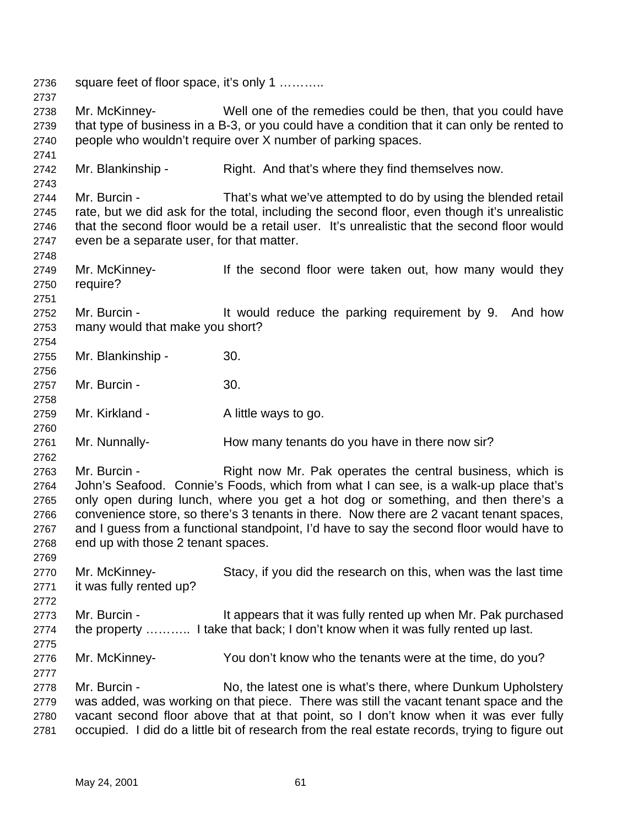square feet of floor space, it's only 1 ……….. Mr. McKinney- Well one of the remedies could be then, that you could have that type of business in a B-3, or you could have a condition that it can only be rented to people who wouldn't require over X number of parking spaces. Mr. Blankinship - Right. And that's where they find themselves now. Mr. Burcin - That's what we've attempted to do by using the blended retail rate, but we did ask for the total, including the second floor, even though it's unrealistic that the second floor would be a retail user. It's unrealistic that the second floor would even be a separate user, for that matter. 2749 Mr. McKinney- If the second floor were taken out, how many would they require? 2752 Mr. Burcin - It would reduce the parking requirement by 9. And how many would that make you short? Mr. Blankinship - 30. Mr. Burcin - 30. 2759 Mr. Kirkland - A little ways to go. Mr. Nunnally- How many tenants do you have in there now sir? 2763 Mr. Burcin - Right now Mr. Pak operates the central business, which is John's Seafood. Connie's Foods, which from what I can see, is a walk-up place that's only open during lunch, where you get a hot dog or something, and then there's a convenience store, so there's 3 tenants in there. Now there are 2 vacant tenant spaces, and I guess from a functional standpoint, I'd have to say the second floor would have to end up with those 2 tenant spaces. Mr. McKinney- Stacy, if you did the research on this, when was the last time it was fully rented up? 2773 Mr. Burcin - It appears that it was fully rented up when Mr. Pak purchased the property ……….. I take that back; I don't know when it was fully rented up last. Mr. McKinney- You don't know who the tenants were at the time, do you? Mr. Burcin - No, the latest one is what's there, where Dunkum Upholstery was added, was working on that piece. There was still the vacant tenant space and the vacant second floor above that at that point, so I don't know when it was ever fully occupied. I did do a little bit of research from the real estate records, trying to figure out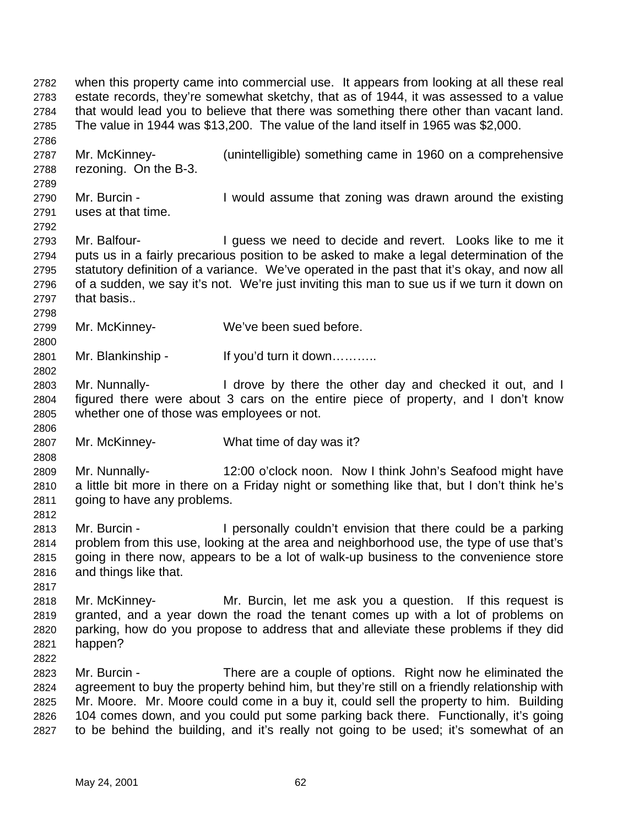when this property came into commercial use. It appears from looking at all these real estate records, they're somewhat sketchy, that as of 1944, it was assessed to a value that would lead you to believe that there was something there other than vacant land. The value in 1944 was \$13,200. The value of the land itself in 1965 was \$2,000. Mr. McKinney- (unintelligible) something came in 1960 on a comprehensive rezoning. On the B-3. Mr. Burcin - I would assume that zoning was drawn around the existing uses at that time. 2793 Mr. Balfour- I guess we need to decide and revert. Looks like to me it puts us in a fairly precarious position to be asked to make a legal determination of the statutory definition of a variance. We've operated in the past that it's okay, and now all of a sudden, we say it's not. We're just inviting this man to sue us if we turn it down on that basis.. Mr. McKinney- We've been sued before. Mr. Blankinship - If you'd turn it down……….. Mr. Nunnally- I drove by there the other day and checked it out, and I figured there were about 3 cars on the entire piece of property, and I don't know whether one of those was employees or not. Mr. McKinney- What time of day was it? Mr. Nunnally- 12:00 o'clock noon. Now I think John's Seafood might have a little bit more in there on a Friday night or something like that, but I don't think he's going to have any problems. Mr. Burcin - I personally couldn't envision that there could be a parking problem from this use, looking at the area and neighborhood use, the type of use that's going in there now, appears to be a lot of walk-up business to the convenience store and things like that. Mr. McKinney- Mr. Burcin, let me ask you a question. If this request is granted, and a year down the road the tenant comes up with a lot of problems on parking, how do you propose to address that and alleviate these problems if they did happen? Mr. Burcin - There are a couple of options. Right now he eliminated the agreement to buy the property behind him, but they're still on a friendly relationship with Mr. Moore. Mr. Moore could come in a buy it, could sell the property to him. Building 104 comes down, and you could put some parking back there. Functionally, it's going to be behind the building, and it's really not going to be used; it's somewhat of an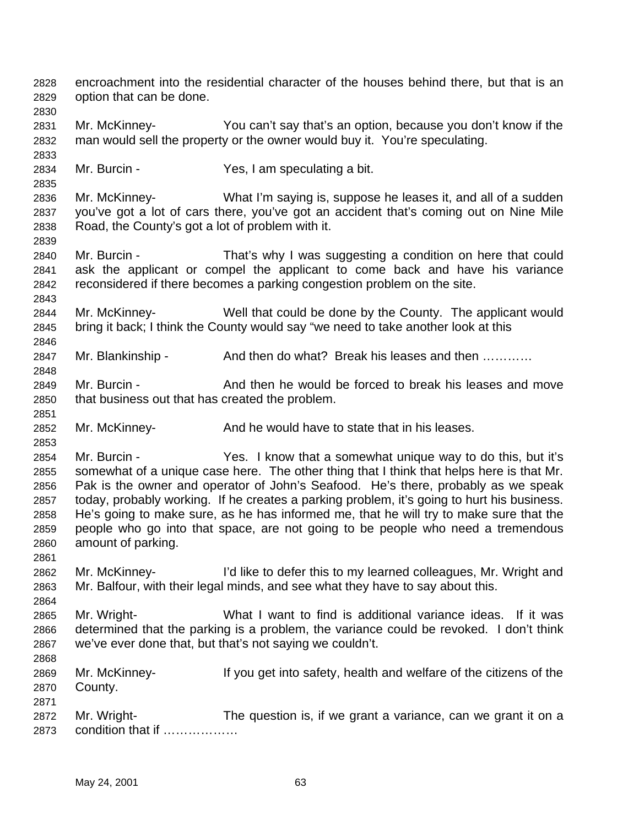encroachment into the residential character of the houses behind there, but that is an option that can be done. Mr. McKinney- You can't say that's an option, because you don't know if the man would sell the property or the owner would buy it. You're speculating. Mr. Burcin - Yes, I am speculating a bit. Mr. McKinney- What I'm saying is, suppose he leases it, and all of a sudden you've got a lot of cars there, you've got an accident that's coming out on Nine Mile Road, the County's got a lot of problem with it. Mr. Burcin - That's why I was suggesting a condition on here that could ask the applicant or compel the applicant to come back and have his variance reconsidered if there becomes a parking congestion problem on the site. Mr. McKinney- Well that could be done by the County. The applicant would bring it back; I think the County would say "we need to take another look at this 2847 Mr. Blankinship - And then do what? Break his leases and then ............ 2849 Mr. Burcin - And then he would be forced to break his leases and move that business out that has created the problem. Mr. McKinney- And he would have to state that in his leases. Mr. Burcin - Yes. I know that a somewhat unique way to do this, but it's somewhat of a unique case here. The other thing that I think that helps here is that Mr. Pak is the owner and operator of John's Seafood. He's there, probably as we speak today, probably working. If he creates a parking problem, it's going to hurt his business. He's going to make sure, as he has informed me, that he will try to make sure that the people who go into that space, are not going to be people who need a tremendous amount of parking. Mr. McKinney- I'd like to defer this to my learned colleagues, Mr. Wright and Mr. Balfour, with their legal minds, and see what they have to say about this. Mr. Wright- What I want to find is additional variance ideas. If it was determined that the parking is a problem, the variance could be revoked. I don't think we've ever done that, but that's not saying we couldn't. Mr. McKinney- If you get into safety, health and welfare of the citizens of the County. Mr. Wright- The question is, if we grant a variance, can we grant it on a condition that if ………………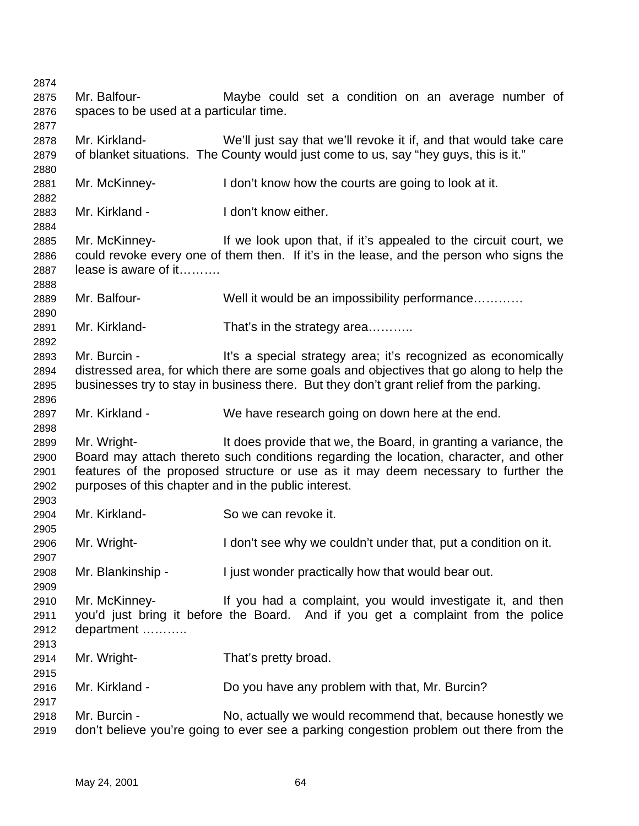| 2874 |                                                      |                                                                                          |
|------|------------------------------------------------------|------------------------------------------------------------------------------------------|
| 2875 | Mr. Balfour-                                         | Maybe could set a condition on an average number of                                      |
| 2876 | spaces to be used at a particular time.              |                                                                                          |
| 2877 |                                                      |                                                                                          |
| 2878 | Mr. Kirkland-                                        | We'll just say that we'll revoke it if, and that would take care                         |
| 2879 |                                                      | of blanket situations. The County would just come to us, say "hey guys, this is it."     |
| 2880 |                                                      |                                                                                          |
| 2881 | Mr. McKinney-                                        | I don't know how the courts are going to look at it.                                     |
| 2882 |                                                      |                                                                                          |
| 2883 | Mr. Kirkland -                                       | I don't know either.                                                                     |
| 2884 |                                                      |                                                                                          |
| 2885 | Mr. McKinney-                                        | If we look upon that, if it's appealed to the circuit court, we                          |
| 2886 |                                                      | could revoke every one of them then. If it's in the lease, and the person who signs the  |
| 2887 | lease is aware of it                                 |                                                                                          |
| 2888 |                                                      |                                                                                          |
| 2889 | Mr. Balfour-                                         | Well it would be an impossibility performance                                            |
| 2890 |                                                      |                                                                                          |
| 2891 | Mr. Kirkland-                                        | That's in the strategy area                                                              |
| 2892 |                                                      |                                                                                          |
| 2893 | Mr. Burcin -                                         | It's a special strategy area; it's recognized as economically                            |
| 2894 |                                                      | distressed area, for which there are some goals and objectives that go along to help the |
| 2895 |                                                      | businesses try to stay in business there. But they don't grant relief from the parking.  |
| 2896 |                                                      |                                                                                          |
| 2897 | Mr. Kirkland -                                       | We have research going on down here at the end.                                          |
| 2898 |                                                      |                                                                                          |
| 2899 | Mr. Wright-                                          | It does provide that we, the Board, in granting a variance, the                          |
| 2900 |                                                      | Board may attach thereto such conditions regarding the location, character, and other    |
| 2901 |                                                      | features of the proposed structure or use as it may deem necessary to further the        |
| 2902 | purposes of this chapter and in the public interest. |                                                                                          |
| 2903 |                                                      |                                                                                          |
| 2904 | Mr. Kirkland-                                        | So we can revoke it.                                                                     |
| 2905 |                                                      |                                                                                          |
| 2906 | Mr. Wright-                                          | I don't see why we couldn't under that, put a condition on it.                           |
| 2907 |                                                      |                                                                                          |
| 2908 | Mr. Blankinship -                                    | I just wonder practically how that would bear out.                                       |
| 2909 |                                                      |                                                                                          |
| 2910 | Mr. McKinney-                                        | If you had a complaint, you would investigate it, and then                               |
| 2911 |                                                      | you'd just bring it before the Board. And if you get a complaint from the police         |
| 2912 | department                                           |                                                                                          |
| 2913 |                                                      |                                                                                          |
| 2914 | Mr. Wright-                                          | That's pretty broad.                                                                     |
| 2915 |                                                      |                                                                                          |
| 2916 | Mr. Kirkland -                                       | Do you have any problem with that, Mr. Burcin?                                           |
| 2917 |                                                      |                                                                                          |
| 2918 | Mr. Burcin -                                         | No, actually we would recommend that, because honestly we                                |
| 2919 |                                                      | don't believe you're going to ever see a parking congestion problem out there from the   |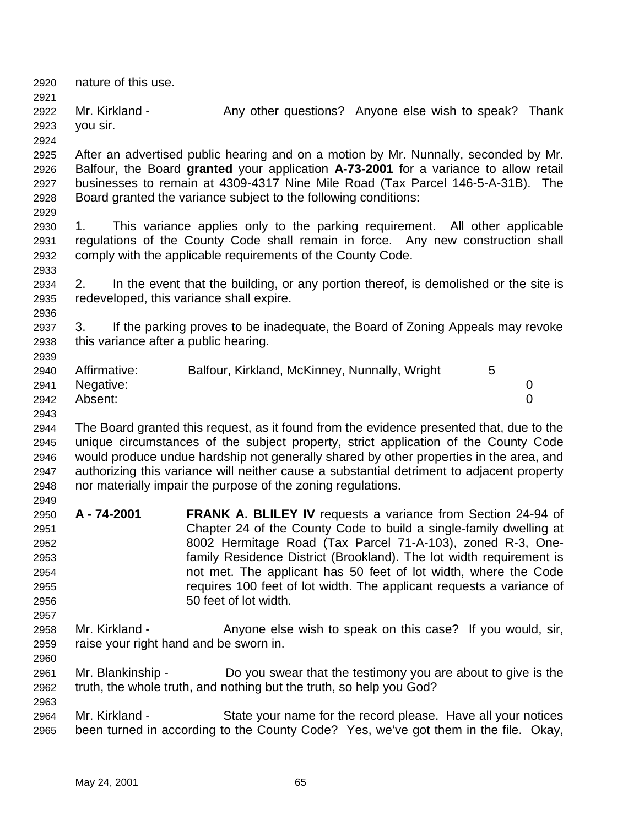nature of this use. 2922 Mr. Kirkland - Any other questions? Anyone else wish to speak? Thank you sir. After an advertised public hearing and on a motion by Mr. Nunnally, seconded by Mr. Balfour, the Board **granted** your application **A-73-2001** for a variance to allow retail businesses to remain at 4309-4317 Nine Mile Road (Tax Parcel 146-5-A-31B). The Board granted the variance subject to the following conditions: 1. This variance applies only to the parking requirement. All other applicable regulations of the County Code shall remain in force. Any new construction shall comply with the applicable requirements of the County Code. 2. In the event that the building, or any portion thereof, is demolished or the site is redeveloped, this variance shall expire. 3. If the parking proves to be inadequate, the Board of Zoning Appeals may revoke this variance after a public hearing. Affirmative: Balfour, Kirkland, McKinney, Nunnally, Wright 5 Negative: 0 Absent: 0 The Board granted this request, as it found from the evidence presented that, due to the unique circumstances of the subject property, strict application of the County Code would produce undue hardship not generally shared by other properties in the area, and authorizing this variance will neither cause a substantial detriment to adjacent property nor materially impair the purpose of the zoning regulations. **A - 74-2001 FRANK A. BLILEY IV** requests a variance from Section 24-94 of Chapter 24 of the County Code to build a single-family dwelling at 8002 Hermitage Road (Tax Parcel 71-A-103), zoned R-3, One- family Residence District (Brookland). The lot width requirement is not met. The applicant has 50 feet of lot width, where the Code requires 100 feet of lot width. The applicant requests a variance of 50 feet of lot width. Mr. Kirkland - Anyone else wish to speak on this case? If you would, sir, raise your right hand and be sworn in. Mr. Blankinship - Do you swear that the testimony you are about to give is the truth, the whole truth, and nothing but the truth, so help you God? Mr. Kirkland - State your name for the record please. Have all your notices been turned in according to the County Code? Yes, we've got them in the file. Okay,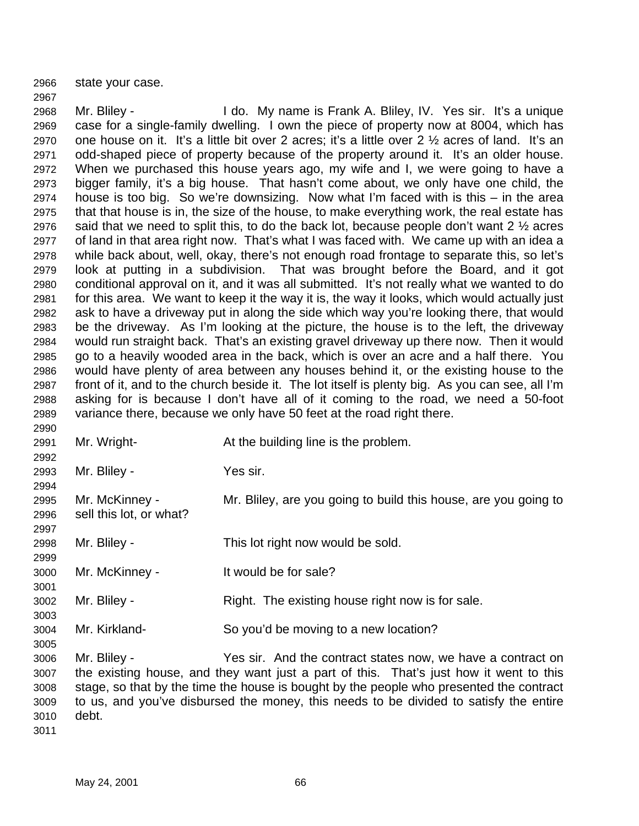state your case.

 Mr. Bliley - I do. My name is Frank A. Bliley, IV. Yes sir. It's a unique case for a single-family dwelling. I own the piece of property now at 8004, which has 2970 one house on it. It's a little bit over 2 acres; it's a little over 2  $\frac{1}{2}$  acres of land. It's an odd-shaped piece of property because of the property around it. It's an older house. When we purchased this house years ago, my wife and I, we were going to have a bigger family, it's a big house. That hasn't come about, we only have one child, the house is too big. So we're downsizing. Now what I'm faced with is this – in the area that that house is in, the size of the house, to make everything work, the real estate has 2976 said that we need to split this, to do the back lot, because people don't want  $2\frac{1}{2}$  acres of land in that area right now. That's what I was faced with. We came up with an idea a while back about, well, okay, there's not enough road frontage to separate this, so let's look at putting in a subdivision. That was brought before the Board, and it got conditional approval on it, and it was all submitted. It's not really what we wanted to do for this area. We want to keep it the way it is, the way it looks, which would actually just ask to have a driveway put in along the side which way you're looking there, that would be the driveway. As I'm looking at the picture, the house is to the left, the driveway would run straight back. That's an existing gravel driveway up there now. Then it would go to a heavily wooded area in the back, which is over an acre and a half there. You would have plenty of area between any houses behind it, or the existing house to the front of it, and to the church beside it. The lot itself is plenty big. As you can see, all I'm asking for is because I don't have all of it coming to the road, we need a 50-foot variance there, because we only have 50 feet at the road right there.

 Mr. Wright- At the building line is the problem. Mr. Bliley - Yes sir. Mr. McKinney - Mr. Bliley, are you going to build this house, are you going to sell this lot, or what? Mr. Bliley - This lot right now would be sold. Mr. McKinney - It would be for sale? Mr. Bliley - Right. The existing house right now is for sale. Mr. Kirkland- So you'd be moving to a new location? Mr. Bliley - Yes sir. And the contract states now, we have a contract on the existing house, and they want just a part of this. That's just how it went to this stage, so that by the time the house is bought by the people who presented the contract to us, and you've disbursed the money, this needs to be divided to satisfy the entire debt.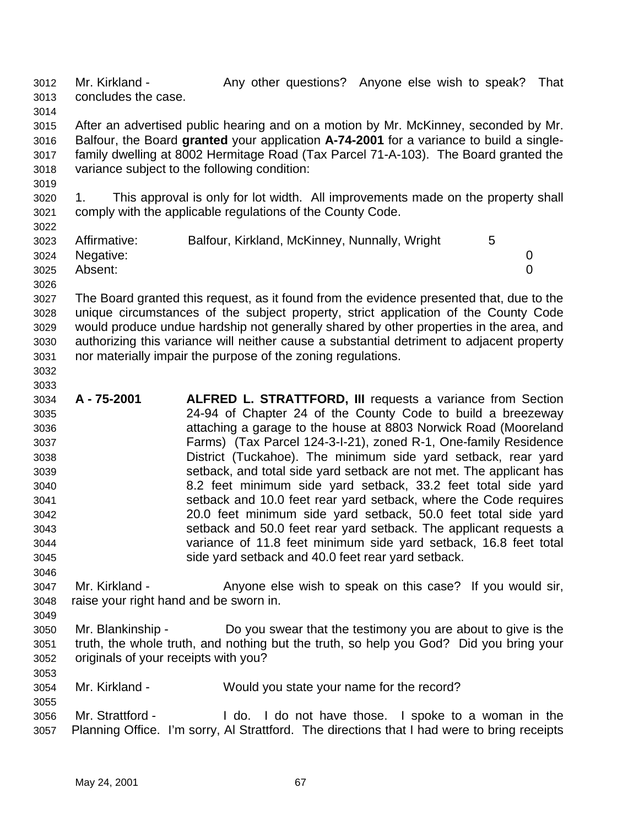3012 Mr. Kirkland - Any other questions? Anyone else wish to speak? That concludes the case. 

 After an advertised public hearing and on a motion by Mr. McKinney, seconded by Mr. Balfour, the Board **granted** your application **A-74-2001** for a variance to build a single- family dwelling at 8002 Hermitage Road (Tax Parcel 71-A-103). The Board granted the variance subject to the following condition:

 1. This approval is only for lot width. All improvements made on the property shall comply with the applicable regulations of the County Code.

| ----- |                |                                               |  |  |
|-------|----------------|-----------------------------------------------|--|--|
| 3023  | Affirmative:   | Balfour, Kirkland, McKinney, Nunnally, Wright |  |  |
|       | 3024 Negative: |                                               |  |  |
| 3025  | Absent:        |                                               |  |  |
| 3026  |                |                                               |  |  |

 The Board granted this request, as it found from the evidence presented that, due to the unique circumstances of the subject property, strict application of the County Code would produce undue hardship not generally shared by other properties in the area, and authorizing this variance will neither cause a substantial detriment to adjacent property nor materially impair the purpose of the zoning regulations.

 

- **A 75-2001 ALFRED L. STRATTFORD, III** requests a variance from Section 24-94 of Chapter 24 of the County Code to build a breezeway attaching a garage to the house at 8803 Norwick Road (Mooreland Farms) (Tax Parcel 124-3-I-21), zoned R-1, One-family Residence District (Tuckahoe). The minimum side yard setback, rear yard setback, and total side yard setback are not met. The applicant has 8.2 feet minimum side yard setback, 33.2 feet total side yard setback and 10.0 feet rear yard setback, where the Code requires 20.0 feet minimum side yard setback, 50.0 feet total side yard setback and 50.0 feet rear yard setback. The applicant requests a variance of 11.8 feet minimum side yard setback, 16.8 feet total side yard setback and 40.0 feet rear yard setback.
- Mr. Kirkland Anyone else wish to speak on this case? If you would sir, raise your right hand and be sworn in.
- Mr. Blankinship Do you swear that the testimony you are about to give is the truth, the whole truth, and nothing but the truth, so help you God? Did you bring your originals of your receipts with you?
- Mr. Kirkland Would you state your name for the record?
- Mr. Strattford I do. I do not have those. I spoke to a woman in the Planning Office. I'm sorry, Al Strattford. The directions that I had were to bring receipts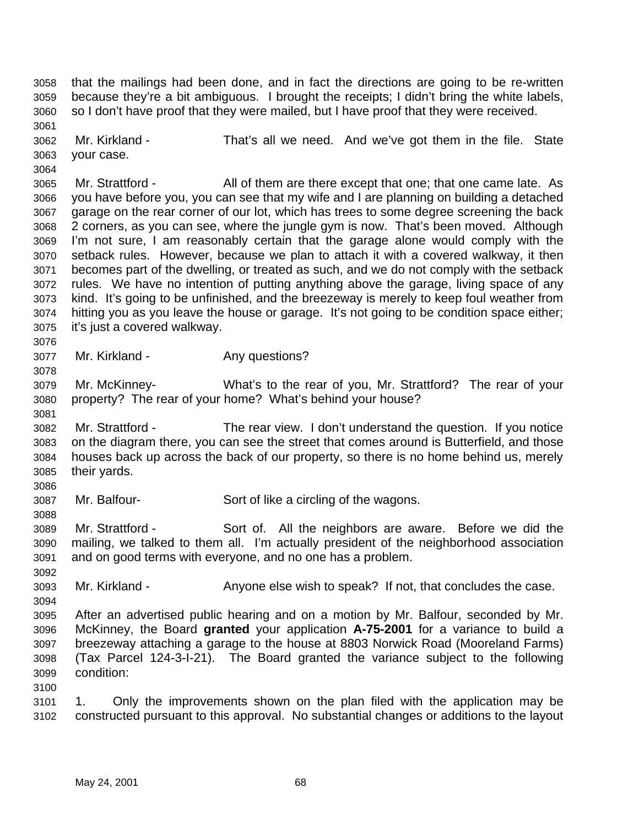that the mailings had been done, and in fact the directions are going to be re-written because they're a bit ambiguous. I brought the receipts; I didn't bring the white labels, so I don't have proof that they were mailed, but I have proof that they were received. Mr. Kirkland - That's all we need. And we've got them in the file. State

 your case. 

3065 Mr. Strattford - All of them are there except that one; that one came late. As you have before you, you can see that my wife and I are planning on building a detached garage on the rear corner of our lot, which has trees to some degree screening the back 2 corners, as you can see, where the jungle gym is now. That's been moved. Although I'm not sure, I am reasonably certain that the garage alone would comply with the setback rules. However, because we plan to attach it with a covered walkway, it then becomes part of the dwelling, or treated as such, and we do not comply with the setback rules. We have no intention of putting anything above the garage, living space of any kind. It's going to be unfinished, and the breezeway is merely to keep foul weather from hitting you as you leave the house or garage. It's not going to be condition space either; it's just a covered walkway.

3077 Mr. Kirkland - Any questions?

 Mr. McKinney- What's to the rear of you, Mr. Strattford? The rear of your property? The rear of your home? What's behind your house?

 Mr. Strattford - The rear view. I don't understand the question. If you notice on the diagram there, you can see the street that comes around is Butterfield, and those houses back up across the back of our property, so there is no home behind us, merely their yards.

Mr. Balfour- Sort of like a circling of the wagons.

 Mr. Strattford - Sort of. All the neighbors are aware. Before we did the mailing, we talked to them all. I'm actually president of the neighborhood association and on good terms with everyone, and no one has a problem.

Mr. Kirkland - Anyone else wish to speak? If not, that concludes the case.

 After an advertised public hearing and on a motion by Mr. Balfour, seconded by Mr. McKinney, the Board **granted** your application **A-75-2001** for a variance to build a breezeway attaching a garage to the house at 8803 Norwick Road (Mooreland Farms) (Tax Parcel 124-3-I-21). The Board granted the variance subject to the following condition:

 1. Only the improvements shown on the plan filed with the application may be constructed pursuant to this approval. No substantial changes or additions to the layout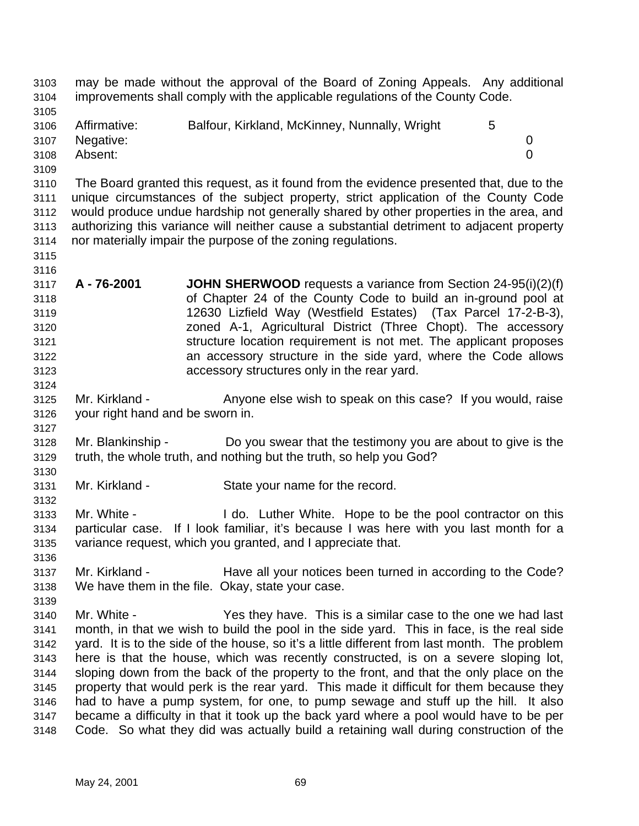may be made without the approval of the Board of Zoning Appeals. Any additional improvements shall comply with the applicable regulations of the County Code. Affirmative: Balfour, Kirkland, McKinney, Nunnally, Wright 5 Negative: 0 Absent: 0 The Board granted this request, as it found from the evidence presented that, due to the unique circumstances of the subject property, strict application of the County Code would produce undue hardship not generally shared by other properties in the area, and authorizing this variance will neither cause a substantial detriment to adjacent property nor materially impair the purpose of the zoning regulations. **A - 76-2001 JOHN SHERWOOD** requests a variance from Section 24-95(i)(2)(f) of Chapter 24 of the County Code to build an in-ground pool at 12630 Lizfield Way (Westfield Estates) (Tax Parcel 17-2-B-3), zoned A-1, Agricultural District (Three Chopt). The accessory structure location requirement is not met. The applicant proposes an accessory structure in the side yard, where the Code allows accessory structures only in the rear yard. Mr. Kirkland - Anyone else wish to speak on this case? If you would, raise your right hand and be sworn in. Mr. Blankinship - Do you swear that the testimony you are about to give is the truth, the whole truth, and nothing but the truth, so help you God? Mr. Kirkland - State your name for the record. Mr. White - I do. Luther White. Hope to be the pool contractor on this particular case. If I look familiar, it's because I was here with you last month for a variance request, which you granted, and I appreciate that. Mr. Kirkland - Have all your notices been turned in according to the Code? We have them in the file. Okay, state your case. Mr. White - Yes they have. This is a similar case to the one we had last month, in that we wish to build the pool in the side yard. This in face, is the real side yard. It is to the side of the house, so it's a little different from last month. The problem here is that the house, which was recently constructed, is on a severe sloping lot, sloping down from the back of the property to the front, and that the only place on the property that would perk is the rear yard. This made it difficult for them because they had to have a pump system, for one, to pump sewage and stuff up the hill. It also became a difficulty in that it took up the back yard where a pool would have to be per Code. So what they did was actually build a retaining wall during construction of the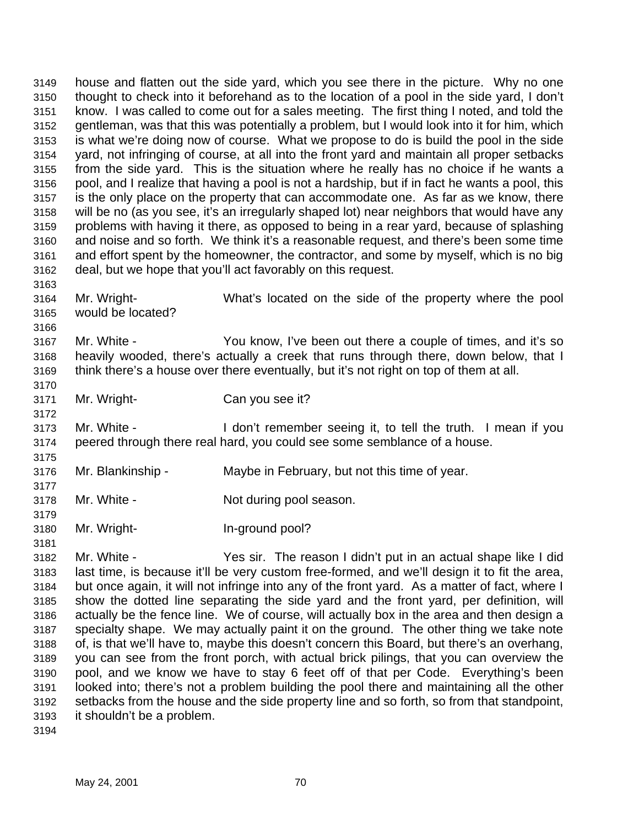house and flatten out the side yard, which you see there in the picture. Why no one thought to check into it beforehand as to the location of a pool in the side yard, I don't know. I was called to come out for a sales meeting. The first thing I noted, and told the gentleman, was that this was potentially a problem, but I would look into it for him, which is what we're doing now of course. What we propose to do is build the pool in the side yard, not infringing of course, at all into the front yard and maintain all proper setbacks from the side yard. This is the situation where he really has no choice if he wants a pool, and I realize that having a pool is not a hardship, but if in fact he wants a pool, this is the only place on the property that can accommodate one. As far as we know, there will be no (as you see, it's an irregularly shaped lot) near neighbors that would have any problems with having it there, as opposed to being in a rear yard, because of splashing and noise and so forth. We think it's a reasonable request, and there's been some time and effort spent by the homeowner, the contractor, and some by myself, which is no big deal, but we hope that you'll act favorably on this request. 

- Mr. Wright- What's located on the side of the property where the pool would be located?
- Mr. White You know, I've been out there a couple of times, and it's so heavily wooded, there's actually a creek that runs through there, down below, that I think there's a house over there eventually, but it's not right on top of them at all.
- Mr. Wright- Can you see it?
- Mr. White I don't remember seeing it, to tell the truth. I mean if you peered through there real hard, you could see some semblance of a house.
- Mr. Blankinship Maybe in February, but not this time of year.
- 3178 Mr. White Not during pool season.
- Mr. Wright- In-ground pool?
- Mr. White - Yes sir. The reason I didn't put in an actual shape like I did last time, is because it'll be very custom free-formed, and we'll design it to fit the area,
	- but once again, it will not infringe into any of the front yard. As a matter of fact, where I show the dotted line separating the side yard and the front yard, per definition, will actually be the fence line. We of course, will actually box in the area and then design a specialty shape. We may actually paint it on the ground. The other thing we take note of, is that we'll have to, maybe this doesn't concern this Board, but there's an overhang, you can see from the front porch, with actual brick pilings, that you can overview the pool, and we know we have to stay 6 feet off of that per Code. Everything's been looked into; there's not a problem building the pool there and maintaining all the other setbacks from the house and the side property line and so forth, so from that standpoint, it shouldn't be a problem.
	-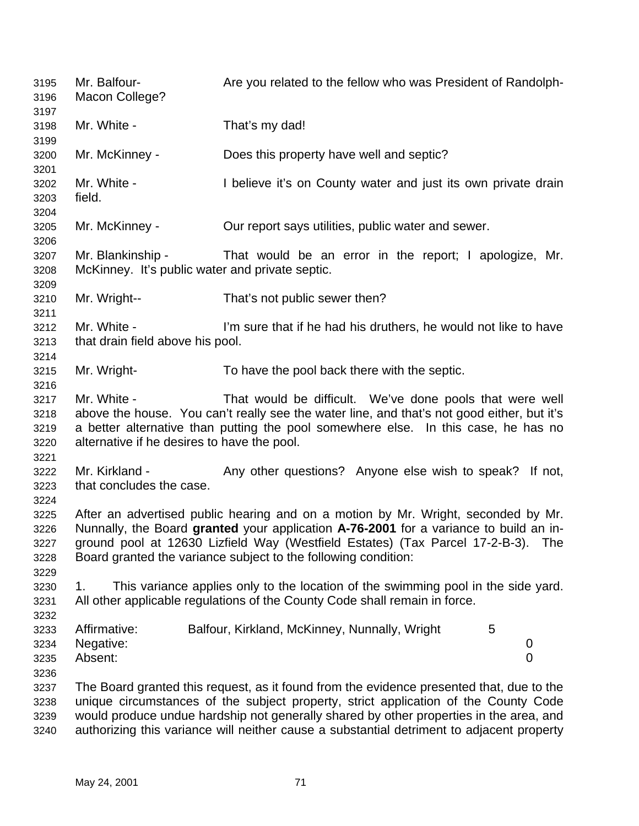Mr. Balfour- Are you related to the fellow who was President of Randolph- Macon College? Mr. White - That's my dad! Mr. McKinney - Does this property have well and septic? Mr. White - I believe it's on County water and just its own private drain field. Mr. McKinney - Our report says utilities, public water and sewer. Mr. Blankinship - That would be an error in the report; I apologize, Mr. McKinney. It's public water and private septic. Mr. Wright-- That's not public sewer then? Mr. White - I'm sure that if he had his druthers, he would not like to have that drain field above his pool. Mr. Wright- To have the pool back there with the septic. Mr. White - That would be difficult. We've done pools that were well above the house. You can't really see the water line, and that's not good either, but it's a better alternative than putting the pool somewhere else. In this case, he has no alternative if he desires to have the pool. 3222 Mr. Kirkland - Any other questions? Anyone else wish to speak? If not, that concludes the case. After an advertised public hearing and on a motion by Mr. Wright, seconded by Mr. Nunnally, the Board **granted** your application **A-76-2001** for a variance to build an in- ground pool at 12630 Lizfield Way (Westfield Estates) (Tax Parcel 17-2-B-3). The Board granted the variance subject to the following condition: 1. This variance applies only to the location of the swimming pool in the side yard. All other applicable regulations of the County Code shall remain in force. Affirmative: Balfour, Kirkland, McKinney, Nunnally, Wright 5 Negative: 0 Absent: 0 The Board granted this request, as it found from the evidence presented that, due to the unique circumstances of the subject property, strict application of the County Code would produce undue hardship not generally shared by other properties in the area, and authorizing this variance will neither cause a substantial detriment to adjacent property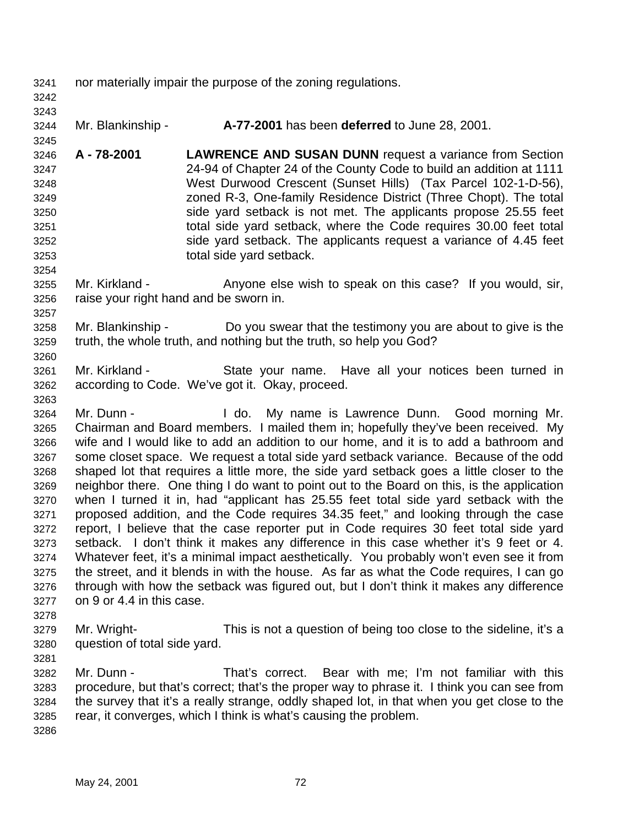nor materially impair the purpose of the zoning regulations.

 

- Mr. Blankinship **A-77-2001** has been **deferred** to June 28, 2001.
- **A 78-2001 LAWRENCE AND SUSAN DUNN** request a variance from Section 24-94 of Chapter 24 of the County Code to build an addition at 1111 West Durwood Crescent (Sunset Hills) (Tax Parcel 102-1-D-56), zoned R-3, One-family Residence District (Three Chopt). The total side yard setback is not met. The applicants propose 25.55 feet total side yard setback, where the Code requires 30.00 feet total side yard setback. The applicants request a variance of 4.45 feet total side yard setback.
- Mr. Kirkland Anyone else wish to speak on this case? If you would, sir, raise your right hand and be sworn in.
- Mr. Blankinship Do you swear that the testimony you are about to give is the truth, the whole truth, and nothing but the truth, so help you God?
- Mr. Kirkland State your name. Have all your notices been turned in according to Code. We've got it. Okay, proceed.
- Mr. Dunn I do. My name is Lawrence Dunn. Good morning Mr. Chairman and Board members. I mailed them in; hopefully they've been received. My wife and I would like to add an addition to our home, and it is to add a bathroom and some closet space. We request a total side yard setback variance. Because of the odd shaped lot that requires a little more, the side yard setback goes a little closer to the neighbor there. One thing I do want to point out to the Board on this, is the application when I turned it in, had "applicant has 25.55 feet total side yard setback with the proposed addition, and the Code requires 34.35 feet," and looking through the case report, I believe that the case reporter put in Code requires 30 feet total side yard setback. I don't think it makes any difference in this case whether it's 9 feet or 4. Whatever feet, it's a minimal impact aesthetically. You probably won't even see it from the street, and it blends in with the house. As far as what the Code requires, I can go through with how the setback was figured out, but I don't think it makes any difference on 9 or 4.4 in this case.
- Mr. Wright- This is not a question of being too close to the sideline, it's a question of total side yard.
- Mr. Dunn That's correct. Bear with me; I'm not familiar with this procedure, but that's correct; that's the proper way to phrase it. I think you can see from the survey that it's a really strange, oddly shaped lot, in that when you get close to the rear, it converges, which I think is what's causing the problem.
-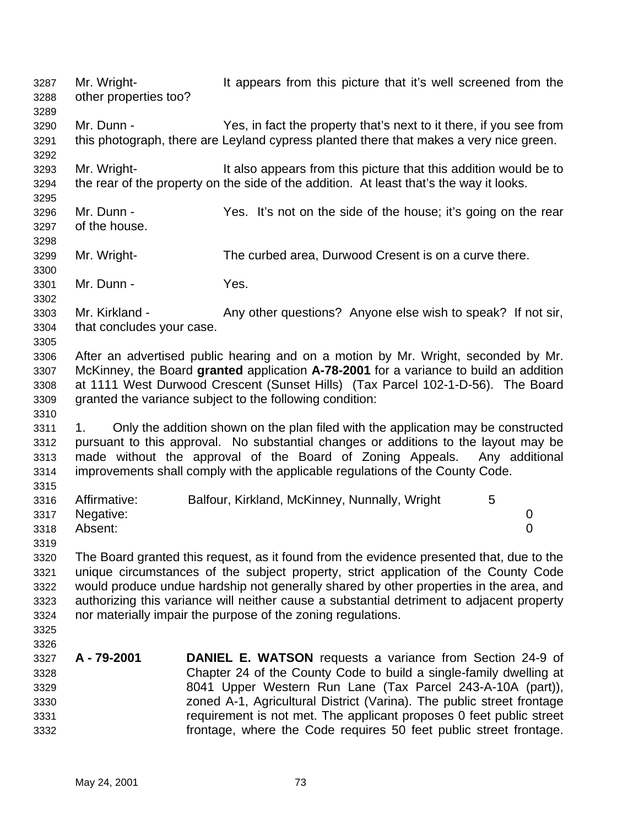Mr. Wright- It appears from this picture that it's well screened from the other properties too? Mr. Dunn - Yes, in fact the property that's next to it there, if you see from this photograph, there are Leyland cypress planted there that makes a very nice green. Mr. Wright- It also appears from this picture that this addition would be to the rear of the property on the side of the addition. At least that's the way it looks. Mr. Dunn - Yes. It's not on the side of the house; it's going on the rear of the house. Mr. Wright- The curbed area, Durwood Cresent is on a curve there. Mr. Dunn - Yes. Mr. Kirkland - Any other questions? Anyone else wish to speak? If not sir, that concludes your case. After an advertised public hearing and on a motion by Mr. Wright, seconded by Mr. McKinney, the Board **granted** application **A-78-2001** for a variance to build an addition at 1111 West Durwood Crescent (Sunset Hills) (Tax Parcel 102-1-D-56). The Board granted the variance subject to the following condition: 3311 1. Only the addition shown on the plan filed with the application may be constructed pursuant to this approval. No substantial changes or additions to the layout may be made without the approval of the Board of Zoning Appeals. Any additional improvements shall comply with the applicable regulations of the County Code. Affirmative: Balfour, Kirkland, McKinney, Nunnally, Wright 5 Negative: 0 Absent: 0 The Board granted this request, as it found from the evidence presented that, due to the unique circumstances of the subject property, strict application of the County Code would produce undue hardship not generally shared by other properties in the area, and authorizing this variance will neither cause a substantial detriment to adjacent property nor materially impair the purpose of the zoning regulations. **A - 79-2001 DANIEL E. WATSON** requests a variance from Section 24-9 of Chapter 24 of the County Code to build a single-family dwelling at 8041 Upper Western Run Lane (Tax Parcel 243-A-10A (part)), zoned A-1, Agricultural District (Varina). The public street frontage requirement is not met. The applicant proposes 0 feet public street frontage, where the Code requires 50 feet public street frontage.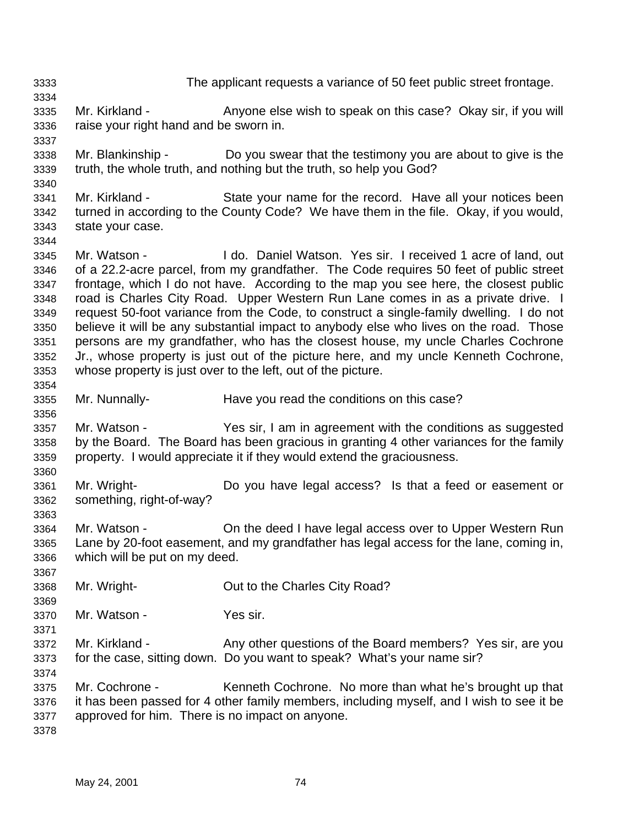The applicant requests a variance of 50 feet public street frontage. Mr. Kirkland - Anyone else wish to speak on this case? Okay sir, if you will raise your right hand and be sworn in. Mr. Blankinship - Do you swear that the testimony you are about to give is the truth, the whole truth, and nothing but the truth, so help you God? Mr. Kirkland - State your name for the record. Have all your notices been turned in according to the County Code? We have them in the file. Okay, if you would, state your case. Mr. Watson - I do. Daniel Watson. Yes sir. I received 1 acre of land, out of a 22.2-acre parcel, from my grandfather. The Code requires 50 feet of public street frontage, which I do not have. According to the map you see here, the closest public road is Charles City Road. Upper Western Run Lane comes in as a private drive. I request 50-foot variance from the Code, to construct a single-family dwelling. I do not believe it will be any substantial impact to anybody else who lives on the road. Those persons are my grandfather, who has the closest house, my uncle Charles Cochrone Jr., whose property is just out of the picture here, and my uncle Kenneth Cochrone, whose property is just over to the left, out of the picture. Mr. Nunnally- Have you read the conditions on this case? Mr. Watson - Yes sir, I am in agreement with the conditions as suggested by the Board. The Board has been gracious in granting 4 other variances for the family property. I would appreciate it if they would extend the graciousness. Mr. Wright- Do you have legal access? Is that a feed or easement or something, right-of-way? Mr. Watson - On the deed I have legal access over to Upper Western Run Lane by 20-foot easement, and my grandfather has legal access for the lane, coming in, which will be put on my deed. Mr. Wright- Out to the Charles City Road? Mr. Watson - Yes sir. Mr. Kirkland - Any other questions of the Board members? Yes sir, are you for the case, sitting down. Do you want to speak? What's your name sir? Mr. Cochrone - Kenneth Cochrone. No more than what he's brought up that it has been passed for 4 other family members, including myself, and I wish to see it be approved for him. There is no impact on anyone.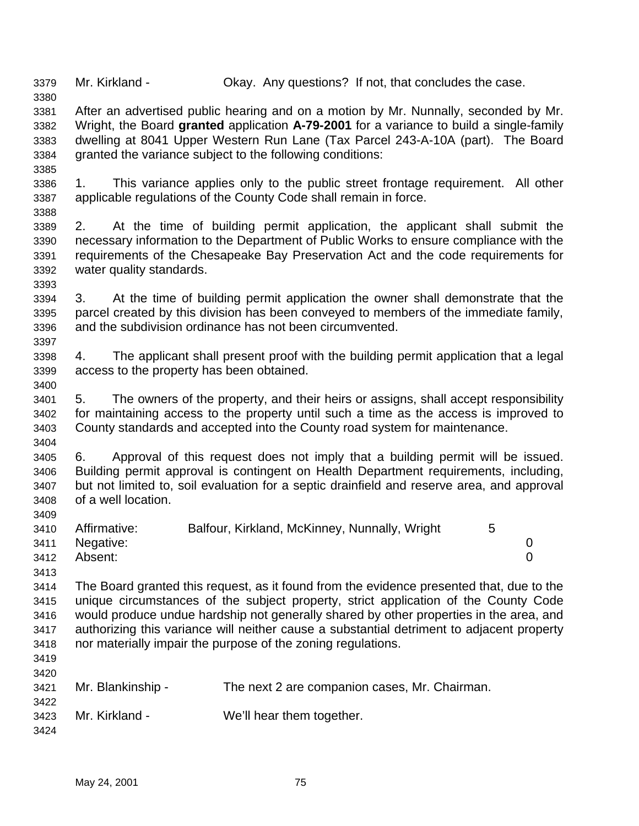Mr. Kirkland - Okay. Any questions? If not, that concludes the case.

 After an advertised public hearing and on a motion by Mr. Nunnally, seconded by Mr. Wright, the Board **granted** application **A-79-2001** for a variance to build a single-family dwelling at 8041 Upper Western Run Lane (Tax Parcel 243-A-10A (part). The Board granted the variance subject to the following conditions:

 1. This variance applies only to the public street frontage requirement. All other applicable regulations of the County Code shall remain in force.

 2. At the time of building permit application, the applicant shall submit the necessary information to the Department of Public Works to ensure compliance with the requirements of the Chesapeake Bay Preservation Act and the code requirements for water quality standards.

 3. At the time of building permit application the owner shall demonstrate that the parcel created by this division has been conveyed to members of the immediate family, and the subdivision ordinance has not been circumvented.

 4. The applicant shall present proof with the building permit application that a legal access to the property has been obtained.

 5. The owners of the property, and their heirs or assigns, shall accept responsibility for maintaining access to the property until such a time as the access is improved to County standards and accepted into the County road system for maintenance. 

 6. Approval of this request does not imply that a building permit will be issued. Building permit approval is contingent on Health Department requirements, including, but not limited to, soil evaluation for a septic drainfield and reserve area, and approval of a well location.

|      | 3410 Affirmative: | Balfour, Kirkland, McKinney, Nunnally, Wright |  |
|------|-------------------|-----------------------------------------------|--|
|      | 3411 Negative:    |                                               |  |
| 3412 | Absent:           |                                               |  |

 The Board granted this request, as it found from the evidence presented that, due to the unique circumstances of the subject property, strict application of the County Code would produce undue hardship not generally shared by other properties in the area, and authorizing this variance will neither cause a substantial detriment to adjacent property nor materially impair the purpose of the zoning regulations.

 

| ں ے ہیں |                   |                                               |
|---------|-------------------|-----------------------------------------------|
| 3421    | Mr. Blankinship - | The next 2 are companion cases, Mr. Chairman. |
| 3422    |                   |                                               |
| 3423    | Mr. Kirkland -    | We'll hear them together.                     |
| 3424    |                   |                                               |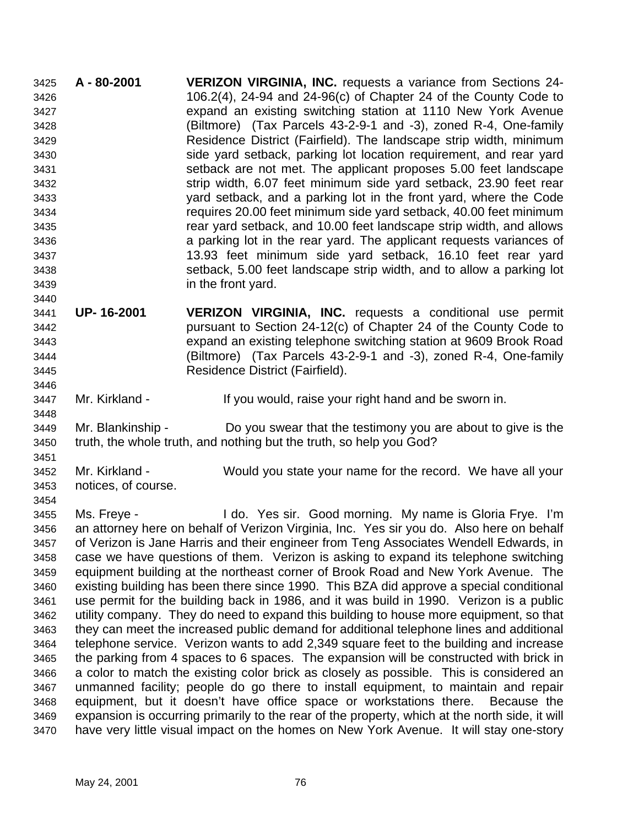**A - 80-2001 VERIZON VIRGINIA, INC.** requests a variance from Sections 24- 106.2(4), 24-94 and 24-96(c) of Chapter 24 of the County Code to expand an existing switching station at 1110 New York Avenue (Biltmore) (Tax Parcels 43-2-9-1 and -3), zoned R-4, One-family Residence District (Fairfield). The landscape strip width, minimum side yard setback, parking lot location requirement, and rear yard setback are not met. The applicant proposes 5.00 feet landscape strip width, 6.07 feet minimum side yard setback, 23.90 feet rear yard setback, and a parking lot in the front yard, where the Code requires 20.00 feet minimum side yard setback, 40.00 feet minimum rear yard setback, and 10.00 feet landscape strip width, and allows a parking lot in the rear yard. The applicant requests variances of 13.93 feet minimum side yard setback, 16.10 feet rear yard setback, 5.00 feet landscape strip width, and to allow a parking lot in the front yard. 

 **UP- 16-2001 VERIZON VIRGINIA, INC.** requests a conditional use permit pursuant to Section 24-12(c) of Chapter 24 of the County Code to expand an existing telephone switching station at 9609 Brook Road (Biltmore) (Tax Parcels 43-2-9-1 and -3), zoned R-4, One-family Residence District (Fairfield).

Mr. Kirkland - If you would, raise your right hand and be sworn in.

 Mr. Blankinship - Do you swear that the testimony you are about to give is the truth, the whole truth, and nothing but the truth, so help you God?

 Mr. Kirkland - Would you state your name for the record. We have all your notices, of course.

 Ms. Freye - I do. Yes sir. Good morning. My name is Gloria Frye. I'm an attorney here on behalf of Verizon Virginia, Inc. Yes sir you do. Also here on behalf of Verizon is Jane Harris and their engineer from Teng Associates Wendell Edwards, in case we have questions of them. Verizon is asking to expand its telephone switching equipment building at the northeast corner of Brook Road and New York Avenue. The existing building has been there since 1990. This BZA did approve a special conditional use permit for the building back in 1986, and it was build in 1990. Verizon is a public utility company. They do need to expand this building to house more equipment, so that they can meet the increased public demand for additional telephone lines and additional telephone service. Verizon wants to add 2,349 square feet to the building and increase the parking from 4 spaces to 6 spaces. The expansion will be constructed with brick in a color to match the existing color brick as closely as possible. This is considered an unmanned facility; people do go there to install equipment, to maintain and repair equipment, but it doesn't have office space or workstations there. Because the expansion is occurring primarily to the rear of the property, which at the north side, it will have very little visual impact on the homes on New York Avenue. It will stay one-story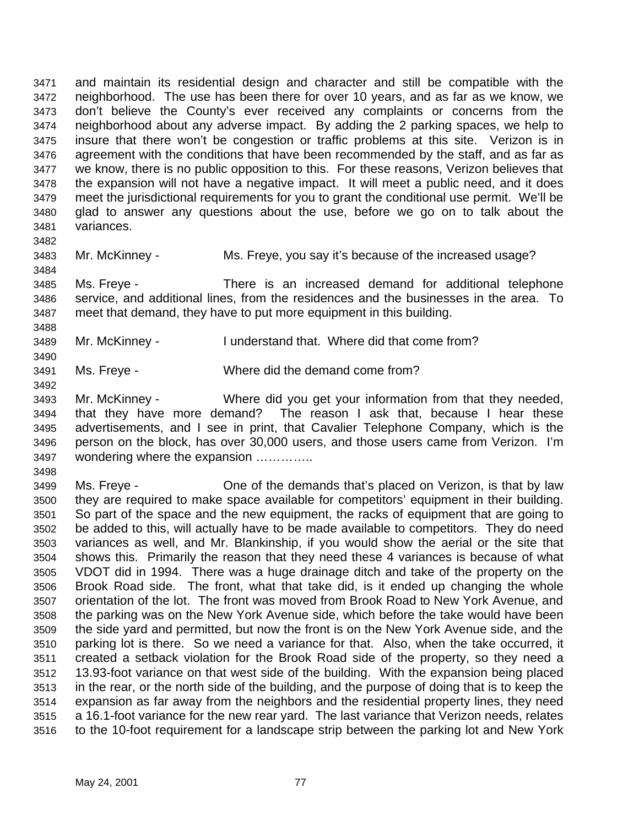and maintain its residential design and character and still be compatible with the neighborhood. The use has been there for over 10 years, and as far as we know, we don't believe the County's ever received any complaints or concerns from the neighborhood about any adverse impact. By adding the 2 parking spaces, we help to insure that there won't be congestion or traffic problems at this site. Verizon is in agreement with the conditions that have been recommended by the staff, and as far as we know, there is no public opposition to this. For these reasons, Verizon believes that the expansion will not have a negative impact. It will meet a public need, and it does meet the jurisdictional requirements for you to grant the conditional use permit. We'll be glad to answer any questions about the use, before we go on to talk about the variances. 

Mr. McKinney - Ms. Freye, you say it's because of the increased usage?

 Ms. Freye - There is an increased demand for additional telephone service, and additional lines, from the residences and the businesses in the area. To meet that demand, they have to put more equipment in this building.

Mr. McKinney - I understand that. Where did that come from?

Ms. Freye - Where did the demand come from?

 Mr. McKinney - Where did you get your information from that they needed, that they have more demand? The reason I ask that, because I hear these advertisements, and I see in print, that Cavalier Telephone Company, which is the person on the block, has over 30,000 users, and those users came from Verizon. I'm wondering where the expansion …………..

 Ms. Freye - One of the demands that's placed on Verizon, is that by law they are required to make space available for competitors' equipment in their building. So part of the space and the new equipment, the racks of equipment that are going to be added to this, will actually have to be made available to competitors. They do need variances as well, and Mr. Blankinship, if you would show the aerial or the site that shows this. Primarily the reason that they need these 4 variances is because of what VDOT did in 1994. There was a huge drainage ditch and take of the property on the Brook Road side. The front, what that take did, is it ended up changing the whole orientation of the lot. The front was moved from Brook Road to New York Avenue, and the parking was on the New York Avenue side, which before the take would have been the side yard and permitted, but now the front is on the New York Avenue side, and the parking lot is there. So we need a variance for that. Also, when the take occurred, it created a setback violation for the Brook Road side of the property, so they need a 13.93-foot variance on that west side of the building. With the expansion being placed in the rear, or the north side of the building, and the purpose of doing that is to keep the expansion as far away from the neighbors and the residential property lines, they need a 16.1-foot variance for the new rear yard. The last variance that Verizon needs, relates to the 10-foot requirement for a landscape strip between the parking lot and New York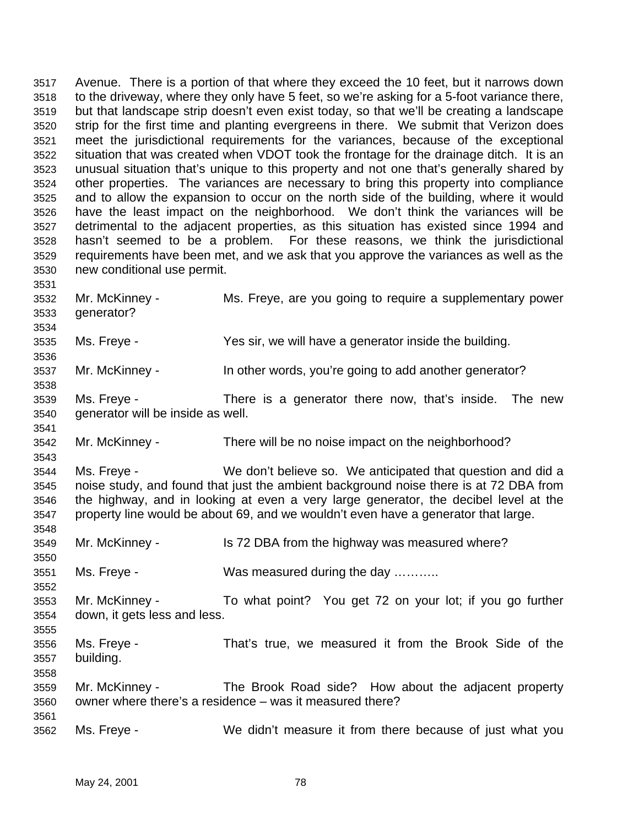Avenue. There is a portion of that where they exceed the 10 feet, but it narrows down to the driveway, where they only have 5 feet, so we're asking for a 5-foot variance there, but that landscape strip doesn't even exist today, so that we'll be creating a landscape strip for the first time and planting evergreens in there. We submit that Verizon does meet the jurisdictional requirements for the variances, because of the exceptional situation that was created when VDOT took the frontage for the drainage ditch. It is an unusual situation that's unique to this property and not one that's generally shared by other properties. The variances are necessary to bring this property into compliance and to allow the expansion to occur on the north side of the building, where it would have the least impact on the neighborhood. We don't think the variances will be detrimental to the adjacent properties, as this situation has existed since 1994 and hasn't seemed to be a problem. For these reasons, we think the jurisdictional requirements have been met, and we ask that you approve the variances as well as the new conditional use permit. Mr. McKinney - Ms. Freye, are you going to require a supplementary power generator? Ms. Freye - Yes sir, we will have a generator inside the building. 3537 Mr. McKinney - In other words, you're going to add another generator? Ms. Freye - There is a generator there now, that's inside. The new generator will be inside as well. Mr. McKinney - There will be no noise impact on the neighborhood? Ms. Freye - We don't believe so. We anticipated that question and did a noise study, and found that just the ambient background noise there is at 72 DBA from the highway, and in looking at even a very large generator, the decibel level at the property line would be about 69, and we wouldn't even have a generator that large. Mr. McKinney - Is 72 DBA from the highway was measured where? Ms. Freye - Was measured during the day ……….. Mr. McKinney - To what point? You get 72 on your lot; if you go further down, it gets less and less. Ms. Freye - That's true, we measured it from the Brook Side of the building. Mr. McKinney - The Brook Road side? How about the adjacent property owner where there's a residence – was it measured there? Ms. Freye - We didn't measure it from there because of just what you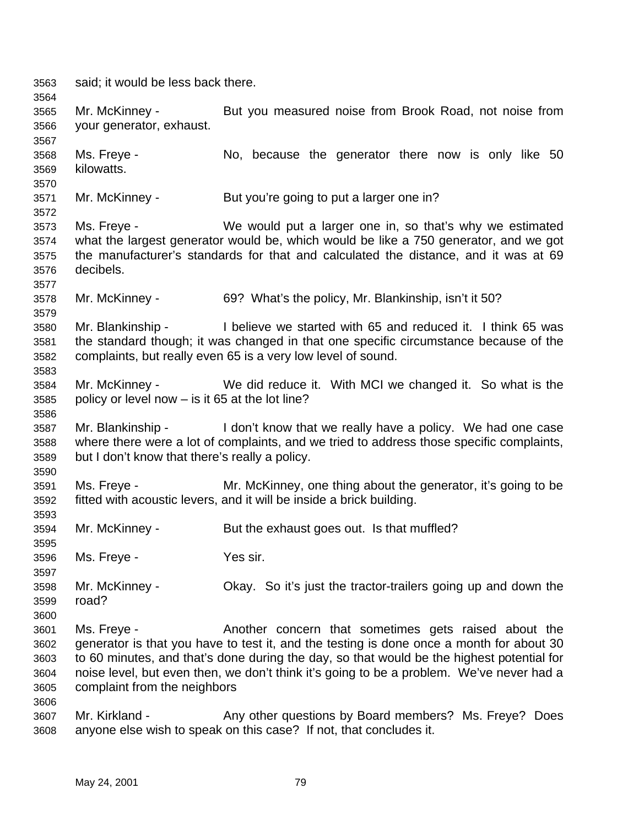said; it would be less back there. Mr. McKinney - But you measured noise from Brook Road, not noise from your generator, exhaust. Ms. Freye - No, because the generator there now is only like 50 kilowatts. Mr. McKinney - But you're going to put a larger one in? Ms. Freye - We would put a larger one in, so that's why we estimated what the largest generator would be, which would be like a 750 generator, and we got the manufacturer's standards for that and calculated the distance, and it was at 69 decibels. Mr. McKinney - 69? What's the policy, Mr. Blankinship, isn't it 50? Mr. Blankinship - I believe we started with 65 and reduced it. I think 65 was the standard though; it was changed in that one specific circumstance because of the complaints, but really even 65 is a very low level of sound. Mr. McKinney - We did reduce it. With MCI we changed it. So what is the policy or level now – is it 65 at the lot line? Mr. Blankinship - I don't know that we really have a policy. We had one case where there were a lot of complaints, and we tried to address those specific complaints, but I don't know that there's really a policy. Ms. Freye - Mr. McKinney, one thing about the generator, it's going to be fitted with acoustic levers, and it will be inside a brick building. Mr. McKinney - But the exhaust goes out. Is that muffled? Ms. Freye - Yes sir. Mr. McKinney - Okay. So it's just the tractor-trailers going up and down the road? Ms. Freye - Another concern that sometimes gets raised about the generator is that you have to test it, and the testing is done once a month for about 30 to 60 minutes, and that's done during the day, so that would be the highest potential for noise level, but even then, we don't think it's going to be a problem. We've never had a complaint from the neighbors Mr. Kirkland - Any other questions by Board members? Ms. Freye? Does anyone else wish to speak on this case? If not, that concludes it.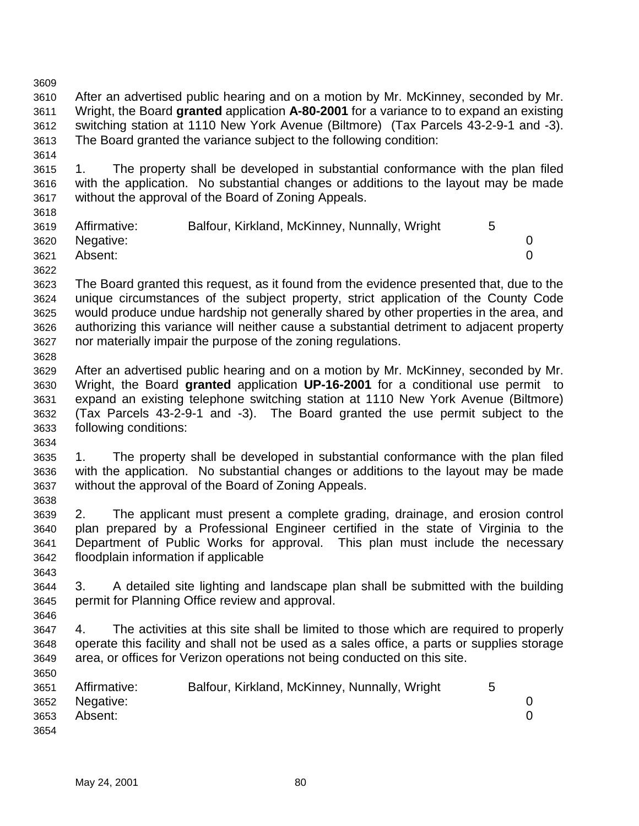- After an advertised public hearing and on a motion by Mr. McKinney, seconded by Mr. Wright, the Board **granted** application **A-80-2001** for a variance to to expand an existing switching station at 1110 New York Avenue (Biltmore) (Tax Parcels 43-2-9-1 and -3). The Board granted the variance subject to the following condition:
- 1. The property shall be developed in substantial conformance with the plan filed with the application. No substantial changes or additions to the layout may be made without the approval of the Board of Zoning Appeals.
- Affirmative: Balfour, Kirkland, McKinney, Nunnally, Wright 5 Negative: 0 Absent: 0
- 

- The Board granted this request, as it found from the evidence presented that, due to the unique circumstances of the subject property, strict application of the County Code would produce undue hardship not generally shared by other properties in the area, and authorizing this variance will neither cause a substantial detriment to adjacent property nor materially impair the purpose of the zoning regulations.
- After an advertised public hearing and on a motion by Mr. McKinney, seconded by Mr. Wright, the Board **granted** application **UP-16-2001** for a conditional use permit to expand an existing telephone switching station at 1110 New York Avenue (Biltmore) (Tax Parcels 43-2-9-1 and -3). The Board granted the use permit subject to the following conditions:
- 1. The property shall be developed in substantial conformance with the plan filed with the application. No substantial changes or additions to the layout may be made without the approval of the Board of Zoning Appeals.
- 2. The applicant must present a complete grading, drainage, and erosion control plan prepared by a Professional Engineer certified in the state of Virginia to the Department of Public Works for approval. This plan must include the necessary floodplain information if applicable
- 3. A detailed site lighting and landscape plan shall be submitted with the building permit for Planning Office review and approval.
- 4. The activities at this site shall be limited to those which are required to properly operate this facility and shall not be used as a sales office, a parts or supplies storage area, or offices for Verizon operations not being conducted on this site.
- Affirmative: Balfour, Kirkland, McKinney, Nunnally, Wright 5 Negative: 0 Absent: 0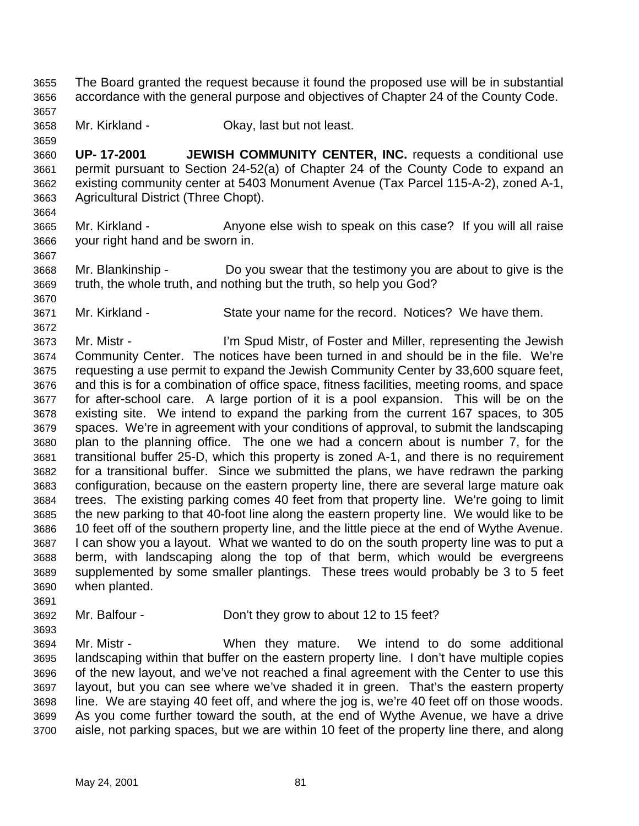- The Board granted the request because it found the proposed use will be in substantial accordance with the general purpose and objectives of Chapter 24 of the County Code.
- 

- Mr. Kirkland Okay, last but not least.
- **UP- 17-2001 JEWISH COMMUNITY CENTER, INC.** requests a conditional use permit pursuant to Section 24-52(a) of Chapter 24 of the County Code to expand an existing community center at 5403 Monument Avenue (Tax Parcel 115-A-2), zoned A-1, Agricultural District (Three Chopt).
- Mr. Kirkland Anyone else wish to speak on this case? If you will all raise your right hand and be sworn in.
- Mr. Blankinship Do you swear that the testimony you are about to give is the truth, the whole truth, and nothing but the truth, so help you God?
- Mr. Kirkland State your name for the record. Notices? We have them.
- Mr. Mistr - I'm Spud Mistr, of Foster and Miller, representing the Jewish Community Center. The notices have been turned in and should be in the file. We're requesting a use permit to expand the Jewish Community Center by 33,600 square feet, and this is for a combination of office space, fitness facilities, meeting rooms, and space for after-school care. A large portion of it is a pool expansion. This will be on the existing site. We intend to expand the parking from the current 167 spaces, to 305 spaces. We're in agreement with your conditions of approval, to submit the landscaping plan to the planning office. The one we had a concern about is number 7, for the transitional buffer 25-D, which this property is zoned A-1, and there is no requirement for a transitional buffer. Since we submitted the plans, we have redrawn the parking configuration, because on the eastern property line, there are several large mature oak trees. The existing parking comes 40 feet from that property line. We're going to limit the new parking to that 40-foot line along the eastern property line. We would like to be 10 feet off of the southern property line, and the little piece at the end of Wythe Avenue. I can show you a layout. What we wanted to do on the south property line was to put a berm, with landscaping along the top of that berm, which would be evergreens supplemented by some smaller plantings. These trees would probably be 3 to 5 feet when planted.
- Mr. Balfour Don't they grow to about 12 to 15 feet?
- 

- 
- Mr. Mistr When they mature. We intend to do some additional landscaping within that buffer on the eastern property line. I don't have multiple copies of the new layout, and we've not reached a final agreement with the Center to use this layout, but you can see where we've shaded it in green. That's the eastern property line. We are staying 40 feet off, and where the jog is, we're 40 feet off on those woods. As you come further toward the south, at the end of Wythe Avenue, we have a drive aisle, not parking spaces, but we are within 10 feet of the property line there, and along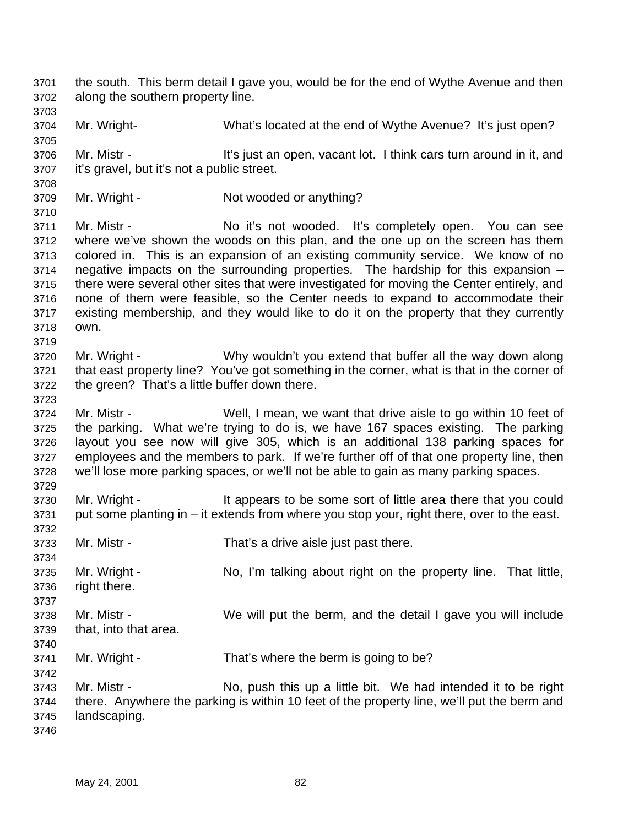the south. This berm detail I gave you, would be for the end of Wythe Avenue and then along the southern property line. Mr. Wright- What's located at the end of Wythe Avenue? It's just open? 3706 Mr. Mistr - It's just an open, vacant lot. I think cars turn around in it, and it's gravel, but it's not a public street. 3709 Mr. Wright - Not wooded or anything? Mr. Mistr - No it's not wooded. It's completely open. You can see where we've shown the woods on this plan, and the one up on the screen has them colored in. This is an expansion of an existing community service. We know of no negative impacts on the surrounding properties. The hardship for this expansion – there were several other sites that were investigated for moving the Center entirely, and none of them were feasible, so the Center needs to expand to accommodate their existing membership, and they would like to do it on the property that they currently own. Mr. Wright - Why wouldn't you extend that buffer all the way down along that east property line? You've got something in the corner, what is that in the corner of the green? That's a little buffer down there. Mr. Mistr - Well, I mean, we want that drive aisle to go within 10 feet of the parking. What we're trying to do is, we have 167 spaces existing. The parking layout you see now will give 305, which is an additional 138 parking spaces for employees and the members to park. If we're further off of that one property line, then we'll lose more parking spaces, or we'll not be able to gain as many parking spaces. Mr. Wright - It appears to be some sort of little area there that you could put some planting in – it extends from where you stop your, right there, over to the east. Mr. Mistr - That's a drive aisle just past there. Mr. Wright - No, I'm talking about right on the property line. That little, right there. Mr. Mistr - We will put the berm, and the detail I gave you will include that, into that area. Mr. Wright - That's where the berm is going to be? Mr. Mistr - No, push this up a little bit. We had intended it to be right there. Anywhere the parking is within 10 feet of the property line, we'll put the berm and landscaping.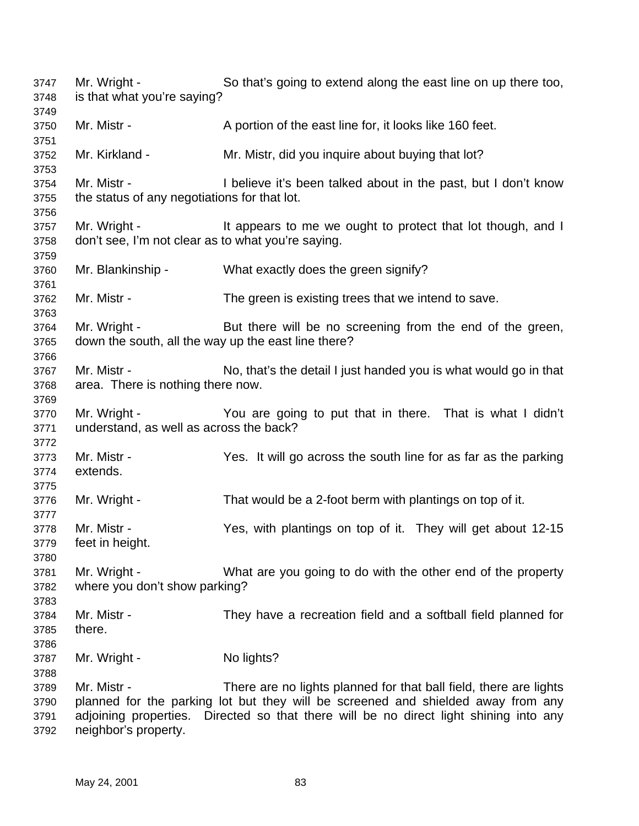Mr. Wright - So that's going to extend along the east line on up there too, is that what you're saying? 3750 Mr. Mistr - A portion of the east line for, it looks like 160 feet. Mr. Kirkland - Mr. Mistr, did you inquire about buying that lot? Mr. Mistr - I believe it's been talked about in the past, but I don't know the status of any negotiations for that lot. 3757 Mr. Wright - It appears to me we ought to protect that lot though, and I don't see, I'm not clear as to what you're saying. Mr. Blankinship - What exactly does the green signify? Mr. Mistr - The green is existing trees that we intend to save. Mr. Wright - But there will be no screening from the end of the green, down the south, all the way up the east line there? Mr. Mistr - No, that's the detail I just handed you is what would go in that area. There is nothing there now. Mr. Wright - You are going to put that in there. That is what I didn't understand, as well as across the back? Mr. Mistr - Yes. It will go across the south line for as far as the parking extends. Mr. Wright - That would be a 2-foot berm with plantings on top of it. Mr. Mistr - Yes, with plantings on top of it. They will get about 12-15 feet in height. Mr. Wright - What are you going to do with the other end of the property where you don't show parking? Mr. Mistr - They have a recreation field and a softball field planned for there. 3787 Mr. Wright - No lights? Mr. Mistr - There are no lights planned for that ball field, there are lights planned for the parking lot but they will be screened and shielded away from any adjoining properties. Directed so that there will be no direct light shining into any

neighbor's property.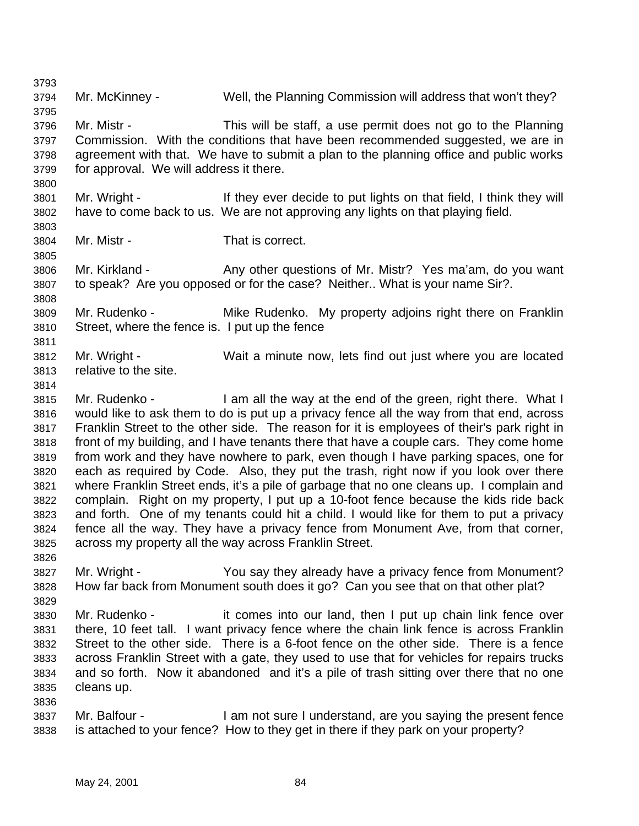Mr. McKinney - Well, the Planning Commission will address that won't they? Mr. Mistr - This will be staff, a use permit does not go to the Planning Commission. With the conditions that have been recommended suggested, we are in agreement with that. We have to submit a plan to the planning office and public works for approval. We will address it there. Mr. Wright - If they ever decide to put lights on that field, I think they will have to come back to us. We are not approving any lights on that playing field. Mr. Mistr - That is correct. Mr. Kirkland - Any other questions of Mr. Mistr? Yes ma'am, do you want to speak? Are you opposed or for the case? Neither.. What is your name Sir?. Mr. Rudenko - Mike Rudenko. My property adjoins right there on Franklin Street, where the fence is. I put up the fence Mr. Wright - Wait a minute now, lets find out just where you are located relative to the site. Mr. Rudenko - I am all the way at the end of the green, right there. What I would like to ask them to do is put up a privacy fence all the way from that end, across Franklin Street to the other side. The reason for it is employees of their's park right in front of my building, and I have tenants there that have a couple cars. They come home from work and they have nowhere to park, even though I have parking spaces, one for each as required by Code. Also, they put the trash, right now if you look over there where Franklin Street ends, it's a pile of garbage that no one cleans up. I complain and complain. Right on my property, I put up a 10-foot fence because the kids ride back and forth. One of my tenants could hit a child. I would like for them to put a privacy fence all the way. They have a privacy fence from Monument Ave, from that corner, across my property all the way across Franklin Street. Mr. Wright - You say they already have a privacy fence from Monument? How far back from Monument south does it go? Can you see that on that other plat? Mr. Rudenko - it comes into our land, then I put up chain link fence over there, 10 feet tall. I want privacy fence where the chain link fence is across Franklin Street to the other side. There is a 6-foot fence on the other side. There is a fence across Franklin Street with a gate, they used to use that for vehicles for repairs trucks and so forth. Now it abandoned and it's a pile of trash sitting over there that no one cleans up. Mr. Balfour - I am not sure I understand, are you saying the present fence is attached to your fence? How to they get in there if they park on your property?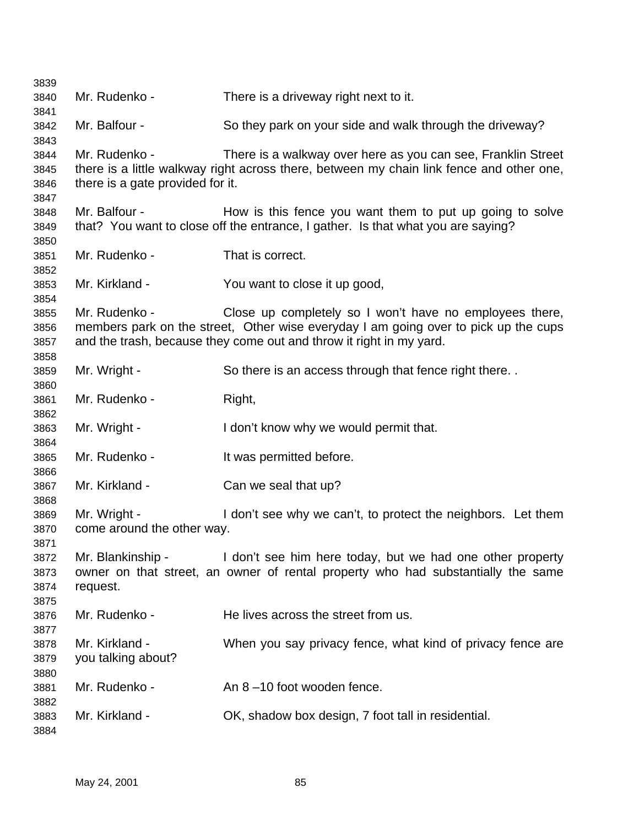| 3839 |                                  |                                                                                          |
|------|----------------------------------|------------------------------------------------------------------------------------------|
| 3840 | Mr. Rudenko -                    | There is a driveway right next to it.                                                    |
| 3841 |                                  |                                                                                          |
| 3842 | Mr. Balfour -                    | So they park on your side and walk through the driveway?                                 |
| 3843 |                                  |                                                                                          |
| 3844 | Mr. Rudenko -                    | There is a walkway over here as you can see, Franklin Street                             |
| 3845 |                                  | there is a little walkway right across there, between my chain link fence and other one, |
| 3846 | there is a gate provided for it. |                                                                                          |
| 3847 |                                  |                                                                                          |
| 3848 | Mr. Balfour -                    | How is this fence you want them to put up going to solve                                 |
| 3849 |                                  | that? You want to close off the entrance, I gather. Is that what you are saying?         |
| 3850 |                                  |                                                                                          |
| 3851 | Mr. Rudenko -                    | That is correct.                                                                         |
| 3852 |                                  |                                                                                          |
| 3853 | Mr. Kirkland -                   | You want to close it up good,                                                            |
| 3854 |                                  |                                                                                          |
| 3855 | Mr. Rudenko -                    | Close up completely so I won't have no employees there,                                  |
| 3856 |                                  | members park on the street, Other wise everyday I am going over to pick up the cups      |
| 3857 |                                  | and the trash, because they come out and throw it right in my yard.                      |
| 3858 |                                  |                                                                                          |
| 3859 | Mr. Wright -                     | So there is an access through that fence right there                                     |
| 3860 |                                  |                                                                                          |
| 3861 | Mr. Rudenko -                    | Right,                                                                                   |
| 3862 |                                  |                                                                                          |
| 3863 | Mr. Wright -                     | I don't know why we would permit that.                                                   |
| 3864 |                                  |                                                                                          |
| 3865 | Mr. Rudenko -                    | It was permitted before.                                                                 |
| 3866 |                                  |                                                                                          |
| 3867 | Mr. Kirkland -                   | Can we seal that up?                                                                     |
| 3868 |                                  |                                                                                          |
| 3869 | Mr. Wright -                     | I don't see why we can't, to protect the neighbors. Let them                             |
| 3870 | come around the other way.       |                                                                                          |
| 3871 |                                  |                                                                                          |
| 3872 | Mr. Blankinship -                | I don't see him here today, but we had one other property                                |
| 3873 |                                  | owner on that street, an owner of rental property who had substantially the same         |
| 3874 | request.                         |                                                                                          |
| 3875 |                                  |                                                                                          |
| 3876 | Mr. Rudenko -                    | He lives across the street from us.                                                      |
| 3877 |                                  |                                                                                          |
| 3878 | Mr. Kirkland -                   | When you say privacy fence, what kind of privacy fence are                               |
| 3879 | you talking about?               |                                                                                          |
| 3880 |                                  |                                                                                          |
| 3881 | Mr. Rudenko -                    | An 8-10 foot wooden fence.                                                               |
| 3882 |                                  |                                                                                          |
| 3883 | Mr. Kirkland -                   | OK, shadow box design, 7 foot tall in residential.                                       |
| 3884 |                                  |                                                                                          |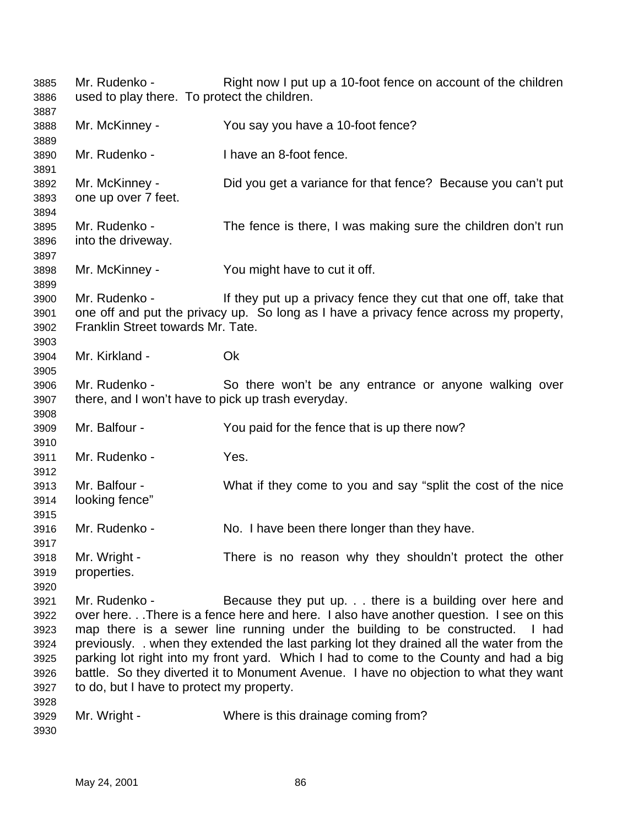Mr. Rudenko - Right now I put up a 10-foot fence on account of the children used to play there. To protect the children. Mr. McKinney - You say you have a 10-foot fence? Mr. Rudenko - I have an 8-foot fence. Mr. McKinney - Did you get a variance for that fence? Because you can't put one up over 7 feet. Mr. Rudenko - The fence is there, I was making sure the children don't run into the driveway. Mr. McKinney - You might have to cut it off. Mr. Rudenko - If they put up a privacy fence they cut that one off, take that one off and put the privacy up. So long as I have a privacy fence across my property, Franklin Street towards Mr. Tate. Mr. Kirkland - Ok Mr. Rudenko - So there won't be any entrance or anyone walking over there, and I won't have to pick up trash everyday. Mr. Balfour - You paid for the fence that is up there now? Mr. Rudenko - Yes. Mr. Balfour - What if they come to you and say "split the cost of the nice looking fence" Mr. Rudenko - No. I have been there longer than they have. Mr. Wright - There is no reason why they shouldn't protect the other properties. Mr. Rudenko - Because they put up. . . there is a building over here and over here. . .There is a fence here and here. I also have another question. I see on this map there is a sewer line running under the building to be constructed. I had previously. . when they extended the last parking lot they drained all the water from the parking lot right into my front yard. Which I had to come to the County and had a big battle. So they diverted it to Monument Avenue. I have no objection to what they want to do, but I have to protect my property. Mr. Wright - Where is this drainage coming from?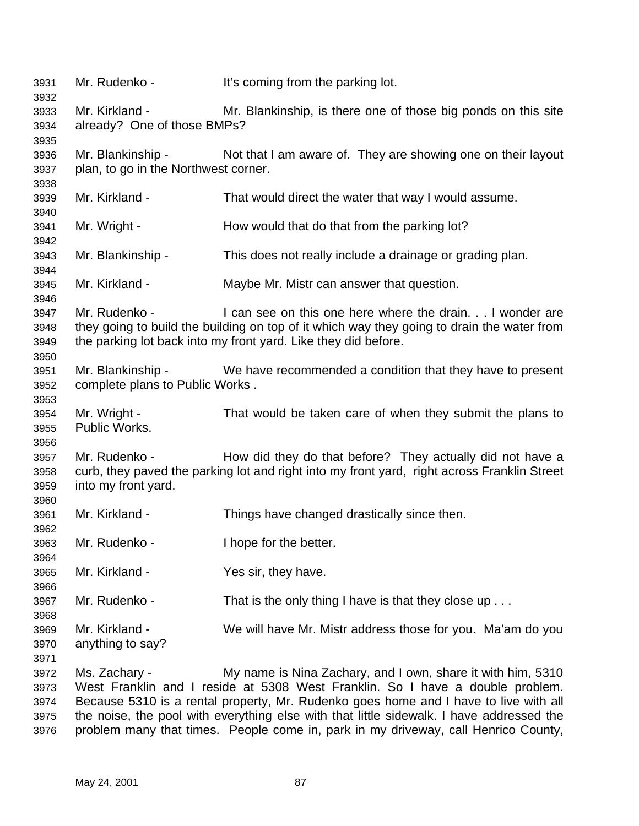Mr. Rudenko - It's coming from the parking lot. Mr. Kirkland - Mr. Blankinship, is there one of those big ponds on this site already? One of those BMPs? Mr. Blankinship - Not that I am aware of. They are showing one on their layout plan, to go in the Northwest corner. Mr. Kirkland - That would direct the water that way I would assume. Mr. Wright - How would that do that from the parking lot? Mr. Blankinship - This does not really include a drainage or grading plan. Mr. Kirkland - Maybe Mr. Mistr can answer that question. Mr. Rudenko - I can see on this one here where the drain. . . I wonder are they going to build the building on top of it which way they going to drain the water from the parking lot back into my front yard. Like they did before. Mr. Blankinship - We have recommended a condition that they have to present complete plans to Public Works . Mr. Wright - That would be taken care of when they submit the plans to Public Works. 3957 Mr. Rudenko - How did they do that before? They actually did not have a curb, they paved the parking lot and right into my front yard, right across Franklin Street into my front yard. Mr. Kirkland - Things have changed drastically since then. Mr. Rudenko - I hope for the better. Mr. Kirkland - Yes sir, they have. 3967 Mr. Rudenko - That is the only thing I have is that they close up . . . Mr. Kirkland - We will have Mr. Mistr address those for you. Ma'am do you anything to say? Ms. Zachary - My name is Nina Zachary, and I own, share it with him, 5310 West Franklin and I reside at 5308 West Franklin. So I have a double problem. Because 5310 is a rental property, Mr. Rudenko goes home and I have to live with all the noise, the pool with everything else with that little sidewalk. I have addressed the problem many that times. People come in, park in my driveway, call Henrico County,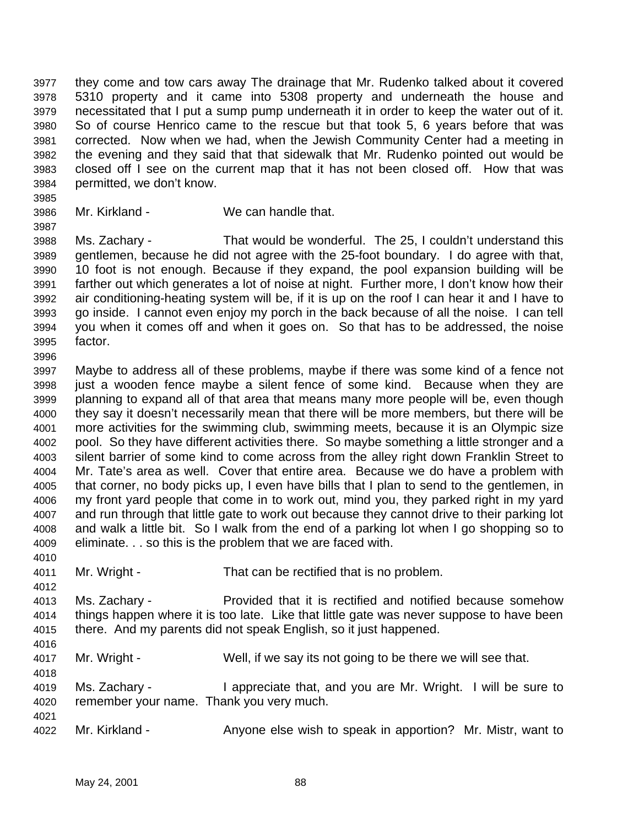they come and tow cars away The drainage that Mr. Rudenko talked about it covered 5310 property and it came into 5308 property and underneath the house and necessitated that I put a sump pump underneath it in order to keep the water out of it. So of course Henrico came to the rescue but that took 5, 6 years before that was corrected. Now when we had, when the Jewish Community Center had a meeting in the evening and they said that that sidewalk that Mr. Rudenko pointed out would be closed off I see on the current map that it has not been closed off. How that was permitted, we don't know.

 Mr. Kirkland - We can handle that. 

 Ms. Zachary - That would be wonderful. The 25, I couldn't understand this gentlemen, because he did not agree with the 25-foot boundary. I do agree with that, 10 foot is not enough. Because if they expand, the pool expansion building will be farther out which generates a lot of noise at night. Further more, I don't know how their air conditioning-heating system will be, if it is up on the roof I can hear it and I have to go inside. I cannot even enjoy my porch in the back because of all the noise. I can tell you when it comes off and when it goes on. So that has to be addressed, the noise factor. 

 Maybe to address all of these problems, maybe if there was some kind of a fence not just a wooden fence maybe a silent fence of some kind. Because when they are planning to expand all of that area that means many more people will be, even though they say it doesn't necessarily mean that there will be more members, but there will be more activities for the swimming club, swimming meets, because it is an Olympic size pool. So they have different activities there. So maybe something a little stronger and a silent barrier of some kind to come across from the alley right down Franklin Street to Mr. Tate's area as well. Cover that entire area. Because we do have a problem with that corner, no body picks up, I even have bills that I plan to send to the gentlemen, in my front yard people that come in to work out, mind you, they parked right in my yard and run through that little gate to work out because they cannot drive to their parking lot and walk a little bit. So I walk from the end of a parking lot when I go shopping so to eliminate. . . so this is the problem that we are faced with.

- Mr. Wright That can be rectified that is no problem.
- Ms. Zachary Provided that it is rectified and notified because somehow things happen where it is too late. Like that little gate was never suppose to have been there. And my parents did not speak English, so it just happened.
- Mr. Wright Well, if we say its not going to be there we will see that.
- Ms. Zachary I appreciate that, and you are Mr. Wright. I will be sure to remember your name. Thank you very much.
- Mr. Kirkland Anyone else wish to speak in apportion? Mr. Mistr, want to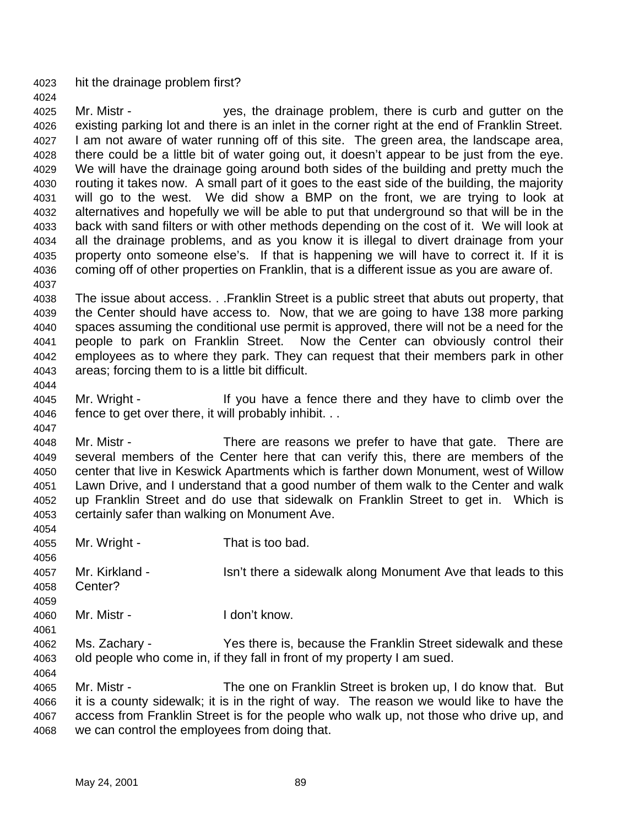hit the drainage problem first?

 Mr. Mistr - yes, the drainage problem, there is curb and gutter on the existing parking lot and there is an inlet in the corner right at the end of Franklin Street. I am not aware of water running off of this site. The green area, the landscape area, there could be a little bit of water going out, it doesn't appear to be just from the eye. We will have the drainage going around both sides of the building and pretty much the routing it takes now. A small part of it goes to the east side of the building, the majority will go to the west. We did show a BMP on the front, we are trying to look at alternatives and hopefully we will be able to put that underground so that will be in the back with sand filters or with other methods depending on the cost of it. We will look at all the drainage problems, and as you know it is illegal to divert drainage from your property onto someone else's. If that is happening we will have to correct it. If it is coming off of other properties on Franklin, that is a different issue as you are aware of. 

 The issue about access. . .Franklin Street is a public street that abuts out property, that the Center should have access to. Now, that we are going to have 138 more parking spaces assuming the conditional use permit is approved, there will not be a need for the people to park on Franklin Street. Now the Center can obviously control their employees as to where they park. They can request that their members park in other areas; forcing them to is a little bit difficult.

 Mr. Wright - If you have a fence there and they have to climb over the fence to get over there, it will probably inhibit. . .

 Mr. Mistr - There are reasons we prefer to have that gate. There are several members of the Center here that can verify this, there are members of the center that live in Keswick Apartments which is farther down Monument, west of Willow Lawn Drive, and I understand that a good number of them walk to the Center and walk up Franklin Street and do use that sidewalk on Franklin Street to get in. Which is certainly safer than walking on Monument Ave.

- Mr. Wright That is too bad.
- 4057 Mr. Kirkland Isn't there a sidewalk along Monument Ave that leads to this Center?
- Mr. Mistr I don't know.
- Ms. Zachary Yes there is, because the Franklin Street sidewalk and these old people who come in, if they fall in front of my property I am sued.

 Mr. Mistr - The one on Franklin Street is broken up, I do know that. But it is a county sidewalk; it is in the right of way. The reason we would like to have the access from Franklin Street is for the people who walk up, not those who drive up, and we can control the employees from doing that.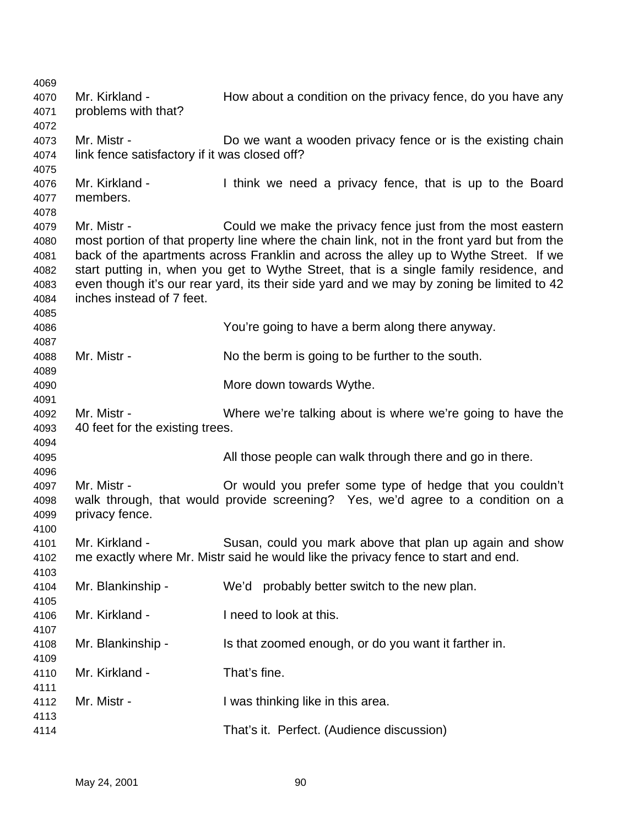| 4069 |                                               |                                                                                             |
|------|-----------------------------------------------|---------------------------------------------------------------------------------------------|
| 4070 | Mr. Kirkland -                                | How about a condition on the privacy fence, do you have any                                 |
| 4071 | problems with that?                           |                                                                                             |
| 4072 |                                               |                                                                                             |
| 4073 | Mr. Mistr -                                   | Do we want a wooden privacy fence or is the existing chain                                  |
|      |                                               |                                                                                             |
| 4074 | link fence satisfactory if it was closed off? |                                                                                             |
| 4075 |                                               |                                                                                             |
| 4076 | Mr. Kirkland -                                | I think we need a privacy fence, that is up to the Board                                    |
| 4077 | members.                                      |                                                                                             |
| 4078 |                                               |                                                                                             |
| 4079 | Mr. Mistr -                                   | Could we make the privacy fence just from the most eastern                                  |
| 4080 |                                               | most portion of that property line where the chain link, not in the front yard but from the |
| 4081 |                                               | back of the apartments across Franklin and across the alley up to Wythe Street. If we       |
| 4082 |                                               | start putting in, when you get to Wythe Street, that is a single family residence, and      |
| 4083 |                                               | even though it's our rear yard, its their side yard and we may by zoning be limited to 42   |
| 4084 | inches instead of 7 feet.                     |                                                                                             |
| 4085 |                                               |                                                                                             |
| 4086 |                                               | You're going to have a berm along there anyway.                                             |
| 4087 |                                               |                                                                                             |
| 4088 | Mr. Mistr -                                   | No the berm is going to be further to the south.                                            |
| 4089 |                                               |                                                                                             |
| 4090 |                                               | More down towards Wythe.                                                                    |
| 4091 |                                               |                                                                                             |
| 4092 | Mr. Mistr -                                   | Where we're talking about is where we're going to have the                                  |
| 4093 | 40 feet for the existing trees.               |                                                                                             |
|      |                                               |                                                                                             |
| 4094 |                                               |                                                                                             |
| 4095 |                                               | All those people can walk through there and go in there.                                    |
| 4096 |                                               |                                                                                             |
| 4097 | Mr. Mistr -                                   | Or would you prefer some type of hedge that you couldn't                                    |
| 4098 |                                               | walk through, that would provide screening? Yes, we'd agree to a condition on a             |
| 4099 | privacy fence.                                |                                                                                             |
| 4100 |                                               |                                                                                             |
| 4101 | Mr. Kirkland -                                | Susan, could you mark above that plan up again and show                                     |
| 4102 |                                               | me exactly where Mr. Mistr said he would like the privacy fence to start and end.           |
| 4103 |                                               |                                                                                             |
| 4104 | Mr. Blankinship -                             | We'd probably better switch to the new plan.                                                |
| 4105 |                                               |                                                                                             |
| 4106 | Mr. Kirkland -                                | I need to look at this.                                                                     |
| 4107 |                                               |                                                                                             |
|      |                                               |                                                                                             |
| 4108 | Mr. Blankinship -                             | Is that zoomed enough, or do you want it farther in.                                        |
| 4109 |                                               |                                                                                             |
| 4110 | Mr. Kirkland -                                | That's fine.                                                                                |
| 4111 |                                               |                                                                                             |
| 4112 | Mr. Mistr -                                   | I was thinking like in this area.                                                           |
| 4113 |                                               |                                                                                             |
|      |                                               |                                                                                             |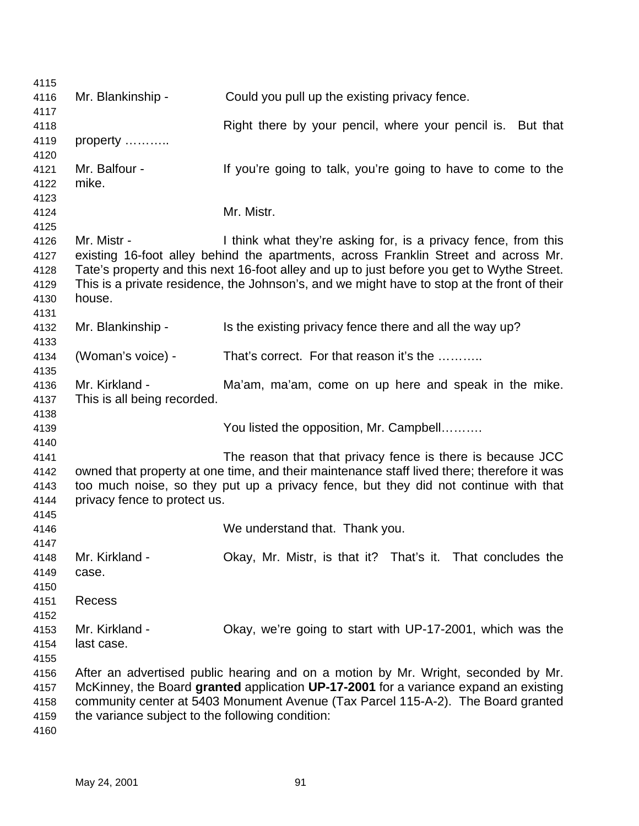| 4115 |                                                                                      |                                                                                             |  |
|------|--------------------------------------------------------------------------------------|---------------------------------------------------------------------------------------------|--|
| 4116 | Mr. Blankinship -                                                                    | Could you pull up the existing privacy fence.                                               |  |
| 4117 |                                                                                      |                                                                                             |  |
| 4118 |                                                                                      | Right there by your pencil, where your pencil is. But that                                  |  |
| 4119 | property                                                                             |                                                                                             |  |
| 4120 |                                                                                      |                                                                                             |  |
| 4121 | Mr. Balfour -                                                                        | If you're going to talk, you're going to have to come to the                                |  |
| 4122 | mike.                                                                                |                                                                                             |  |
| 4123 |                                                                                      |                                                                                             |  |
| 4124 |                                                                                      | Mr. Mistr.                                                                                  |  |
| 4125 |                                                                                      |                                                                                             |  |
| 4126 | Mr. Mistr -                                                                          | I think what they're asking for, is a privacy fence, from this                              |  |
| 4127 |                                                                                      | existing 16-foot alley behind the apartments, across Franklin Street and across Mr.         |  |
| 4128 |                                                                                      | Tate's property and this next 16-foot alley and up to just before you get to Wythe Street.  |  |
| 4129 |                                                                                      | This is a private residence, the Johnson's, and we might have to stop at the front of their |  |
| 4130 | house.                                                                               |                                                                                             |  |
| 4131 |                                                                                      |                                                                                             |  |
| 4132 | Mr. Blankinship -                                                                    | Is the existing privacy fence there and all the way up?                                     |  |
| 4133 |                                                                                      |                                                                                             |  |
| 4134 | (Woman's voice) -                                                                    | That's correct. For that reason it's the                                                    |  |
| 4135 |                                                                                      |                                                                                             |  |
| 4136 | Mr. Kirkland -                                                                       | Ma'am, ma'am, come on up here and speak in the mike.                                        |  |
| 4137 | This is all being recorded.                                                          |                                                                                             |  |
| 4138 |                                                                                      |                                                                                             |  |
| 4139 |                                                                                      | You listed the opposition, Mr. Campbell                                                     |  |
| 4140 |                                                                                      |                                                                                             |  |
| 4141 |                                                                                      | The reason that that privacy fence is there is because JCC                                  |  |
| 4142 |                                                                                      | owned that property at one time, and their maintenance staff lived there; therefore it was  |  |
| 4143 |                                                                                      | too much noise, so they put up a privacy fence, but they did not continue with that         |  |
| 4144 | privacy fence to protect us.                                                         |                                                                                             |  |
| 4145 |                                                                                      |                                                                                             |  |
| 4146 |                                                                                      | We understand that. Thank you.                                                              |  |
| 4147 |                                                                                      |                                                                                             |  |
| 4148 | Mr. Kirkland -                                                                       | Okay, Mr. Mistr, is that it? That's it. That concludes the                                  |  |
| 4149 | case.                                                                                |                                                                                             |  |
| 4150 |                                                                                      |                                                                                             |  |
| 4151 | Recess                                                                               |                                                                                             |  |
| 4152 |                                                                                      |                                                                                             |  |
| 4153 | Mr. Kirkland -                                                                       | Okay, we're going to start with UP-17-2001, which was the                                   |  |
| 4154 | last case.                                                                           |                                                                                             |  |
| 4155 |                                                                                      |                                                                                             |  |
| 4156 |                                                                                      | After an advertised public hearing and on a motion by Mr. Wright, seconded by Mr.           |  |
| 4157 | McKinney, the Board granted application UP-17-2001 for a variance expand an existing |                                                                                             |  |
| 4158 |                                                                                      | community center at 5403 Monument Avenue (Tax Parcel 115-A-2). The Board granted            |  |
| 4159 | the variance subject to the following condition:                                     |                                                                                             |  |
| 4160 |                                                                                      |                                                                                             |  |

May 24, 2001 91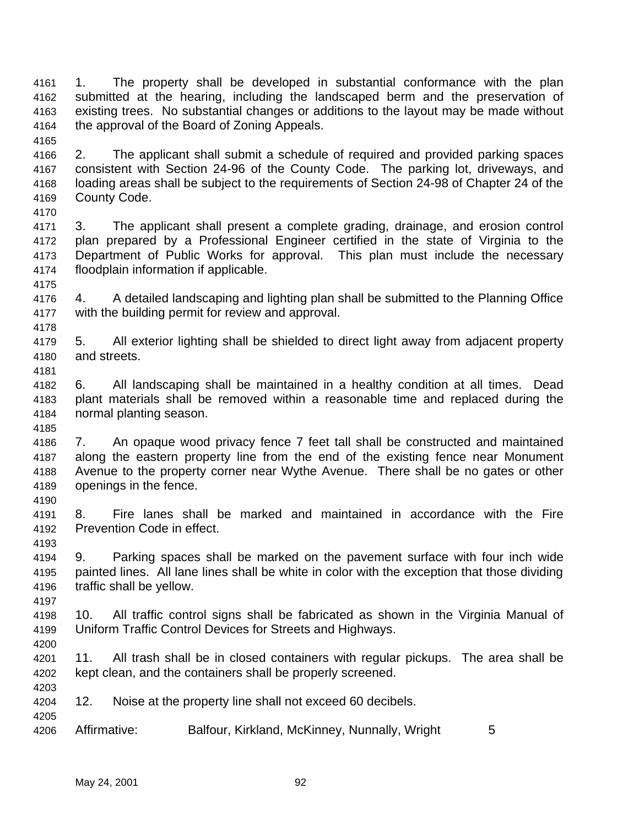1. The property shall be developed in substantial conformance with the plan submitted at the hearing, including the landscaped berm and the preservation of existing trees. No substantial changes or additions to the layout may be made without the approval of the Board of Zoning Appeals. 

 2. The applicant shall submit a schedule of required and provided parking spaces consistent with Section 24-96 of the County Code. The parking lot, driveways, and loading areas shall be subject to the requirements of Section 24-98 of Chapter 24 of the County Code. 

 3. The applicant shall present a complete grading, drainage, and erosion control plan prepared by a Professional Engineer certified in the state of Virginia to the Department of Public Works for approval. This plan must include the necessary floodplain information if applicable.

 4. A detailed landscaping and lighting plan shall be submitted to the Planning Office with the building permit for review and approval.

 5. All exterior lighting shall be shielded to direct light away from adjacent property and streets.

 6. All landscaping shall be maintained in a healthy condition at all times. Dead plant materials shall be removed within a reasonable time and replaced during the normal planting season.

 7. An opaque wood privacy fence 7 feet tall shall be constructed and maintained along the eastern property line from the end of the existing fence near Monument Avenue to the property corner near Wythe Avenue. There shall be no gates or other openings in the fence.

 8. Fire lanes shall be marked and maintained in accordance with the Fire Prevention Code in effect.

 9. Parking spaces shall be marked on the pavement surface with four inch wide painted lines. All lane lines shall be white in color with the exception that those dividing traffic shall be yellow.

 10. All traffic control signs shall be fabricated as shown in the Virginia Manual of Uniform Traffic Control Devices for Streets and Highways. 

 11. All trash shall be in closed containers with regular pickups. The area shall be kept clean, and the containers shall be properly screened.

- 12. Noise at the property line shall not exceed 60 decibels.
- Affirmative: Balfour, Kirkland, McKinney, Nunnally, Wright 5